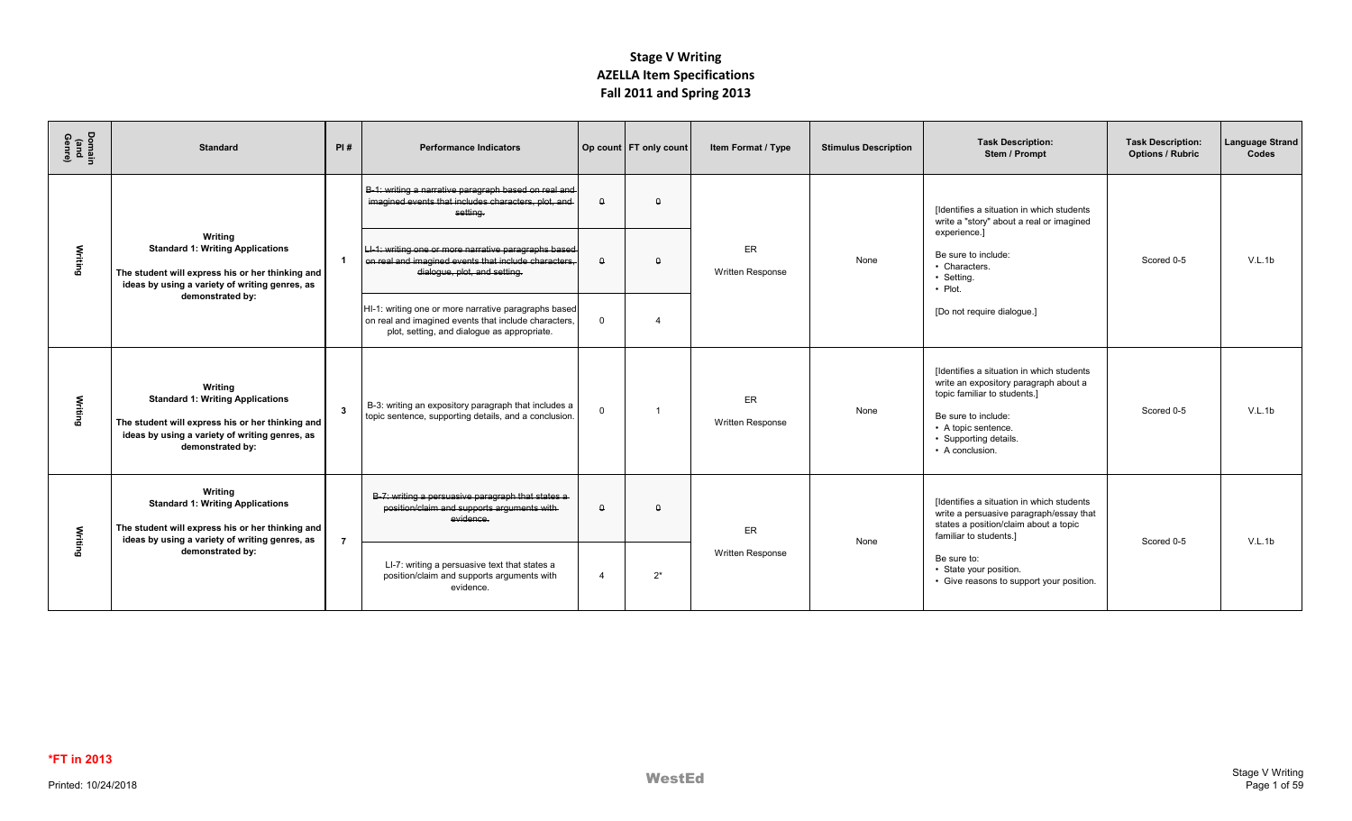| Domain<br>(and<br>Genre) | <b>Standard</b>                                                                                                                                                              | PI#            | <b>Performance Indicators</b>                                                                                                                               |                | Op count   FT only count | Item Format / Type             | <b>Stimulus Description</b> | <b>Task Description:</b><br>Stem / Prompt                                                                                                                                                                    | <b>Task Description:</b><br><b>Options / Rubric</b> | <b>Language Strand</b><br>Codes |
|--------------------------|------------------------------------------------------------------------------------------------------------------------------------------------------------------------------|----------------|-------------------------------------------------------------------------------------------------------------------------------------------------------------|----------------|--------------------------|--------------------------------|-----------------------------|--------------------------------------------------------------------------------------------------------------------------------------------------------------------------------------------------------------|-----------------------------------------------------|---------------------------------|
|                          |                                                                                                                                                                              |                | B-1: writing a narrative paragraph based on real and<br>imagined events that includes characters, plot, and<br>setting.                                     | Δ              | $\Omega$                 |                                |                             | [Identifies a situation in which students<br>write a "story" about a real or imagined                                                                                                                        |                                                     |                                 |
| Writing                  | Writing<br><b>Standard 1: Writing Applications</b><br>The student will express his or her thinking and<br>ideas by using a variety of writing genres, as                     |                | LI-1: writing one or more narrative paragraphs based<br>on real and imagined events that include characters,<br>dialogue, plot, and setting.                | $\Omega$       | $\Omega$                 | ER<br><b>Written Response</b>  | None                        | experience.]<br>Be sure to include:<br>• Characters.<br>• Setting.<br>$\cdot$ Plot.                                                                                                                          | Scored 0-5                                          | V.L.1b                          |
|                          | demonstrated by:                                                                                                                                                             |                | HI-1: writing one or more narrative paragraphs based<br>on real and imagined events that include characters,<br>plot, setting, and dialogue as appropriate. | $\Omega$       |                          |                                |                             | [Do not require dialogue.]                                                                                                                                                                                   |                                                     |                                 |
| Writing                  | Writing<br><b>Standard 1: Writing Applications</b><br>The student will express his or her thinking and<br>ideas by using a variety of writing genres, as<br>demonstrated by: | $\mathbf{3}$   | B-3: writing an expository paragraph that includes a<br>topic sentence, supporting details, and a conclusion.                                               | $\Omega$       |                          | ER.<br><b>Written Response</b> | None                        | [Identifies a situation in which students<br>write an expository paragraph about a<br>topic familiar to students.]<br>Be sure to include:<br>• A topic sentence.<br>• Supporting details.<br>• A conclusion. | Scored 0-5                                          | V.L.1b                          |
| Writing                  | Writing<br><b>Standard 1: Writing Applications</b><br>The student will express his or her thinking and<br>ideas by using a variety of writing genres, as                     | $\overline{7}$ | B-7: writing a persuasive paragraph that states a<br>position/claim and supports arguments with-<br>evidence.                                               | $\theta$       | $\Omega$                 | ER                             | None                        | [Identifies a situation in which students<br>write a persuasive paragraph/essay that<br>states a position/claim about a topic<br>familiar to students.]                                                      | Scored 0-5                                          | V.L.1b                          |
|                          | demonstrated by:                                                                                                                                                             |                | LI-7: writing a persuasive text that states a<br>position/claim and supports arguments with<br>evidence.                                                    | $\overline{4}$ | $2^*$                    | <b>Written Response</b>        |                             | Be sure to:<br>• State your position.<br>• Give reasons to support your position.                                                                                                                            |                                                     |                                 |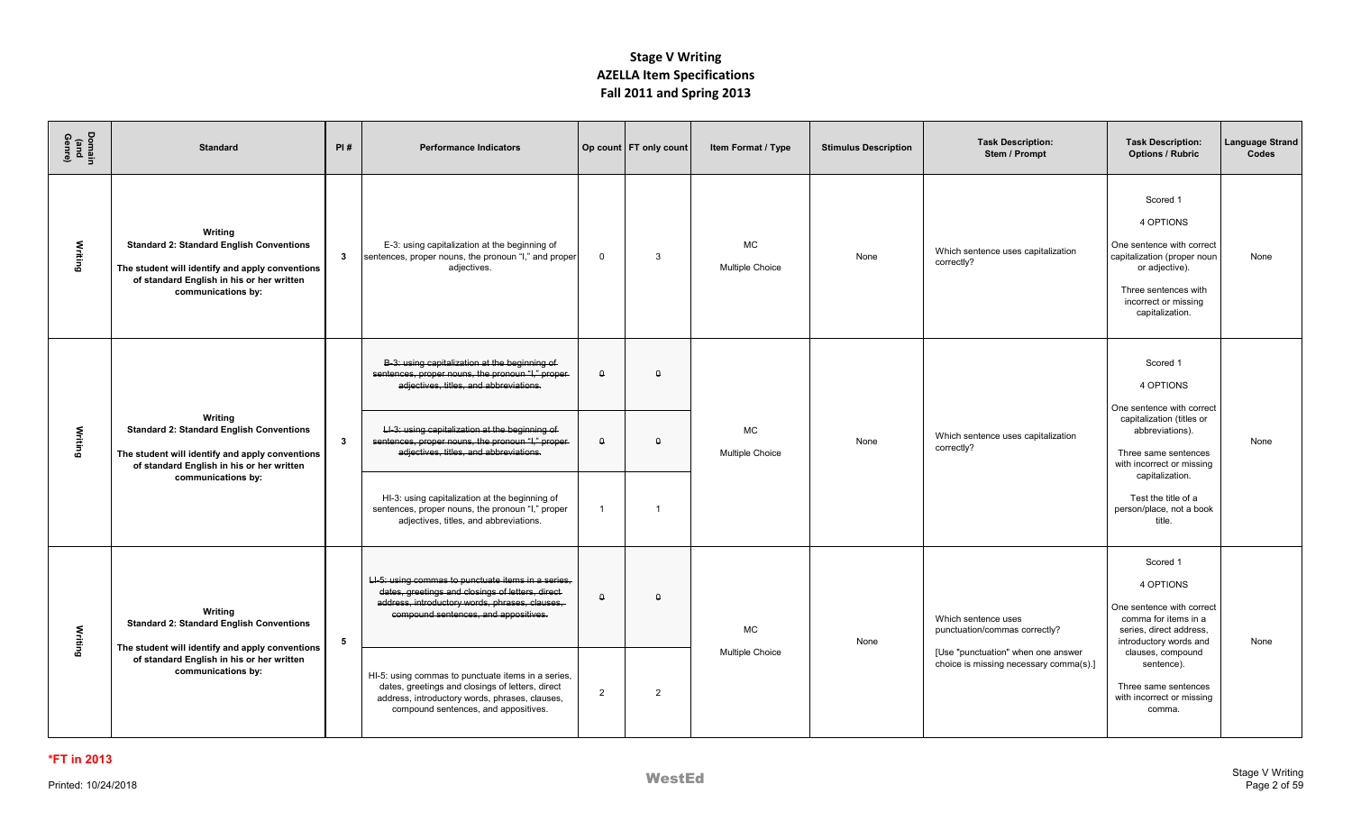| Domain<br>(and<br>Genre) | <b>Standard</b>                                                                                                                                                                  | PI# | <b>Performance Indicators</b>                                                                                                                                                                     |                | Op count   FT only count | Item Format / Type                  | <b>Stimulus Description</b> | <b>Task Description:</b><br>Stem / Prompt                                    | <b>Task Description:</b><br><b>Options / Rubric</b>                                                                                                                    | Language Strand<br>Codes |
|--------------------------|----------------------------------------------------------------------------------------------------------------------------------------------------------------------------------|-----|---------------------------------------------------------------------------------------------------------------------------------------------------------------------------------------------------|----------------|--------------------------|-------------------------------------|-----------------------------|------------------------------------------------------------------------------|------------------------------------------------------------------------------------------------------------------------------------------------------------------------|--------------------------|
| Writing                  | Writina<br><b>Standard 2: Standard English Conventions</b><br>The student will identify and apply conventions<br>of standard English in his or her written<br>communications by: | 3   | E-3: using capitalization at the beginning of<br>sentences, proper nouns, the pronoun "I," and proper<br>adjectives.                                                                              | $\overline{0}$ | $\mathcal{R}$            | <b>MC</b><br>Multiple Choice        | None                        | Which sentence uses capitalization<br>correctly?                             | Scored 1<br>4 OPTIONS<br>One sentence with correct<br>capitalization (proper noun<br>or adjective).<br>Three sentences with<br>incorrect or missing<br>capitalization. | None                     |
|                          |                                                                                                                                                                                  |     | B-3: using capitalization at the beginning of<br>sentences, proper nouns, the pronoun "I," proper-<br>adjectives, titles, and abbreviations.                                                      | $\theta$       | $\Omega$                 |                                     |                             |                                                                              | Scored 1<br>4 OPTIONS<br>One sentence with correct                                                                                                                     |                          |
| Writing                  | Writing<br><b>Standard 2: Standard English Conventions</b><br>The student will identify and apply conventions<br>of standard English in his or her written<br>communications by: | 3   | LI-3: using capitalization at the beginning of<br>sentences, proper nouns, the pronoun "I," proper-<br>adjectives, titles, and abbreviations.                                                     | $\theta$       | $\Omega$                 | <b>MC</b><br><b>Multiple Choice</b> | None                        | Which sentence uses capitalization<br>correctly?                             | capitalization (titles or<br>abbreviations).<br>Three same sentences<br>with incorrect or missing<br>capitalization.                                                   | None                     |
|                          |                                                                                                                                                                                  |     | HI-3: using capitalization at the beginning of<br>sentences, proper nouns, the pronoun "I," proper<br>adjectives, titles, and abbreviations.                                                      | $\overline{1}$ |                          |                                     |                             |                                                                              | Test the title of a<br>person/place, not a book<br>title.                                                                                                              |                          |
| Writing                  | Writing<br><b>Standard 2: Standard English Conventions</b><br>The student will identify and apply conventions                                                                    | 5   | LI-5: using commas to punctuate items in a series.<br>dates, greetings and closings of letters, direct-<br>address, introductory words, phrases, clauses,<br>compound sentences, and appositives. | $\theta$       | $\theta$                 | <b>MC</b>                           | None                        | Which sentence uses<br>punctuation/commas correctly?                         | Scored 1<br>4 OPTIONS<br>One sentence with correct<br>comma for items in a<br>series, direct address,<br>introductory words and                                        | None                     |
|                          | of standard English in his or her written<br>communications by:                                                                                                                  |     | HI-5: using commas to punctuate items in a series,<br>dates, greetings and closings of letters, direct<br>address, introductory words, phrases, clauses,<br>compound sentences, and appositives.  | $\overline{2}$ | 2                        | <b>Multiple Choice</b>              |                             | [Use "punctuation" when one answer<br>choice is missing necessary comma(s).] | clauses, compound<br>sentence).<br>Three same sentences<br>with incorrect or missing<br>comma.                                                                         |                          |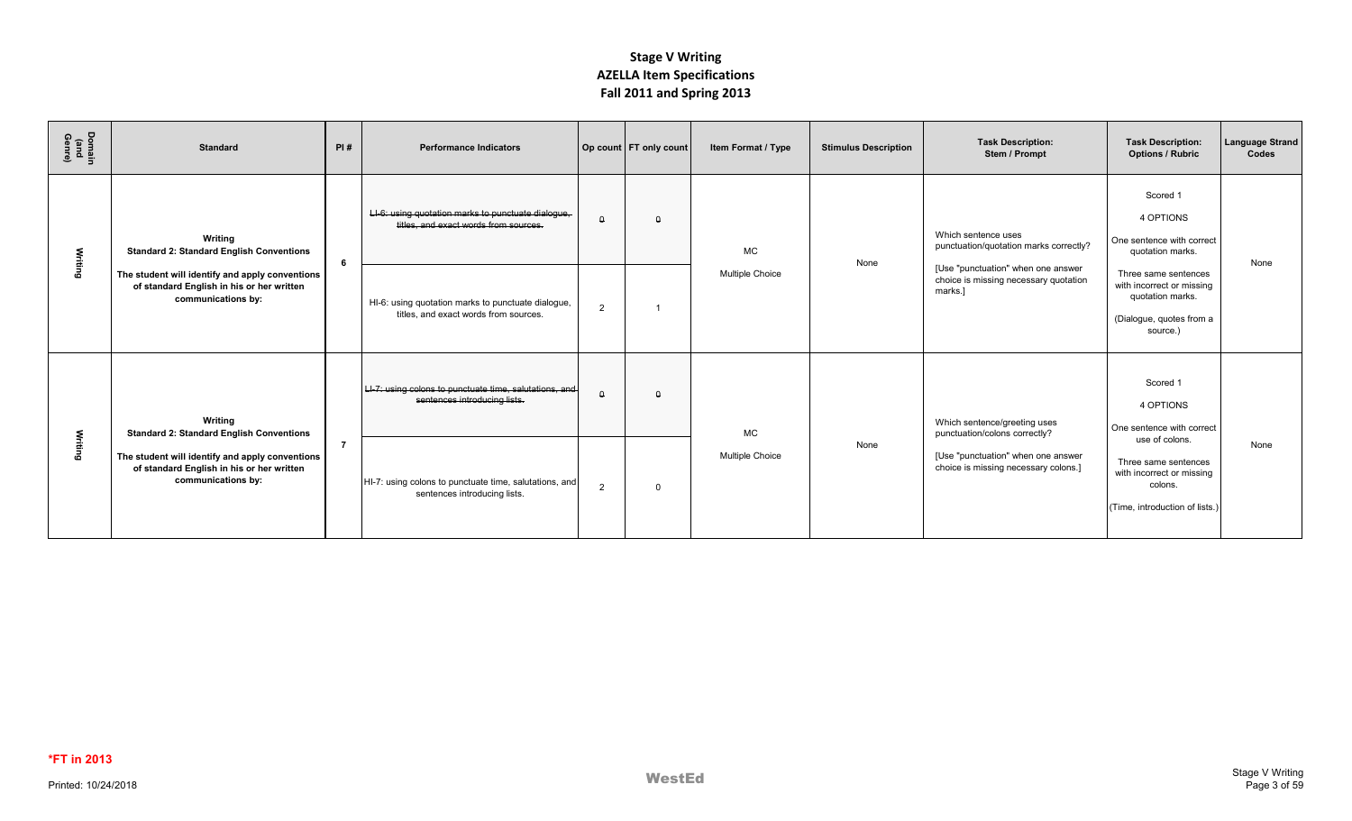| Domain<br>(and<br>ဝ့ရ | <b>Standard</b>                                                                                                    | PI#            | <b>Performance Indicators</b>                                                               |                | Op count   FT only count | Item Format / Type     | <b>Stimulus Description</b> | <b>Task Description:</b><br>Stem / Prompt                                              | <b>Task Description:</b><br><b>Options / Rubric</b>                                                              | <b>Language Strand</b><br>Codes |
|-----------------------|--------------------------------------------------------------------------------------------------------------------|----------------|---------------------------------------------------------------------------------------------|----------------|--------------------------|------------------------|-----------------------------|----------------------------------------------------------------------------------------|------------------------------------------------------------------------------------------------------------------|---------------------------------|
| Writing               | Writing<br><b>Standard 2: Standard English Conventions</b>                                                         | -6             | LI-6: using quotation marks to punctuate dialogue,<br>titles, and exact words from sources. | $\theta$       | $\theta$                 | <b>MC</b>              | None                        | Which sentence uses<br>punctuation/quotation marks correctly?                          | Scored 1<br>4 OPTIONS<br>One sentence with correct<br>quotation marks.                                           | None                            |
|                       | The student will identify and apply conventions<br>of standard English in his or her written<br>communications by: |                | HI-6: using quotation marks to punctuate dialogue,<br>titles, and exact words from sources. | $\overline{2}$ |                          | <b>Multiple Choice</b> |                             | [Use "punctuation" when one answer<br>choice is missing necessary quotation<br>marks.1 | Three same sentences<br>with incorrect or missing<br>quotation marks.<br>(Dialogue, quotes from a<br>source.)    |                                 |
|                       | Writing<br><b>Standard 2: Standard English Conventions</b>                                                         |                | LI-7: using colons to punctuate time, salutations, and<br>sentences introducing lists.      | $\theta$       | $\Omega$                 | <b>MC</b>              |                             | Which sentence/greeting uses<br>punctuation/colons correctly?                          | Scored 1<br>4 OPTIONS<br>One sentence with correct                                                               |                                 |
| Writing               | The student will identify and apply conventions<br>of standard English in his or her written<br>communications by: | $\overline{7}$ | HI-7: using colons to punctuate time, salutations, and<br>sentences introducing lists.      | $\overline{2}$ | $\Omega$                 | <b>Multiple Choice</b> | None                        | [Use "punctuation" when one answer<br>choice is missing necessary colons.]             | use of colons.<br>Three same sentences<br>with incorrect or missing<br>colons.<br>(Time, introduction of lists.) | None                            |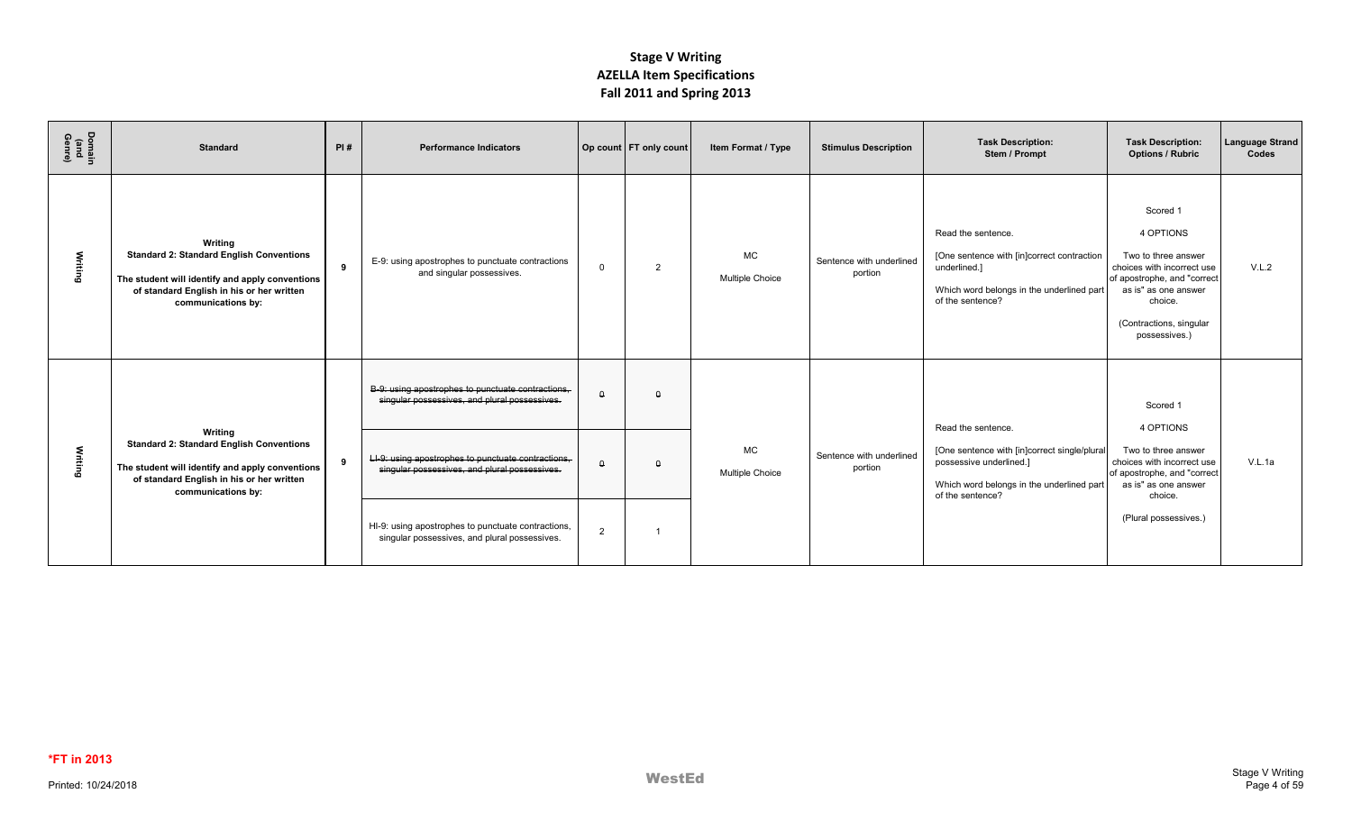| Domain<br>(and<br>Genre) | <b>Standard</b>                                                                                                                                                                  | PI# | <b>Performance Indicators</b>                                                                       |          | Op count   FT only count | Item Format / Type           | <b>Stimulus Description</b>         | <b>Task Description:</b><br>Stem / Prompt                                                                                                         | <b>Task Description:</b><br><b>Options / Rubric</b>                                                                                                                                      | Language Strand<br>Codes |
|--------------------------|----------------------------------------------------------------------------------------------------------------------------------------------------------------------------------|-----|-----------------------------------------------------------------------------------------------------|----------|--------------------------|------------------------------|-------------------------------------|---------------------------------------------------------------------------------------------------------------------------------------------------|------------------------------------------------------------------------------------------------------------------------------------------------------------------------------------------|--------------------------|
| Writing                  | Writing<br><b>Standard 2: Standard English Conventions</b><br>The student will identify and apply conventions<br>of standard English in his or her written<br>communications by: | 9   | E-9: using apostrophes to punctuate contractions<br>and singular possessives.                       | $\Omega$ | $\overline{2}$           | <b>MC</b><br>Multiple Choice | Sentence with underlined<br>portion | Read the sentence.<br>[One sentence with [in]correct contraction<br>underlined.]<br>Which word belongs in the underlined part<br>of the sentence? | Scored 1<br>4 OPTIONS<br>Two to three answer<br>choices with incorrect use<br>of apostrophe, and "correct<br>as is" as one answer<br>choice.<br>(Contractions, singular<br>possessives.) | V.L.2                    |
|                          |                                                                                                                                                                                  |     | B-9: using apostrophes to punctuate contractions,<br>singular possessives, and plural possessives.  | $\theta$ | $\Omega$                 |                              |                                     | Read the sentence.                                                                                                                                | Scored 1<br>4 OPTIONS                                                                                                                                                                    |                          |
| Writing                  | Writing<br><b>Standard 2: Standard English Conventions</b><br>The student will identify and apply conventions<br>of standard English in his or her written<br>communications by: | 9   | LI-9: using apostrophes to punctuate contractions,<br>singular possessives, and plural possessives. | $\Omega$ | $\Omega$                 | <b>MC</b><br>Multiple Choice | Sentence with underlined<br>portion | [One sentence with [in]correct single/plural<br>possessive underlined.]<br>Which word belongs in the underlined part<br>of the sentence?          | Two to three answer<br>choices with incorrect use<br>of apostrophe, and "correct<br>as is" as one answer<br>choice.                                                                      | V.L.1a                   |
|                          |                                                                                                                                                                                  |     | HI-9: using apostrophes to punctuate contractions,<br>singular possessives, and plural possessives. | 2        |                          |                              |                                     |                                                                                                                                                   | (Plural possessives.)                                                                                                                                                                    |                          |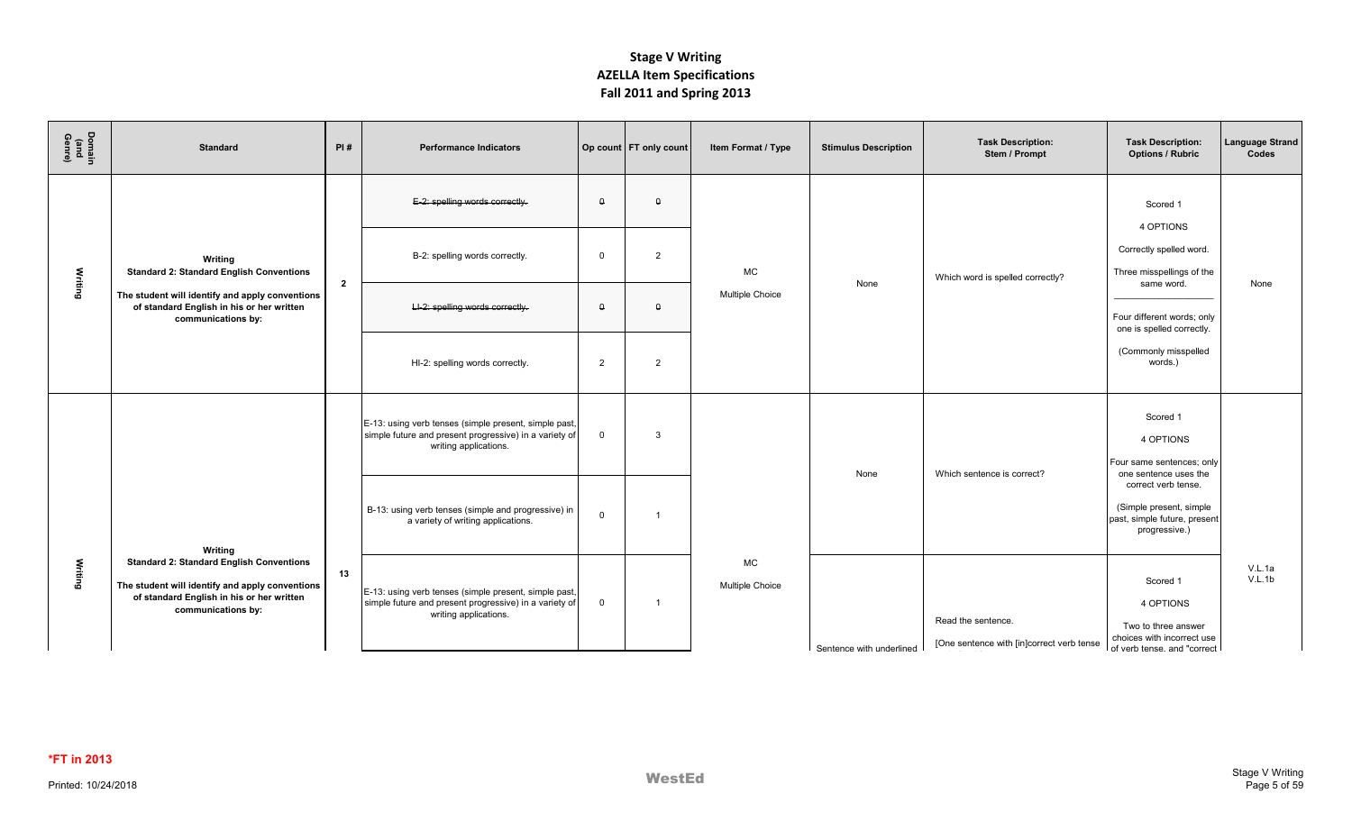| Domain<br>(and<br>Genre) | <b>Standard</b>                                                                                                                                                       | PI#            | <b>Performance Indicators</b>                                                                                                            |                | Op count FT only count | Item Format / Type                  | <b>Stimulus Description</b> | <b>Task Description:</b><br>Stem / Prompt                       | <b>Task Description:</b><br><b>Options / Rubric</b>                                                       | <b>Language Strand</b><br>Codes |
|--------------------------|-----------------------------------------------------------------------------------------------------------------------------------------------------------------------|----------------|------------------------------------------------------------------------------------------------------------------------------------------|----------------|------------------------|-------------------------------------|-----------------------------|-----------------------------------------------------------------|-----------------------------------------------------------------------------------------------------------|---------------------------------|
|                          |                                                                                                                                                                       |                | E-2: spelling words correctly.                                                                                                           | $\theta$       | $\theta$               |                                     |                             |                                                                 | Scored 1                                                                                                  |                                 |
|                          | Writing<br><b>Standard 2: Standard English Conventions</b>                                                                                                            | $\overline{2}$ | B-2: spelling words correctly.                                                                                                           | $\Omega$       | 2                      | <b>MC</b>                           | None                        | Which word is spelled correctly?                                | 4 OPTIONS<br>Correctly spelled word.<br>Three misspellings of the<br>same word.                           | None                            |
| Writing                  | The student will identify and apply conventions<br>of standard English in his or her written<br>communications by:                                                    |                | LI-2: spelling words correctly.                                                                                                          | $\theta$       | $\Omega$               | <b>Multiple Choice</b>              |                             |                                                                 | Four different words; only<br>one is spelled correctly.                                                   |                                 |
|                          |                                                                                                                                                                       |                | HI-2: spelling words correctly.                                                                                                          | $\overline{2}$ | 2                      |                                     |                             |                                                                 | (Commonly misspelled<br>words.)                                                                           |                                 |
|                          |                                                                                                                                                                       |                | E-13: using verb tenses (simple present, simple past,<br>simple future and present progressive) in a variety of<br>writing applications. | $\mathbf 0$    | $\mathbf{B}$           |                                     | None                        | Which sentence is correct?                                      | Scored 1<br>4 OPTIONS<br>Four same sentences; only<br>one sentence uses the                               |                                 |
|                          | Writing                                                                                                                                                               |                | B-13: using verb tenses (simple and progressive) in<br>a variety of writing applications.                                                | $\mathbf 0$    |                        |                                     |                             |                                                                 | correct verb tense.<br>(Simple present, simple<br>past, simple future, present<br>progressive.)           |                                 |
| Writing                  | <b>Standard 2: Standard English Conventions</b><br>The student will identify and apply conventions<br>of standard English in his or her written<br>communications by: | 13             | E-13: using verb tenses (simple present, simple past,<br>simple future and present progressive) in a variety of<br>writing applications. | $\overline{0}$ |                        | <b>MC</b><br><b>Multiple Choice</b> | Sentence with underlined    | Read the sentence.<br>[One sentence with [in]correct verb tense | Scored 1<br>4 OPTIONS<br>Two to three answer<br>choices with incorrect use<br>of verb tense, and "correct | V.L.1a<br>V.L.1b                |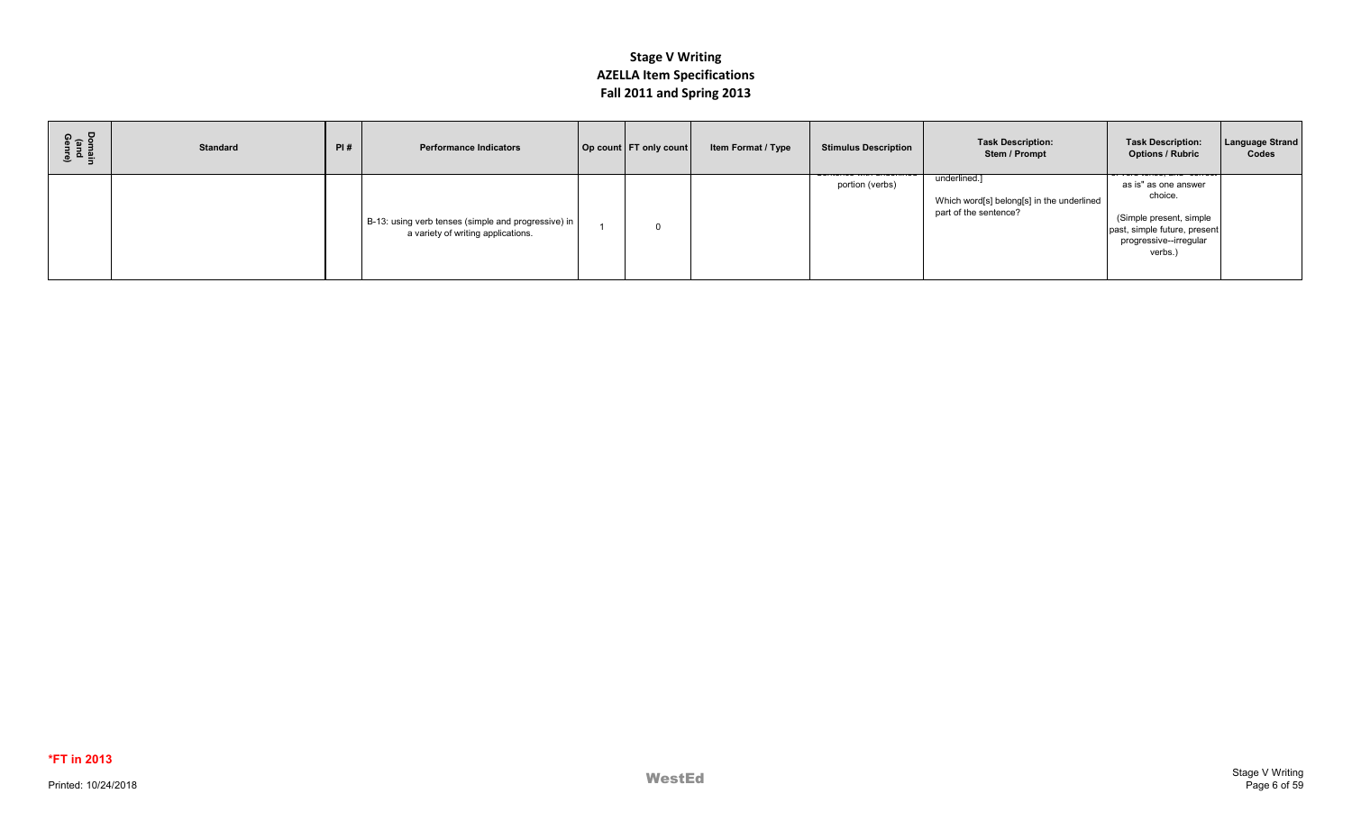| Domain<br>(and<br>Genre) | <b>Standard</b> | PI# | <b>Performance Indicators</b>                                                               | Op count FT only count | Item Format / Type | <b>Stimulus Description</b> | <b>Task Description:</b><br>Stem / Prompt                                          | <b>Task Description:</b><br><b>Options / Rubric</b>                                                                             | <b>Language Strand</b><br>Codes |
|--------------------------|-----------------|-----|---------------------------------------------------------------------------------------------|------------------------|--------------------|-----------------------------|------------------------------------------------------------------------------------|---------------------------------------------------------------------------------------------------------------------------------|---------------------------------|
|                          |                 |     | B-13: using verb tenses (simple and progressive) in  <br>a variety of writing applications. |                        |                    | portion (verbs)             | underlined.]<br>Which word[s] belong[s] in the underlined<br>part of the sentence? | as is" as one answer<br>choice.<br>(Simple present, simple<br>past, simple future, present<br>progressive--irregular<br>verbs.) |                                 |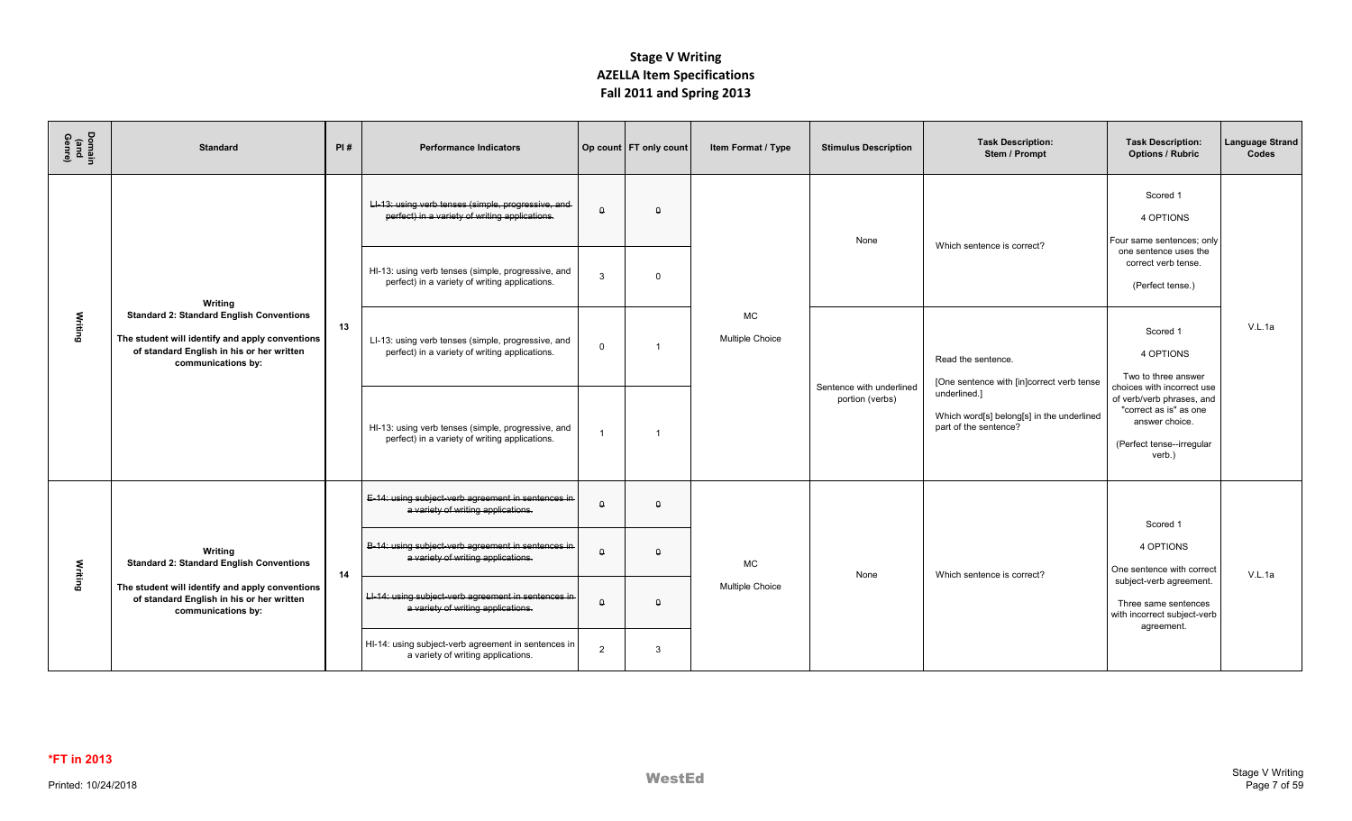| Domain<br>(and<br>Genre) | <b>Standard</b>                                                                                                                                                                             | PI# | <b>Performance Indicators</b>                                                                        |                      | Op count   FT only count | Item Format / Type           | <b>Stimulus Description</b> | <b>Task Description:</b><br>Stem / Prompt                                          | <b>Task Description:</b><br><b>Options / Rubric</b>                                                          | <b>Language Strand</b><br>Codes |
|--------------------------|---------------------------------------------------------------------------------------------------------------------------------------------------------------------------------------------|-----|------------------------------------------------------------------------------------------------------|----------------------|--------------------------|------------------------------|-----------------------------|------------------------------------------------------------------------------------|--------------------------------------------------------------------------------------------------------------|---------------------------------|
|                          |                                                                                                                                                                                             |     | LI-13: using verb tenses (simple, progressive, and<br>perfect) in a variety of writing applications. | $\hbox{\large\it q}$ | $\Omega$                 |                              | None                        | Which sentence is correct?                                                         | Scored 1<br>4 OPTIONS<br>Four same sentences; only                                                           |                                 |
|                          | Writing                                                                                                                                                                                     |     | HI-13: using verb tenses (simple, progressive, and<br>perfect) in a variety of writing applications. | $\mathbf{3}$         | $\Omega$                 |                              |                             |                                                                                    | one sentence uses the<br>correct verb tense.<br>(Perfect tense.)                                             |                                 |
| Writing                  | <b>Standard 2: Standard English Conventions</b><br>The student will identify and apply conventions<br>of standard English in his or her written<br>communications by:                       | 13  | LI-13: using verb tenses (simple, progressive, and<br>perfect) in a variety of writing applications. | $\mathbf 0$          |                          | MC<br><b>Multiple Choice</b> | Sentence with underlined    | Read the sentence.<br>[One sentence with [in]correct verb tense                    | Scored 1<br>4 OPTIONS<br>Two to three answer<br>choices with incorrect use                                   | V.L.1a                          |
|                          |                                                                                                                                                                                             |     | HI-13: using verb tenses (simple, progressive, and<br>perfect) in a variety of writing applications. | $\overline{1}$       | -1                       |                              | portion (verbs)             | underlined.]<br>Which word[s] belong[s] in the underlined<br>part of the sentence? | of verb/verb phrases, and<br>"correct as is" as one<br>answer choice.<br>(Perfect tense--irregular<br>verb.) |                                 |
|                          |                                                                                                                                                                                             |     | E-14: using subject-verb agreement in sentences in<br>a variety of writing applications.             | $\hbox{\large\it q}$ | $\Omega$                 |                              |                             |                                                                                    | Scored 1                                                                                                     |                                 |
|                          | Writing<br><b>Standard 2: Standard English Conventions</b><br>Writing<br>The student will identify and apply conventions<br>of standard English in his or her written<br>communications by: | 14  | B-14: using subject-verb agreement in sentences in-<br>a variety of writing applications.            | $\theta$             | $\Omega$                 | МC<br><b>Multiple Choice</b> | None                        | Which sentence is correct?                                                         | 4 OPTIONS<br>One sentence with correct                                                                       | V.L.1a                          |
|                          |                                                                                                                                                                                             |     | LI-14: using subject-verb agreement in sentences in<br>a variety of writing applications.            | $\theta$             | $\theta$                 |                              |                             |                                                                                    | subject-verb agreement.<br>Three same sentences<br>with incorrect subject-verb<br>agreement.                 |                                 |
|                          |                                                                                                                                                                                             |     | HI-14: using subject-verb agreement in sentences in<br>a variety of writing applications.            | $\overline{2}$       | 3                        |                              |                             |                                                                                    |                                                                                                              |                                 |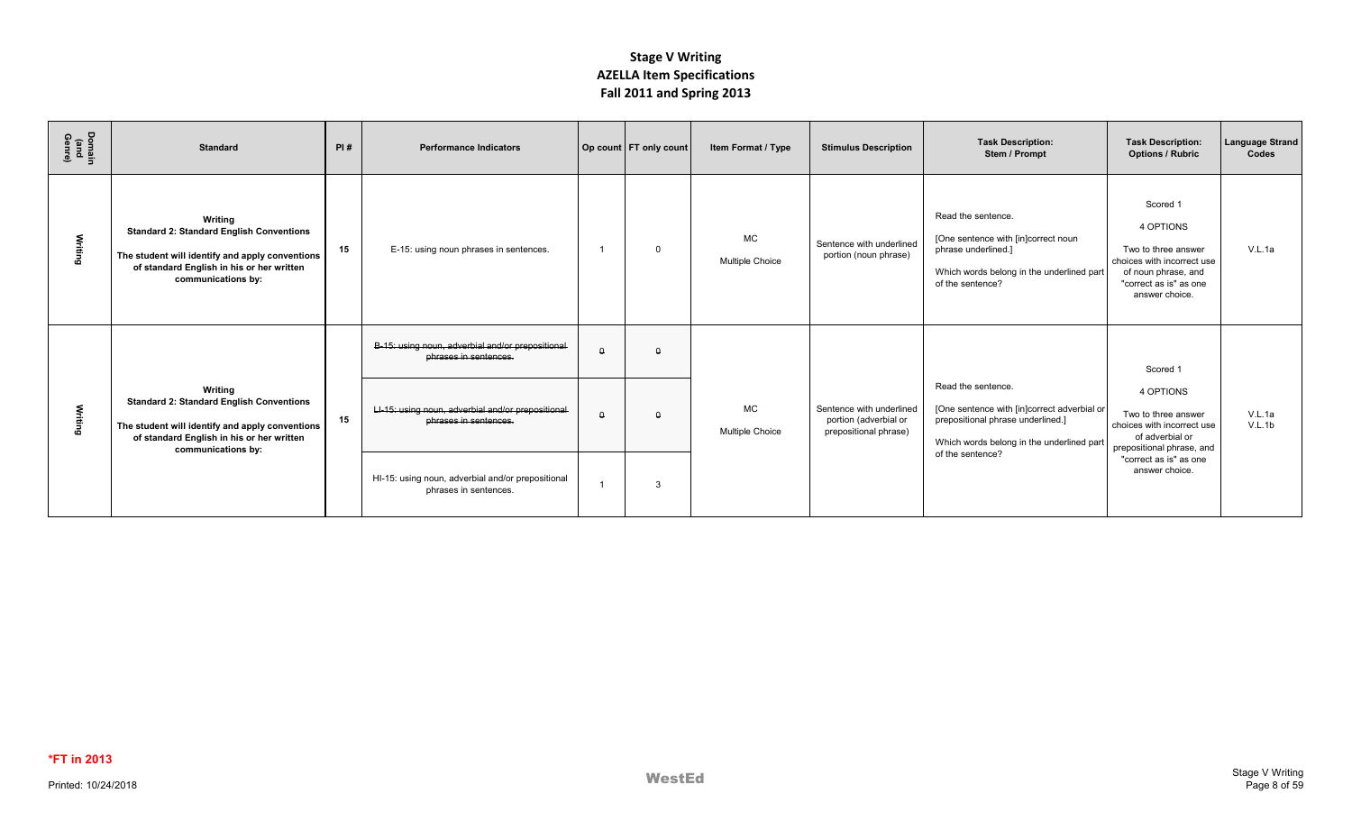| Domain<br>(and<br>Genre) | <b>Standard</b>                                                                                                                                                                  | PI# | <b>Performance Indicators</b>                                              |          | Op count   FT only count | Item Format / Type                  | <b>Stimulus Description</b>                                                | <b>Task Description:</b><br>Stem / Prompt                                                                                                           | <b>Task Description:</b><br><b>Options / Rubric</b>                                                                                           | <b>Language Strand</b><br>Codes |
|--------------------------|----------------------------------------------------------------------------------------------------------------------------------------------------------------------------------|-----|----------------------------------------------------------------------------|----------|--------------------------|-------------------------------------|----------------------------------------------------------------------------|-----------------------------------------------------------------------------------------------------------------------------------------------------|-----------------------------------------------------------------------------------------------------------------------------------------------|---------------------------------|
| Writing                  | Writing<br><b>Standard 2: Standard English Conventions</b><br>The student will identify and apply conventions<br>of standard English in his or her written<br>communications by: | 15  | E-15: using noun phrases in sentences.                                     |          | $\Omega$                 | <b>MC</b><br><b>Multiple Choice</b> | Sentence with underlined<br>portion (noun phrase)                          | Read the sentence.<br>[One sentence with [in]correct noun<br>phrase underlined.]<br>Which words belong in the underlined part<br>of the sentence?   | Scored 1<br>4 OPTIONS<br>Two to three answer<br>choices with incorrect use<br>of noun phrase, and<br>"correct as is" as one<br>answer choice. | V.L.1a                          |
|                          |                                                                                                                                                                                  |     | B-15: using noun, adverbial and/or prepositional<br>phrases in sentences.  | $\Omega$ | $\Omega$                 |                                     |                                                                            |                                                                                                                                                     | Scored 1                                                                                                                                      |                                 |
| Writing                  | Writing<br><b>Standard 2: Standard English Conventions</b><br>The student will identify and apply conventions<br>of standard English in his or her written<br>communications by: | 15  | LI-15: using noun, adverbial and/or prepositional<br>phrases in sentences. | $\Omega$ | $\Omega$                 | <b>MC</b><br><b>Multiple Choice</b> | Sentence with underlined<br>portion (adverbial or<br>prepositional phrase) | Read the sentence.<br>[One sentence with [in]correct adverbial or<br>prepositional phrase underlined.]<br>Which words belong in the underlined part | 4 OPTIONS<br>Two to three answer<br>choices with incorrect use<br>of adverbial or<br>prepositional phrase, and                                | V.L.1a<br>V.L.1b                |
|                          |                                                                                                                                                                                  |     | HI-15: using noun, adverbial and/or prepositional<br>phrases in sentences. |          | 3                        |                                     |                                                                            | of the sentence?                                                                                                                                    | "correct as is" as one<br>answer choice.                                                                                                      |                                 |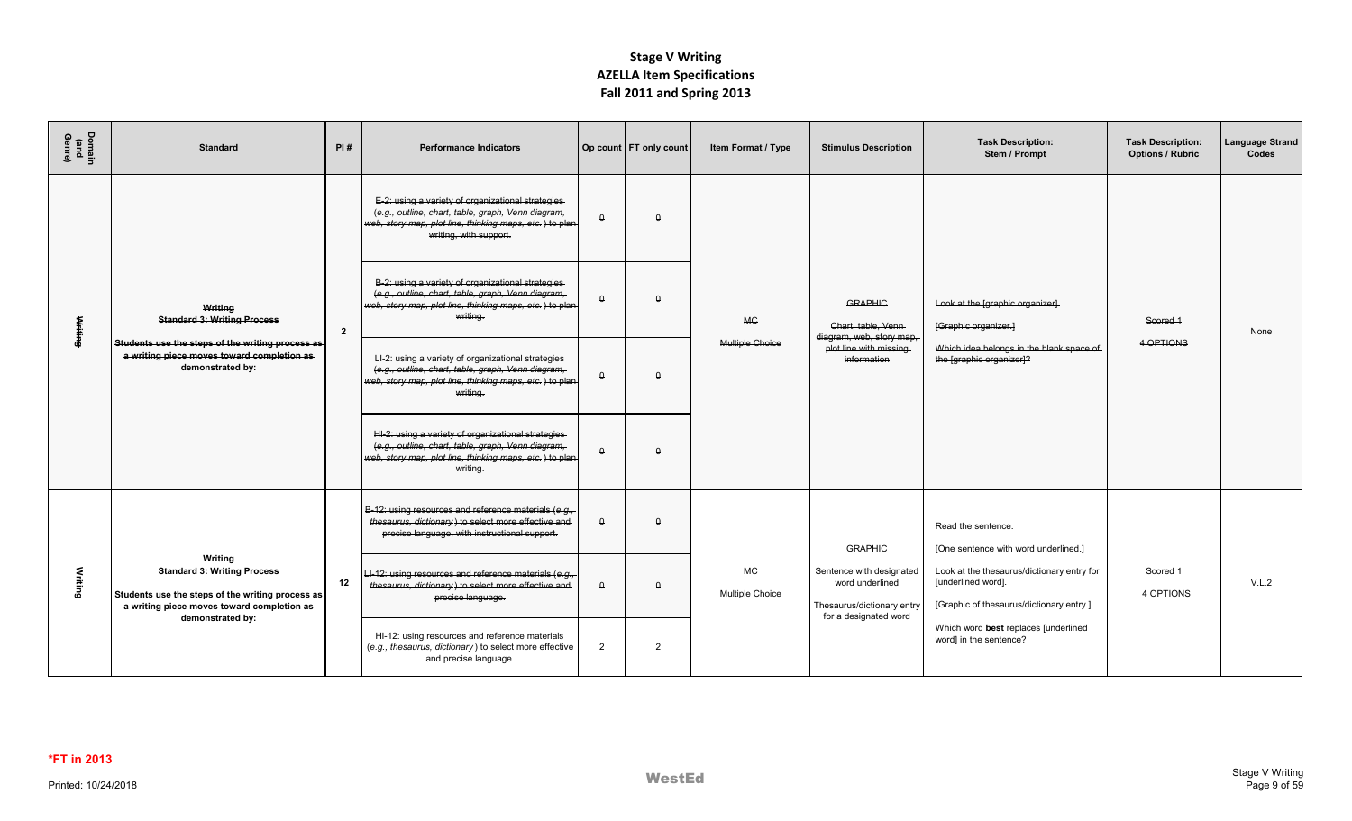| Domain<br>(and<br>Genre) | <b>Standard</b>                                                                                                                                 | PI#            | <b>Performance Indicators</b>                                                                                                                                                                |          | Op count   FT only count | Item Format / Type                  | <b>Stimulus Description</b>                                                                        | <b>Task Description:</b><br>Stem / Prompt                                                                    | <b>Task Description:</b><br><b>Options / Rubric</b> | <b>Language Strand</b><br>Codes |
|--------------------------|-------------------------------------------------------------------------------------------------------------------------------------------------|----------------|----------------------------------------------------------------------------------------------------------------------------------------------------------------------------------------------|----------|--------------------------|-------------------------------------|----------------------------------------------------------------------------------------------------|--------------------------------------------------------------------------------------------------------------|-----------------------------------------------------|---------------------------------|
|                          |                                                                                                                                                 |                | E-2: using a variety of organizational strategies<br>(e.g., outline, chart, table, graph, Venn diagram,<br>web, story map, plot line, thinking maps, etc.) to plan<br>writing, with support. | $\Omega$ | $\Omega$                 |                                     |                                                                                                    |                                                                                                              |                                                     |                                 |
| <b>Writing</b>           | Writing<br><b>Standard 3: Writing Process</b>                                                                                                   | $\overline{2}$ | B-2: using a variety of organizational strategies<br>(e.g., outline, chart, table, graph, Venn diagram,<br>web, story map, plot line, thinking maps, etc.) to plan<br>writing.               | $\Omega$ | $\Omega$                 | <b>MG</b>                           | <b>GRAPHIC</b><br>Chart, table, Venn                                                               | Look at the [graphic organizer].<br>[Graphic organizer.]                                                     | Scored 1                                            | <b>None</b>                     |
|                          | Students use the steps of the writing process as<br>a writing piece moves toward completion as<br>demonstrated by:                              |                | LI-2: using a variety of organizational strategies<br>(e.g., outline, chart, table, graph, Venn diagram,<br>web, story map, plot line, thinking maps, etc.) to plan<br>writing.              | $\Omega$ | $\Omega$                 | <b>Multiple Choice</b>              | diagram, web, story map,<br>plot line with missing<br>information                                  | Which idea belongs in the blank space of<br>the [graphic organizer]?                                         | 4 OPTIONS                                           |                                 |
|                          |                                                                                                                                                 |                | HI-2: using a variety of organizational strategies-<br>(e.g., outline, chart, table, graph, Venn diagram,<br>web, story map, plot line, thinking maps, etc.) to plan<br>writing.             | $\theta$ | $\theta$                 |                                     |                                                                                                    |                                                                                                              |                                                     |                                 |
|                          |                                                                                                                                                 |                | B-12: using resources and reference materials (e.g.,<br>thesaurus, dictionary) to select more effective and<br>precise language, with instructional support.                                 | $\theta$ | $\Omega$                 |                                     | <b>GRAPHIC</b>                                                                                     | Read the sentence.<br>[One sentence with word underlined.]                                                   |                                                     |                                 |
| Writing                  | Writing<br><b>Standard 3: Writing Process</b><br>Students use the steps of the writing process as<br>a writing piece moves toward completion as | 12             | LI-12: using resources and reference materials (e.g.,<br>thesaurus, dictionary) to select more effective and<br>precise language.                                                            | $\Omega$ | $\theta$                 | <b>MC</b><br><b>Multiple Choice</b> | Sentence with designated<br>word underlined<br>Thesaurus/dictionary entry<br>for a designated word | Look at the thesaurus/dictionary entry for<br>[underlined word].<br>[Graphic of thesaurus/dictionary entry.] | Scored 1<br>4 OPTIONS                               | V.L.2                           |
|                          | demonstrated by:                                                                                                                                |                | HI-12: using resources and reference materials<br>(e.g., thesaurus, dictionary) to select more effective<br>and precise language.                                                            | 2        | $\overline{2}$           |                                     |                                                                                                    | Which word best replaces [underlined<br>word] in the sentence?                                               |                                                     |                                 |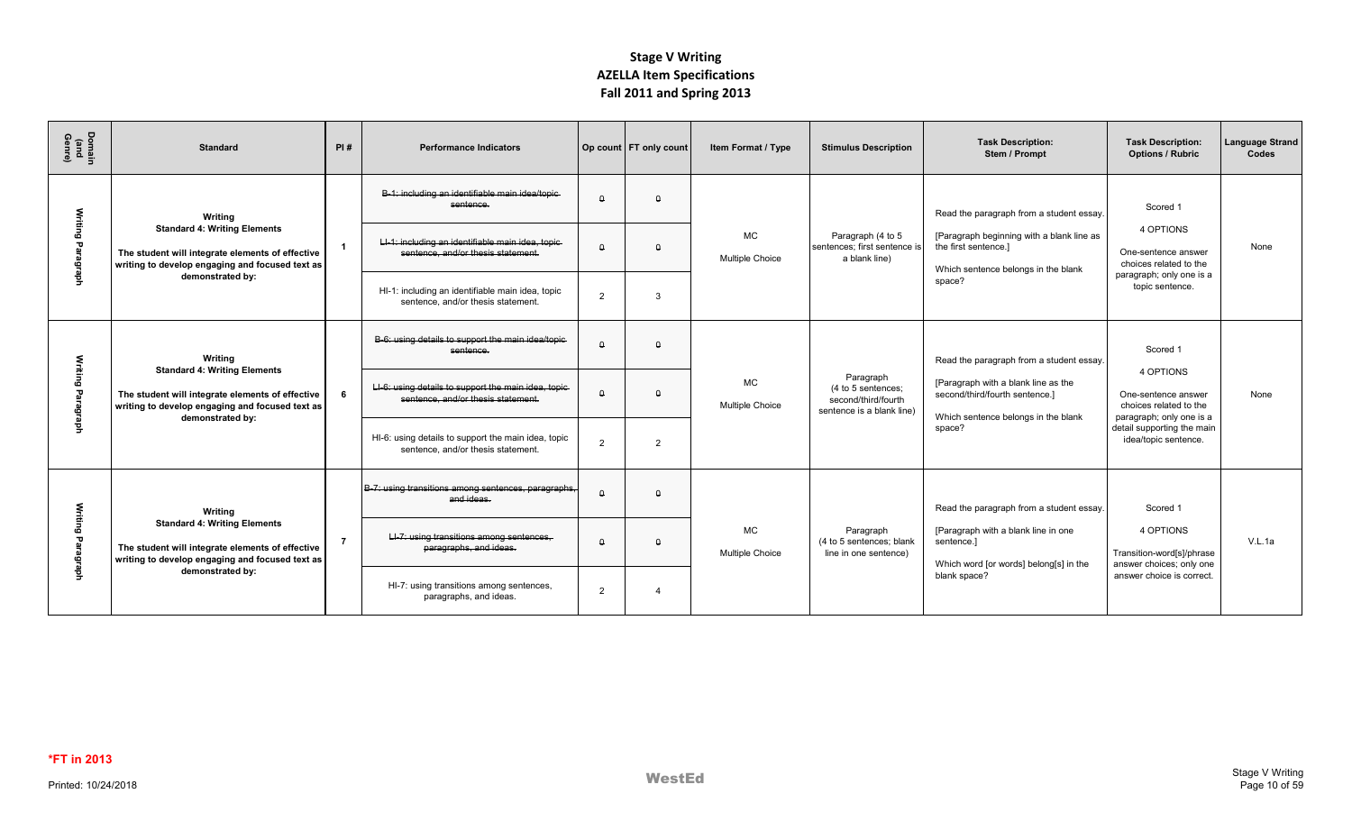| Domain<br>(and<br>Genre)  | <b>Standard</b>                                                                                                                            | PI# | <b>Performance Indicators</b>                                                              |          | Op count FT only count | Item Format / Type                  | <b>Stimulus Description</b>                                                         | <b>Task Description:</b><br>Stem / Prompt                                                                    | <b>Task Description:</b><br><b>Options / Rubric</b>                                    | <b>Language Strand</b><br>Codes |
|---------------------------|--------------------------------------------------------------------------------------------------------------------------------------------|-----|--------------------------------------------------------------------------------------------|----------|------------------------|-------------------------------------|-------------------------------------------------------------------------------------|--------------------------------------------------------------------------------------------------------------|----------------------------------------------------------------------------------------|---------------------------------|
| Writing                   | Writina<br><b>Standard 4: Writing Elements</b>                                                                                             |     | B-1; including an identifiable main idea/topic-<br>sentence.                               | $\Omega$ | $\Omega$               |                                     |                                                                                     | Read the paragraph from a student essay.                                                                     | Scored 1<br>4 OPTIONS                                                                  |                                 |
| P<br>aragraph             | The student will integrate elements of effective<br>writing to develop engaging and focused text as                                        |     | LI-1: including an identifiable main idea, topic-<br>sentence, and/or thesis statement.    | $\theta$ | $\Omega$               | <b>MC</b><br><b>Multiple Choice</b> | Paragraph (4 to 5<br>sentences: first sentence is<br>a blank line)                  | [Paragraph beginning with a blank line as<br>the first sentence.]<br>Which sentence belongs in the blank     | One-sentence answer<br>choices related to the<br>paragraph; only one is a              | None                            |
|                           | demonstrated by:                                                                                                                           |     | HI-1: including an identifiable main idea, topic<br>sentence, and/or thesis statement.     | 2        | 3                      |                                     |                                                                                     | space?                                                                                                       | topic sentence.                                                                        |                                 |
|                           | Writing<br><b>Standard 4: Writing Elements</b>                                                                                             |     | B-6: using details to support the main idea/topic-<br>sentence.                            | $\Omega$ | $\Omega$               |                                     |                                                                                     | Read the paragraph from a student essay.                                                                     | Scored 1                                                                               |                                 |
| Writing<br>Ъã<br>aragraph | The student will integrate elements of effective<br>writing to develop engaging and focused text as<br>demonstrated by:                    | 6   | LI-6: using details to support the main idea, topic-<br>sentence, and/or thesis statement. | $\theta$ | $\Omega$               | <b>MC</b><br><b>Multiple Choice</b> | Paragraph<br>(4 to 5 sentences:<br>second/third/fourth<br>sentence is a blank line) | [Paragraph with a blank line as the<br>second/third/fourth sentence.]<br>Which sentence belongs in the blank | 4 OPTIONS<br>One-sentence answer<br>choices related to the<br>paragraph; only one is a | None                            |
|                           |                                                                                                                                            |     | HI-6: using details to support the main idea, topic<br>sentence, and/or thesis statement.  | 2        | $\overline{2}$         |                                     |                                                                                     | space?                                                                                                       | detail supporting the main<br>idea/topic sentence.                                     |                                 |
| Writing                   | Writing                                                                                                                                    |     | B-7: using transitions among sentences, paragraphs,<br>and ideas.                          | $\Omega$ | $\Omega$               |                                     |                                                                                     | Read the paragraph from a student essay.                                                                     | Scored 1                                                                               |                                 |
| Paragraph                 | <b>Standard 4: Writing Elements</b><br>The student will integrate elements of effective<br>writing to develop engaging and focused text as |     | LI-7: using transitions among sentences,<br>paragraphs, and ideas.                         | $\theta$ | $\Omega$               | <b>MC</b><br><b>Multiple Choice</b> | Paragraph<br>(4 to 5 sentences; blank<br>line in one sentence)                      | [Paragraph with a blank line in one<br>sentence.]<br>Which word [or words] belong[s] in the                  | 4 OPTIONS<br>Transition-word[s]/phrase<br>answer choices; only one                     | V.L.1a                          |
|                           | demonstrated by:                                                                                                                           |     | HI-7: using transitions among sentences,<br>paragraphs, and ideas.                         | 2        | $\Delta$               |                                     |                                                                                     | blank space?                                                                                                 | answer choice is correct.                                                              |                                 |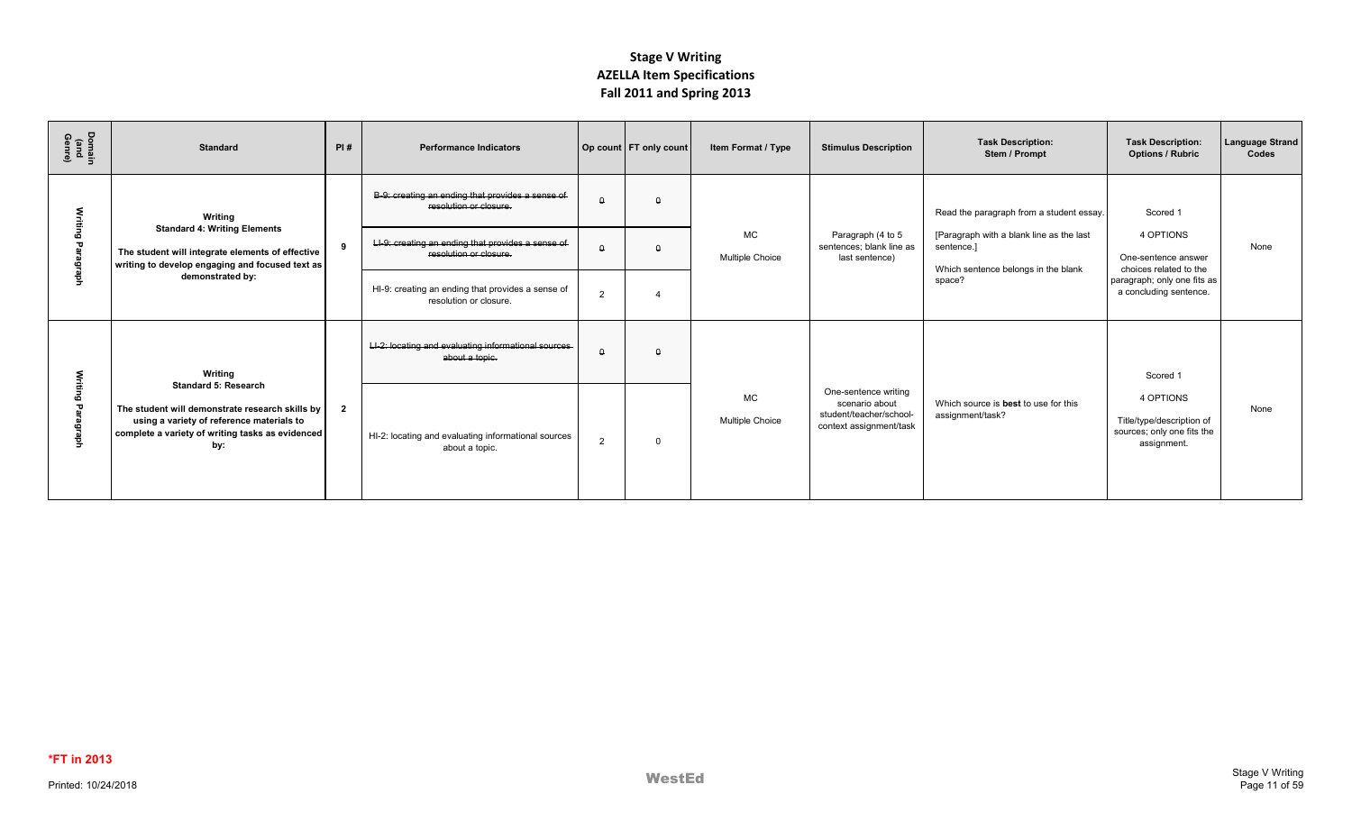| Domain<br>(and<br>Genre) | <b>Standard</b>                                                                                                                                                                        | PI#            | <b>Performance Indicators</b>                                               |                | Op count FT only count | Item Format / Type           | <b>Stimulus Description</b>                                                                  | <b>Task Description:</b><br>Stem / Prompt                                                     | <b>Task Description:</b><br><b>Options / Rubric</b>                                 | <b>Language Strand</b><br>Codes |
|--------------------------|----------------------------------------------------------------------------------------------------------------------------------------------------------------------------------------|----------------|-----------------------------------------------------------------------------|----------------|------------------------|------------------------------|----------------------------------------------------------------------------------------------|-----------------------------------------------------------------------------------------------|-------------------------------------------------------------------------------------|---------------------------------|
|                          | Writing                                                                                                                                                                                |                | B-9: creating an ending that provides a sense of<br>resolution or closure.  | $\Omega$       | $\Omega$               |                              |                                                                                              | Read the paragraph from a student essay.                                                      | Scored 1                                                                            |                                 |
| ٩                        | <b>Standard 4: Writing Elements</b><br>The student will integrate elements of effective<br>writing to develop engaging and focused text as                                             | 9              | LI-9: creating an ending that provides a sense of<br>resolution or closure. |                | $\Omega$               | <b>MC</b><br>Multiple Choice | Paragraph (4 to 5<br>sentences; blank line as<br>last sentence)                              | [Paragraph with a blank line as the last<br>sentence.]<br>Which sentence belongs in the blank | 4 OPTIONS<br>One-sentence answer<br>choices related to the                          | None                            |
|                          | demonstrated by:                                                                                                                                                                       |                | HI-9: creating an ending that provides a sense of<br>resolution or closure. | $\overline{2}$ |                        |                              |                                                                                              | space?                                                                                        | paragraph; only one fits as<br>a concluding sentence.                               |                                 |
|                          | Writing                                                                                                                                                                                |                | LI-2: locating and evaluating informational sources<br>about a topic.       | $\Omega$       | $\Omega$               |                              |                                                                                              |                                                                                               | Scored 1                                                                            |                                 |
|                          | <b>Standard 5: Research</b><br>The student will demonstrate research skills by<br>using a variety of reference materials to<br>complete a variety of writing tasks as evidenced<br>by: | $\overline{2}$ | HI-2: locating and evaluating informational sources<br>about a topic.       | $\overline{2}$ | $\Omega$               | МC<br><b>Multiple Choice</b> | One-sentence writing<br>scenario about<br>student/teacher/school-<br>context assignment/task | Which source is best to use for this<br>assignment/task?                                      | 4 OPTIONS<br>Title/type/description of<br>sources; only one fits the<br>assignment. | None                            |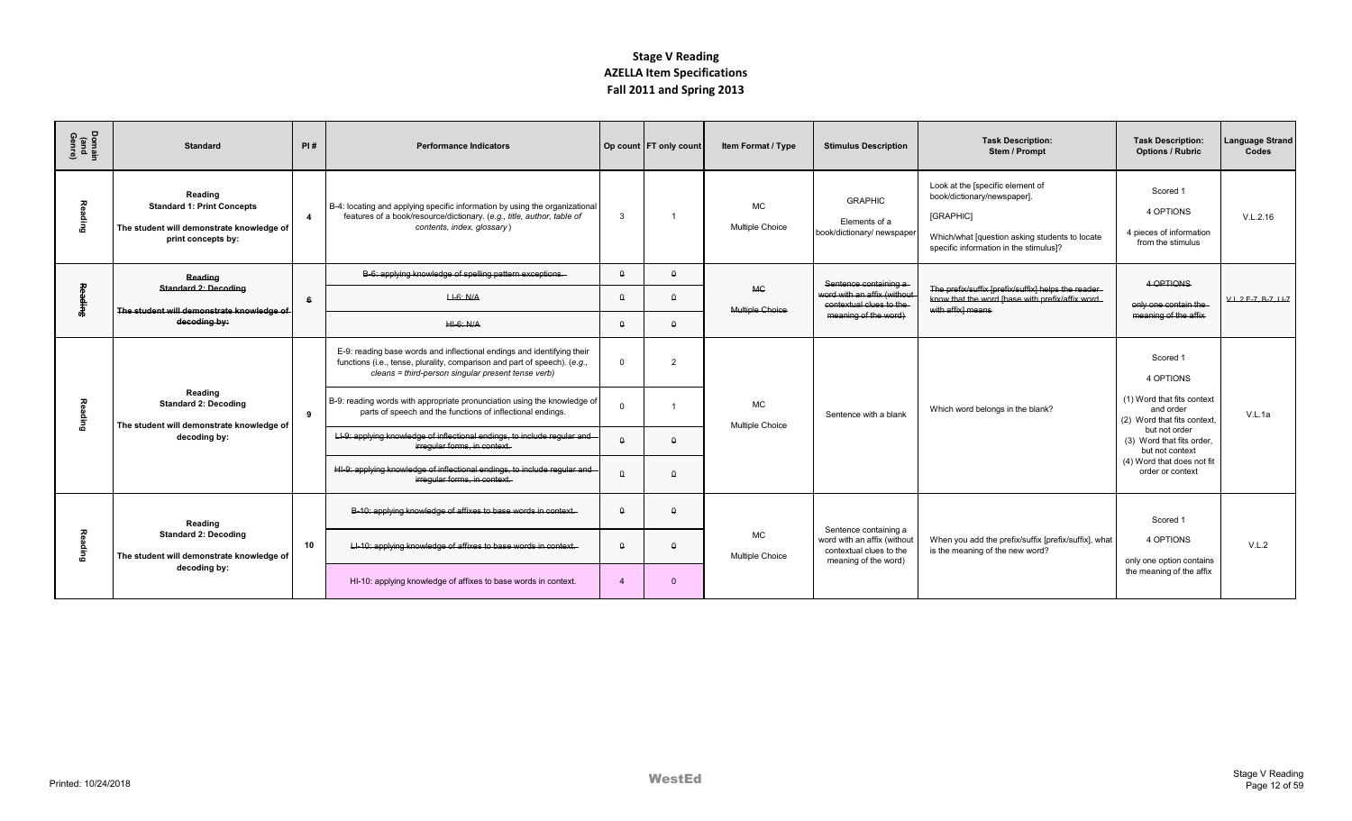| Domain<br>(and<br>Genre) | <b>Standard</b>                                                                                                 | PI#            | <b>Performance Indicators</b>                                                                                                                                                                                                                                                                                                                                                                                                                                                                                                                                               |                                                 | Op count FT only count           | Item Format / Type                  | <b>Stimulus Description</b>                                                                             | <b>Task Description:</b><br>Stem / Prompt                                                                                                                                | <b>Task Description:</b><br><b>Options / Rubric</b>                                                                                                                                                               | <b>Language Strand</b><br>Codes |
|--------------------------|-----------------------------------------------------------------------------------------------------------------|----------------|-----------------------------------------------------------------------------------------------------------------------------------------------------------------------------------------------------------------------------------------------------------------------------------------------------------------------------------------------------------------------------------------------------------------------------------------------------------------------------------------------------------------------------------------------------------------------------|-------------------------------------------------|----------------------------------|-------------------------------------|---------------------------------------------------------------------------------------------------------|--------------------------------------------------------------------------------------------------------------------------------------------------------------------------|-------------------------------------------------------------------------------------------------------------------------------------------------------------------------------------------------------------------|---------------------------------|
| 짛<br><b>Super</b>        | Reading<br><b>Standard 1: Print Concepts</b><br>The student will demonstrate knowledge of<br>print concepts by: | $\overline{4}$ | B-4: locating and applying specific information by using the organizational<br>features of a book/resource/dictionary. (e.g., title, author, table of<br>contents, index, glossary)                                                                                                                                                                                                                                                                                                                                                                                         | $\mathbf{3}$                                    |                                  | <b>MC</b><br><b>Multiple Choice</b> | <b>GRAPHIC</b><br>Elements of a<br>book/dictionary/ newspaper                                           | Look at the [specific element of<br>book/dictionary/newspaper].<br>[GRAPHIC]<br>Which/what [question asking students to locate<br>specific information in the stimulus]? | Scored 1<br>4 OPTIONS<br>4 pieces of information<br>from the stimulus                                                                                                                                             | V.L.2.16                        |
|                          | Reading<br><b>Standard 2: Decoding</b>                                                                          |                | B-6: applying knowledge of spelling pattern exceptions.                                                                                                                                                                                                                                                                                                                                                                                                                                                                                                                     | $\theta$                                        | $\theta$                         | <b>MC</b>                           | Sentence containing a                                                                                   | The prefix/suffix [prefix/suffix] helps the reader-                                                                                                                      | 4 OPTIONS                                                                                                                                                                                                         |                                 |
|                          | The student will demonstrate knowledge of<br>decoding by:                                                       | 6              | $H-6$ : N/A<br>$H - 6$ : N/A                                                                                                                                                                                                                                                                                                                                                                                                                                                                                                                                                | $\theta$<br>$\theta$                            | $\Omega$<br>$\theta$             | Multiple Choice                     | word with an affix (without<br>contextual clues to the<br>meaning of the word)                          | know that the word [base with prefix/affix word<br>with affixl means                                                                                                     | only one contain the<br>meaning of the affix                                                                                                                                                                      | $V.L.2.E.7.B.7.LI-7$            |
| Reading                  | Reading<br><b>Standard 2: Decoding</b><br>The student will demonstrate knowledge of<br>decoding by:             | 9              | E-9: reading base words and inflectional endings and identifying their<br>functions (i.e., tense, plurality, comparison and part of speech). (e.g.,<br>cleans = third-person singular present tense verb)<br>B-9: reading words with appropriate pronunciation using the knowledge of<br>parts of speech and the functions of inflectional endings.<br>LI-9: applying knowledge of inflectional endings, to include regular and<br>irregular forms, in context.<br>HI-9: applying knowledge of inflectional endings, to include regular and<br>irregular forms, in context. | $\Omega$<br>$\theta$<br>$\theta$                | $\mathcal{D}$<br>$\Omega$        | MC<br><b>Multiple Choice</b>        | Sentence with a blank                                                                                   | Which word belongs in the blank?                                                                                                                                         | Scored 1<br>4 OPTIONS<br>(1) Word that fits context<br>and order<br>(2) Word that fits context<br>but not order<br>(3) Word that fits order.<br>but not context<br>(4) Word that does not fit<br>order or context | V.L.1a                          |
| <b>Reading</b>           | Reading<br><b>Standard 2: Decoding</b><br>The student will demonstrate knowledge of<br>decoding by:             | 10             | B-10: applying knowledge of affixes to base words in context.<br>LI-10: applying knowledge of affixes to base words in context.<br>HI-10: applying knowledge of affixes to base words in context.                                                                                                                                                                                                                                                                                                                                                                           | $\theta$<br>$\theta$<br>$\overline{\mathbf{A}}$ | $\Omega$<br>$\theta$<br>$\Omega$ | MC<br><b>Multiple Choice</b>        | Sentence containing a<br>word with an affix (without<br>contextual clues to the<br>meaning of the word) | When you add the prefix/suffix [prefix/suffix], what<br>is the meaning of the new word?                                                                                  | Scored 1<br>4 OPTIONS<br>only one option contains<br>the meaning of the affix                                                                                                                                     | V.L.2                           |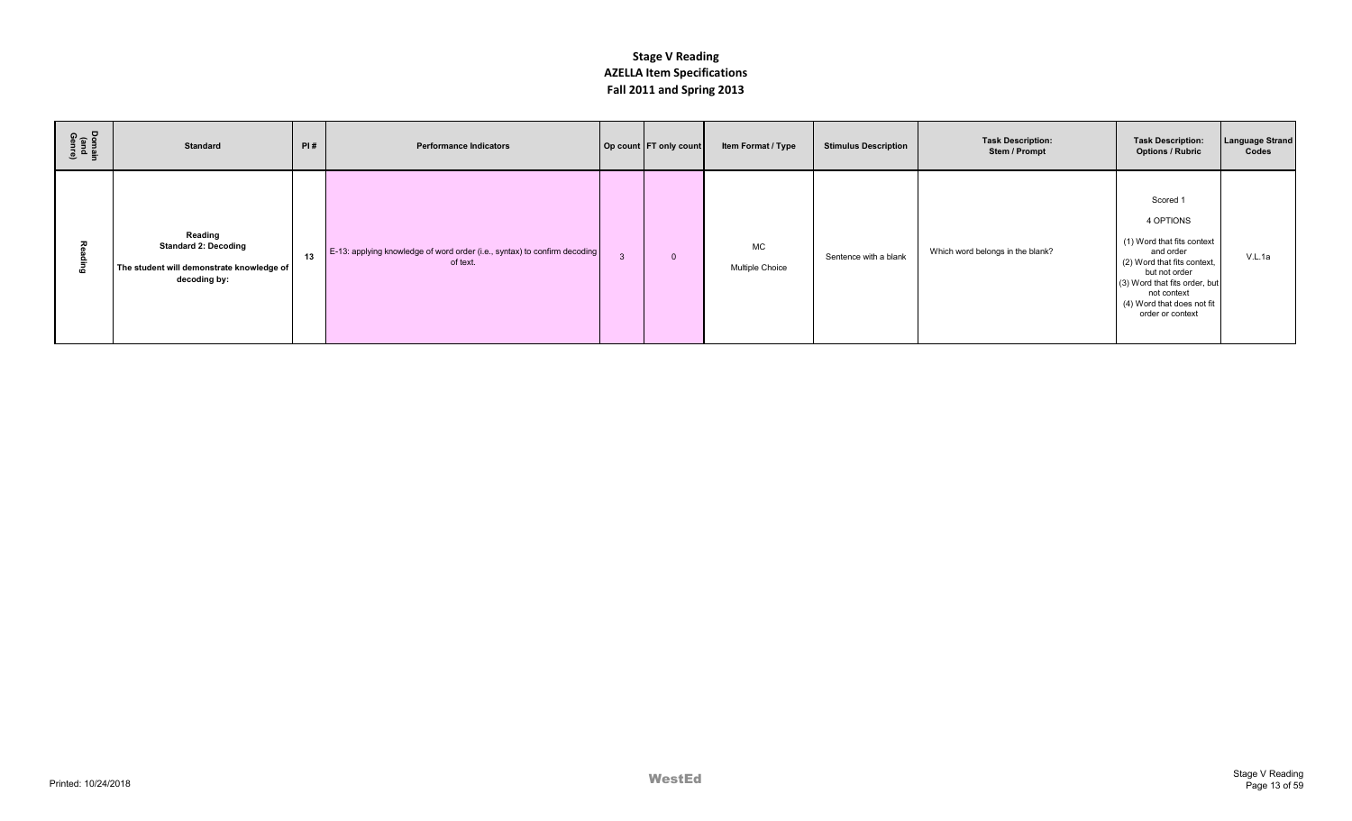| Domain<br>(and<br>Genre) | <b>Standard</b>                                                                                     | PI# | <b>Performance Indicators</b>                                                         |   | Op count FT only count | Item Format / Type           | <b>Stimulus Description</b> | <b>Task Description:</b><br>Stem / Prompt | <b>Task Description:</b><br><b>Options / Rubric</b>                                                                                                                                                                | <b>Language Strand</b><br>Codes |
|--------------------------|-----------------------------------------------------------------------------------------------------|-----|---------------------------------------------------------------------------------------|---|------------------------|------------------------------|-----------------------------|-------------------------------------------|--------------------------------------------------------------------------------------------------------------------------------------------------------------------------------------------------------------------|---------------------------------|
| ō                        | Reading<br><b>Standard 2: Decoding</b><br>The student will demonstrate knowledge of<br>decoding by: | 13  | E-13: applying knowledge of word order (i.e., syntax) to confirm decoding<br>of text. | 3 | $\Omega$               | MC<br><b>Multiple Choice</b> | Sentence with a blank       | Which word belongs in the blank?          | Scored 1<br>4 OPTIONS<br>(1) Word that fits context<br>and order<br>(2) Word that fits context,<br>but not order<br>(3) Word that fits order, but<br>not context<br>(4) Word that does not fit<br>order or context | V.L.1a                          |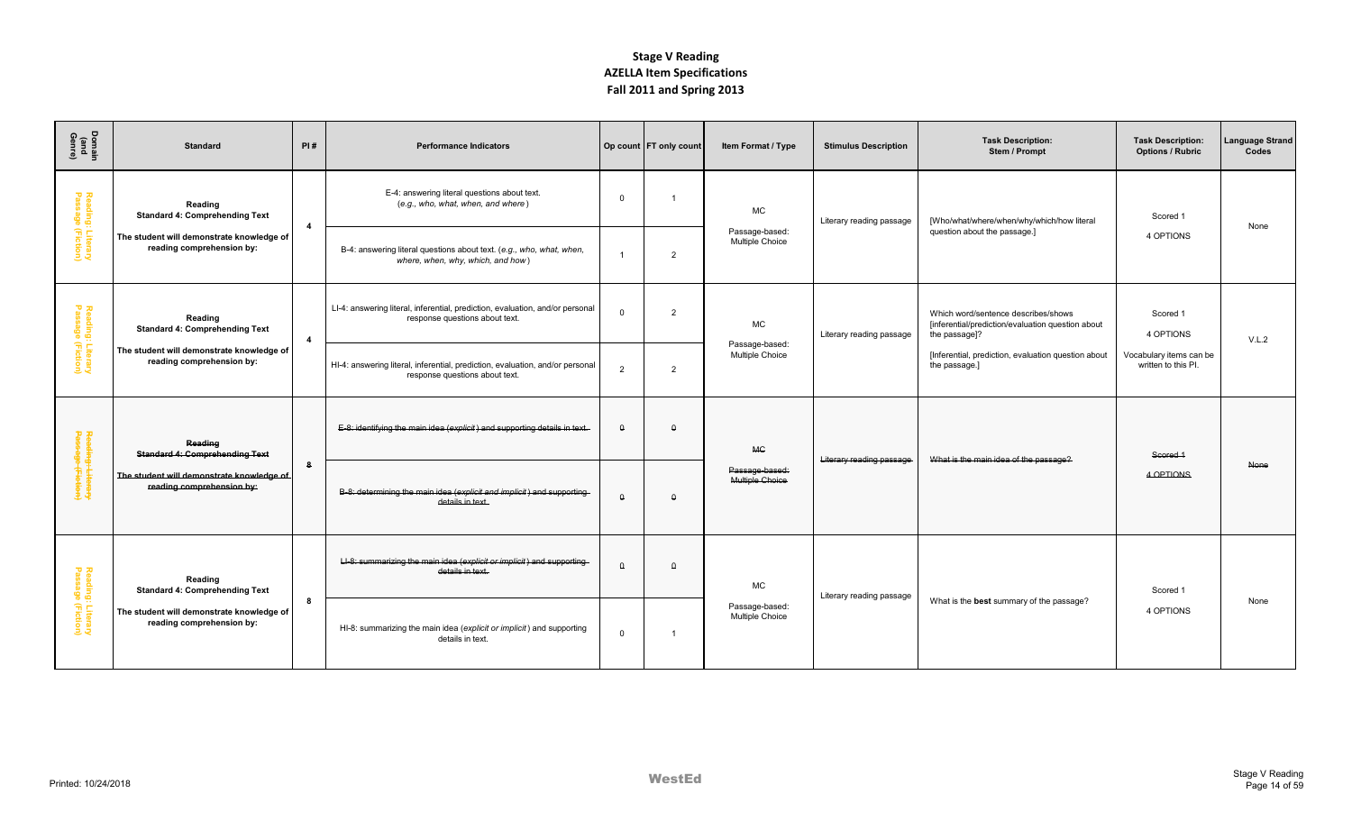| Domain<br>(and<br>Genre)               | <b>Standard</b>                                                        | PI#            | <b>Performance Indicators</b>                                                                                   |          | Op count FT only count | Item Format / Type                       | <b>Stimulus Description</b> | <b>Task Description:</b><br>Stem / Prompt                                                                 | <b>Task Description:</b><br><b>Options / Rubric</b> | Language Strand<br>Codes |
|----------------------------------------|------------------------------------------------------------------------|----------------|-----------------------------------------------------------------------------------------------------------------|----------|------------------------|------------------------------------------|-----------------------------|-----------------------------------------------------------------------------------------------------------|-----------------------------------------------------|--------------------------|
| Reading: Literary<br>Passage (Fiction) | Reading<br><b>Standard 4: Comprehending Text</b>                       | $\overline{4}$ | E-4: answering literal questions about text.<br>(e.g., who, what, when, and where)                              | $\Omega$ |                        | <b>MC</b>                                | Literary reading passage    | [Who/what/where/when/why/which/how literal                                                                | Scored 1                                            | None                     |
|                                        | The student will demonstrate knowledge of<br>reading comprehension by: |                | B-4: answering literal questions about text. (e.g., who, what, when,<br>where, when, why, which, and how)       |          | 2                      | Passage-based:<br>Multiple Choice        |                             | question about the passage.]                                                                              | 4 OPTIONS                                           |                          |
| Reading: Literary<br>Passage (Fiction) | Reading<br><b>Standard 4: Comprehending Text</b>                       | $\overline{4}$ | LI-4: answering literal, inferential, prediction, evaluation, and/or personal<br>response questions about text. | $\Omega$ | 2                      | <b>MC</b>                                | Literary reading passage    | Which word/sentence describes/shows<br>[inferential/prediction/evaluation question about<br>the passage]? | Scored 1<br>4 OPTIONS                               | V.L.2                    |
|                                        | The student will demonstrate knowledge of<br>reading comprehension by: |                | HI-4: answering literal, inferential, prediction, evaluation, and/or personal<br>response questions about text. | 2        | $\overline{2}$         | Passage-based:<br>Multiple Choice        |                             | [Inferential, prediction, evaluation question about<br>the passage.]                                      | Vocabulary items can be<br>written to this PI.      |                          |
|                                        | Reading<br><b>Standard 4: Comprehending Text</b>                       |                | E-8: identifying the main idea (explicit) and supporting details in text.                                       | $\Omega$ | $\theta$               | <b>MC</b>                                |                             | What is the main idea of the passage?                                                                     | Scored 1                                            |                          |
| Reading: Literary<br>Passage (Fiction) | The student will demonstrate knowledge of<br>reading comprehension by: | 8              | B-8: determining the main idea (explicit and implicit) and supporting-<br>details in text.                      | $\theta$ | $\theta$               | Passage-based:<br>Multiple Choice        | Literary reading passage    |                                                                                                           | 4 OPTIONS                                           | None                     |
|                                        | Reading<br><b>Standard 4: Comprehending Text</b>                       |                | LI-8: summarizing the main idea (explicit or implicit) and supporting-<br>details in text.                      | Δ        | $\Omega$               | <b>MC</b>                                | Literary reading passage    |                                                                                                           | Scored 1                                            |                          |
| Reading: Literary<br>Passage (Fiction) | The student will demonstrate knowledge of<br>reading comprehension by: | 8              | HI-8: summarizing the main idea (explicit or implicit) and supporting<br>details in text.                       | $\Omega$ |                        | Passage-based:<br><b>Multiple Choice</b> |                             | What is the best summary of the passage?                                                                  | 4 OPTIONS                                           | None                     |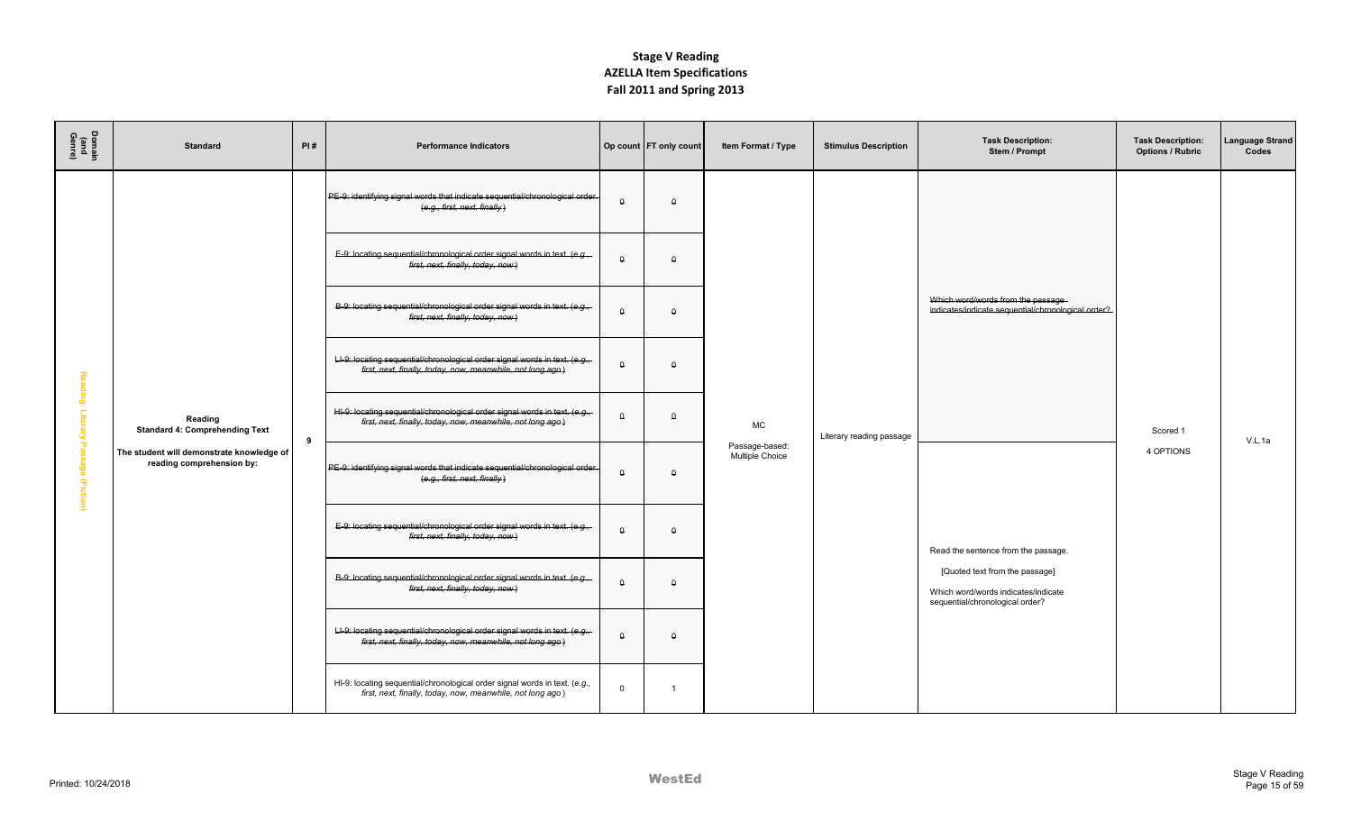| Domain<br>(and<br>Genre) | <b>Standard</b>                                                        | PI# | <b>Performance Indicators</b>                                                                                                             |             | Op count   FT only count | Item Format / Type                | <b>Stimulus Description</b> | <b>Task Description:</b><br>Stem / Prompt                                                                | <b>Task Description:</b><br><b>Options / Rubric</b> | anguage Strand<br>Codes |
|--------------------------|------------------------------------------------------------------------|-----|-------------------------------------------------------------------------------------------------------------------------------------------|-------------|--------------------------|-----------------------------------|-----------------------------|----------------------------------------------------------------------------------------------------------|-----------------------------------------------------|-------------------------|
|                          |                                                                        |     | PE-9: identifying signal words that indicate sequential/chronological order.<br>(e.g., first, next, finally)                              | $\theta$    | $\theta$                 |                                   |                             |                                                                                                          |                                                     |                         |
|                          |                                                                        |     | E-9: locating sequential/chronological order signal words in text. (e.g.,<br>first, next, finally, today, now)                            | $\theta$    | $\theta$                 |                                   |                             |                                                                                                          |                                                     |                         |
|                          |                                                                        |     | B-9: locating sequential/chronological order signal words in text. (e.g.,<br>first, next, finally, today, now)                            | $\theta$    | $\theta$                 |                                   |                             | Which word/words from the passage-<br>indicates/indicate sequential/chronological order?                 |                                                     |                         |
|                          |                                                                        |     | LI-9: locating sequential/chronological order signal words in text. (e.g.,<br>first, next, finally, today, now, meanwhile, not long ago)  | $\theta$    | $\theta$                 |                                   |                             |                                                                                                          |                                                     |                         |
| Reading: Lite<br>2       | Reading<br><b>Standard 4: Comprehending Text</b>                       | 9   | HI-9: locating sequential/chronological order signal words in text. (e.g.,-<br>first, next, finally, today, now, meanwhile, not long ago) | $\theta$    | $\theta$                 | MC                                | Literary reading passage    |                                                                                                          | Scored 1                                            | V.L.1a                  |
| Passage (Fiction)        | The student will demonstrate knowledge of<br>reading comprehension by: |     | PE-9: identifying signal words that indicate sequential/chronological order.<br>(e.g., first, next, finally)                              | $\theta$    | $\theta$                 | Passage-based:<br>Multiple Choice |                             |                                                                                                          | 4 OPTIONS                                           |                         |
|                          |                                                                        |     | E-9: locating sequential/chronological order signal words in text. (e.g.,<br>first, next, finally, today, now)                            | $\theta$    | $\theta$                 |                                   |                             | Read the sentence from the passage.                                                                      |                                                     |                         |
|                          |                                                                        |     | B-9: locating sequential/chronological order signal words in text. (e.g.,<br>first, next, finally, today, now)                            | $\theta$    | $\theta$                 |                                   |                             | [Quoted text from the passage]<br>Which word/words indicates/indicate<br>sequential/chronological order? |                                                     |                         |
|                          |                                                                        |     | LI-9: locating sequential/chronological order signal words in text. (e.g.,<br>first, next, finally, today, now, meanwhile, not long ago)  | $\theta$    | $\theta$                 |                                   |                             |                                                                                                          |                                                     |                         |
|                          |                                                                        |     | HI-9: locating sequential/chronological order signal words in text. (e.g.,<br>first, next, finally, today, now, meanwhile, not long ago)  | $\mathbf 0$ | $\overline{1}$           |                                   |                             |                                                                                                          |                                                     |                         |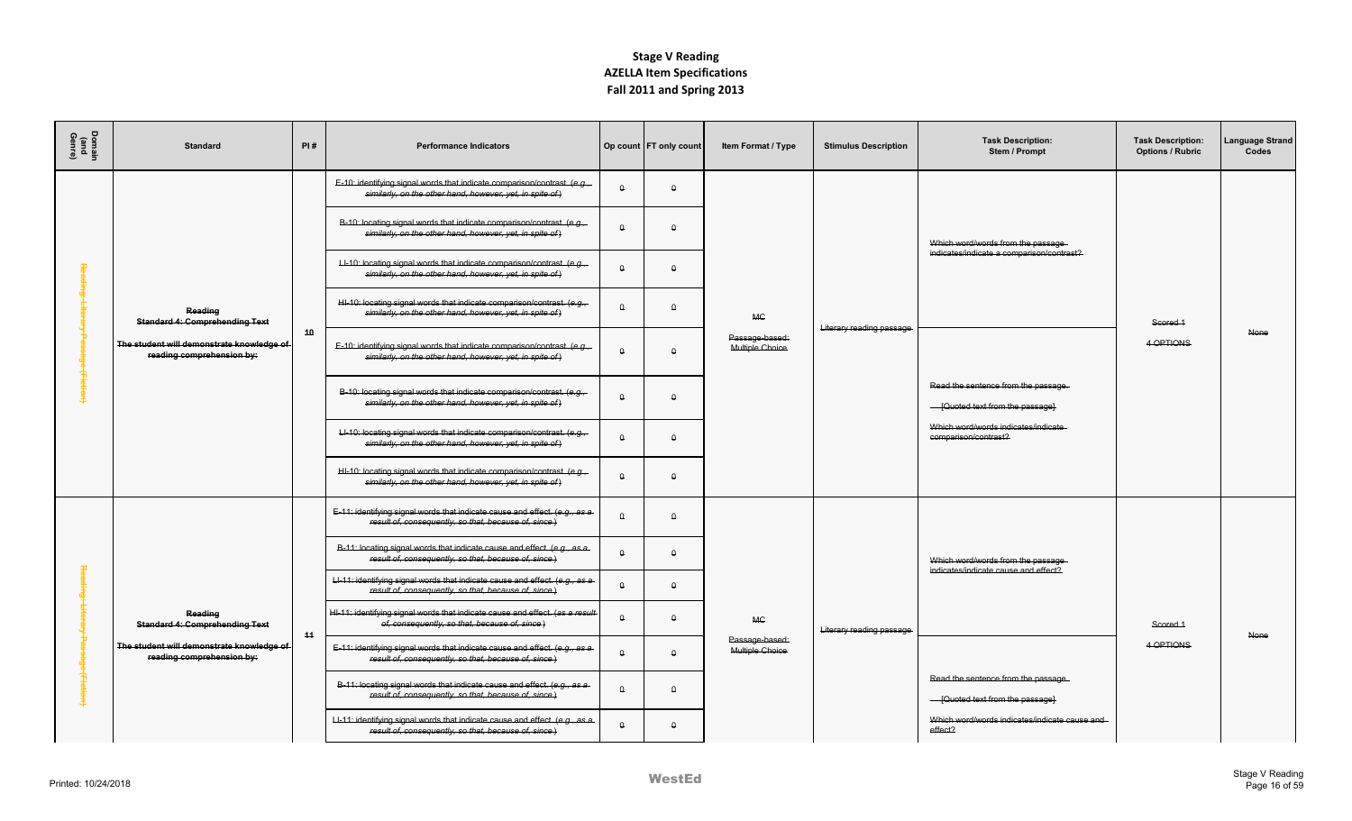| Domair<br>(and<br>Genre) | <b>Standard</b>                                                        | PI# | <b>Performance Indicators</b>                                                                                                         |          | Op count   FT only count | Item Format / Type                | <b>Stimulus Description</b> | <b>Task Description:</b><br>Stem / Prompt                                 | <b>Task Description:</b><br><b>Options / Rubric</b> | anguage Strand<br>Codes |
|--------------------------|------------------------------------------------------------------------|-----|---------------------------------------------------------------------------------------------------------------------------------------|----------|--------------------------|-----------------------------------|-----------------------------|---------------------------------------------------------------------------|-----------------------------------------------------|-------------------------|
|                          |                                                                        |     | E-10: identifying signal words that indicate comparison/contrast. (e.g.,-<br>similarly, on the other hand, however, yet, in spite of) | $\Omega$ | $\Omega$                 |                                   |                             |                                                                           |                                                     |                         |
|                          |                                                                        |     | B-10: locating signal words that indicate comparison/contrast. (e.g.,<br>similarly, on the other hand, however, yet, in spite of)     | $\theta$ | $\Omega$                 |                                   |                             | Which word/words from the passage                                         |                                                     |                         |
|                          |                                                                        |     | LI-10: locating signal words that indicate comparison/contrast. (e.g.,-<br>similarly, on the other hand, however, yet, in spite of)   | $\theta$ | $\theta$                 |                                   |                             | indicates/indicate a comparison/contrast?                                 |                                                     |                         |
|                          | Reading<br><b>Standard 4: Comprehending Text</b>                       |     | HI-10: locating signal words that indicate comparison/contrast. (e.g.,<br>similarly, on the other hand, however, yet, in spite of)    | $\Omega$ | $\theta$                 | MC.                               | Literary reading passage    |                                                                           | Scored 1                                            |                         |
|                          | The student will demonstrate knowledge of<br>reading comprehension by: | 40  | E-10: identifying signal words that indicate comparison/contrast. (e.g.,<br>similarly, on the other hand, however, yet, in spite of)  | $\theta$ | $\theta$                 | Passage-based:<br>Multiple Choice |                             |                                                                           | 4 OPTIONS                                           | None                    |
| <b>Hictie</b>            |                                                                        |     | B-10: locating signal words that indicate comparison/contrast. (e.g.,<br>similarly, on the other hand, however, yet, in spite of)     | $\theta$ | $\Omega$                 |                                   |                             | Read the sentence from the passage.<br>- [Quoted text from the passage]   |                                                     |                         |
|                          |                                                                        |     | LI-10: locating signal words that indicate comparison/contrast. (e.g.,<br>similarly, on the other hand, however, yet, in spite of)    | $\theta$ | $\theta$                 |                                   |                             | Which word/words indicates/indicate<br>comparison/contrast?               |                                                     |                         |
|                          |                                                                        |     | HI-10: locating signal words that indicate comparison/contrast. (e.g.,<br>similarly, on the other hand, however, yet, in spite of)    | $\theta$ | $\theta$                 |                                   |                             |                                                                           |                                                     |                         |
|                          |                                                                        |     | E-11: identifying signal words that indicate cause and effect. (e.g., as a<br>result of, consequently, so that, because of, since.)   | $\theta$ | $\theta$                 |                                   |                             |                                                                           |                                                     |                         |
|                          |                                                                        |     | B-11: locating signal words that indicate cause and effect. (e.g., as a<br>result of, consequently, so that, because of, since)       | $\theta$ | $\theta$                 |                                   |                             | Which word/words from the passage<br>indicates/indicate cause and effect? |                                                     |                         |
|                          |                                                                        |     | LI-11: identifying signal words that indicate cause and effect. (e.g., as a<br>result of, consequently, so that, because of, since.)  | $\theta$ | $\theta$                 |                                   |                             |                                                                           |                                                     |                         |
|                          | Reading<br><b>Standard 4: Comprehending Text</b>                       | 44  | HI-11: identifying signal words that indicate cause and effect. (as a result<br>of, consequently, so that, because of, since)         | $\theta$ | $\theta$                 | MC.                               | Literary reading passage    |                                                                           | Scored 1                                            | None                    |
|                          | The student will demonstrate knowledge of<br>reading comprehension by: |     | E-11: identifying signal words that indicate cause and effect. (e.g., as a<br>result of, consequently, so that, because of, since)    | $\Omega$ | $\Omega$                 | Passage-based:<br>Multiple Choice |                             |                                                                           | 4 OPTIONS                                           |                         |
|                          |                                                                        |     | B-11: locating signal words that indicate cause and effect. (e.g., as a<br>result of, consequently, so that, because of, since)       | $\Omega$ | $\Omega$                 |                                   |                             | Read the sentence from the passage.<br>- [Quoted text from the passage]   |                                                     |                         |
|                          |                                                                        |     | LI-11: identifying signal words that indicate cause and effect. (e.g., as a<br>result of, consequently, so that, because of, since)   | $\Omega$ | $\theta$                 |                                   |                             | Which word/words indicates/indicate cause and<br>effect?                  |                                                     |                         |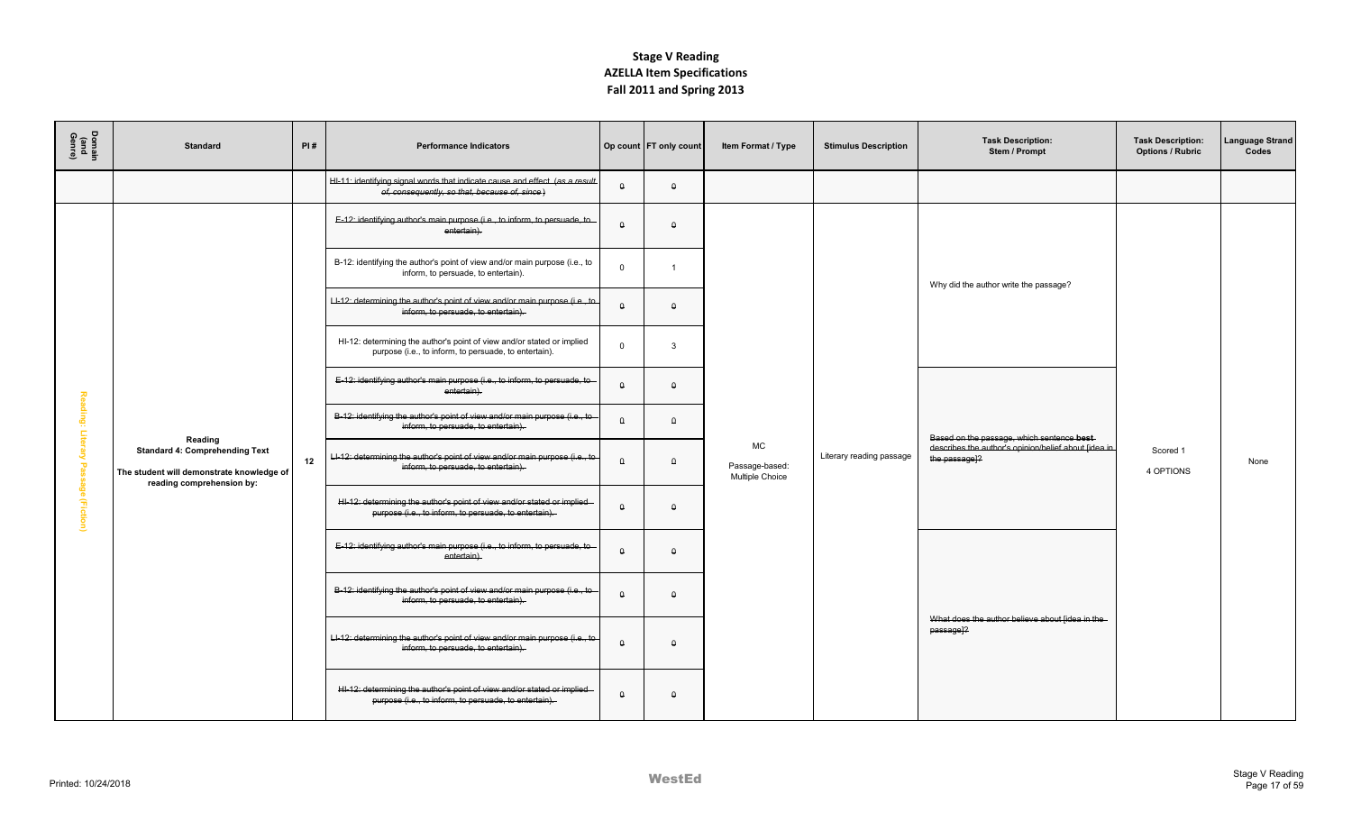| Domain<br>(and<br>Genre) | <b>Standard</b>                                                                                                 | PI# | <b>Performance Indicators</b>                                                                                                    |             | Op count   FT only count | Item Format / Type                      | <b>Stimulus Description</b> | <b>Task Description:</b><br>Stem / Prompt                                | <b>Task Description:</b><br><b>Options / Rubric</b> | anguage Strand<br>Codes |
|--------------------------|-----------------------------------------------------------------------------------------------------------------|-----|----------------------------------------------------------------------------------------------------------------------------------|-------------|--------------------------|-----------------------------------------|-----------------------------|--------------------------------------------------------------------------|-----------------------------------------------------|-------------------------|
|                          |                                                                                                                 |     | HI-11: identifying signal words that indicate cause and effect. (as a result<br>of, consequently, so that, because of, since)    | $\theta$    | $\theta$                 |                                         |                             |                                                                          |                                                     |                         |
|                          |                                                                                                                 |     | E-12: identifying author's main purpose (i.e., to inform, to persuade, to<br>entertain).                                         | $\theta$    | $\theta$                 |                                         |                             |                                                                          |                                                     |                         |
|                          |                                                                                                                 |     | B-12: identifying the author's point of view and/or main purpose (i.e., to<br>inform, to persuade, to entertain).                | $\mathbf 0$ |                          |                                         |                             | Why did the author write the passage?                                    |                                                     |                         |
|                          |                                                                                                                 |     | LI-12: determining the author's point of view and/or main purpose (i.e., to<br>inform, to persuade, to entertain).               | $\theta$    | $\Omega$                 |                                         |                             |                                                                          |                                                     |                         |
|                          |                                                                                                                 |     | HI-12: determining the author's point of view and/or stated or implied<br>purpose (i.e., to inform, to persuade, to entertain).  | $\Omega$    | $\mathbf{3}$             |                                         |                             |                                                                          |                                                     |                         |
| 짛                        |                                                                                                                 |     | E-12: identifying author's main purpose (i.e., to inform, to persuade, to<br>entertain).                                         | $\theta$    | $\Omega$                 |                                         |                             |                                                                          |                                                     |                         |
| ading: Lite              | Reading                                                                                                         |     | B-12: identifying the author's point of view and/or main purpose (i.e., to<br>inform, to persuade, to entertain).                | $\theta$    | $\theta$                 |                                         |                             | Based on the passage, which sentence best                                |                                                     |                         |
|                          | <b>Standard 4: Comprehending Text</b><br>The student will demonstrate knowledge of<br>reading comprehension by: | 12  | Ll-12: determining the author's point of view and/or main purpose (i.e., to<br>inform, to persuade, to entertain).               | $\theta$    | $\theta$                 | MC<br>Passage-based:<br>Multiple Choice | Literary reading passage    | describes the author's opinion/belief about fidea in<br>the passage]?    | Scored 1<br>4 OPTIONS                               | None                    |
| Passage (Fiction)        |                                                                                                                 |     | HI-12: determining the author's point of view and/or stated or implied<br>purpose (i.e., to inform, to persuade, to entertain).  | $\theta$    | $\theta$                 |                                         |                             |                                                                          |                                                     |                         |
|                          |                                                                                                                 |     | E-12: identifying author's main purpose (i.e., to inform, to persuade, to<br>entertain).                                         | $\theta$    | $\theta$                 |                                         |                             |                                                                          |                                                     |                         |
|                          |                                                                                                                 |     | B-12: identifying the author's point of view and/or main purpose (i.e., to<br>inform, to persuade, to entertain).                | $\theta$    | $\theta$                 |                                         |                             |                                                                          |                                                     |                         |
|                          |                                                                                                                 |     | LI-12: determining the author's point of view and/or main purpose (i.e., to<br>inform, to persuade, to entertain).               | $\theta$    | $\Omega$                 |                                         |                             | What does the author believe about [idea in the<br>passage <sup>12</sup> |                                                     |                         |
|                          |                                                                                                                 |     | HI-12: determining the author's point of view and/or stated or implied-<br>purpose (i.e., to inform, to persuade, to entertain). | $\theta$    | $\theta$                 |                                         |                             |                                                                          |                                                     |                         |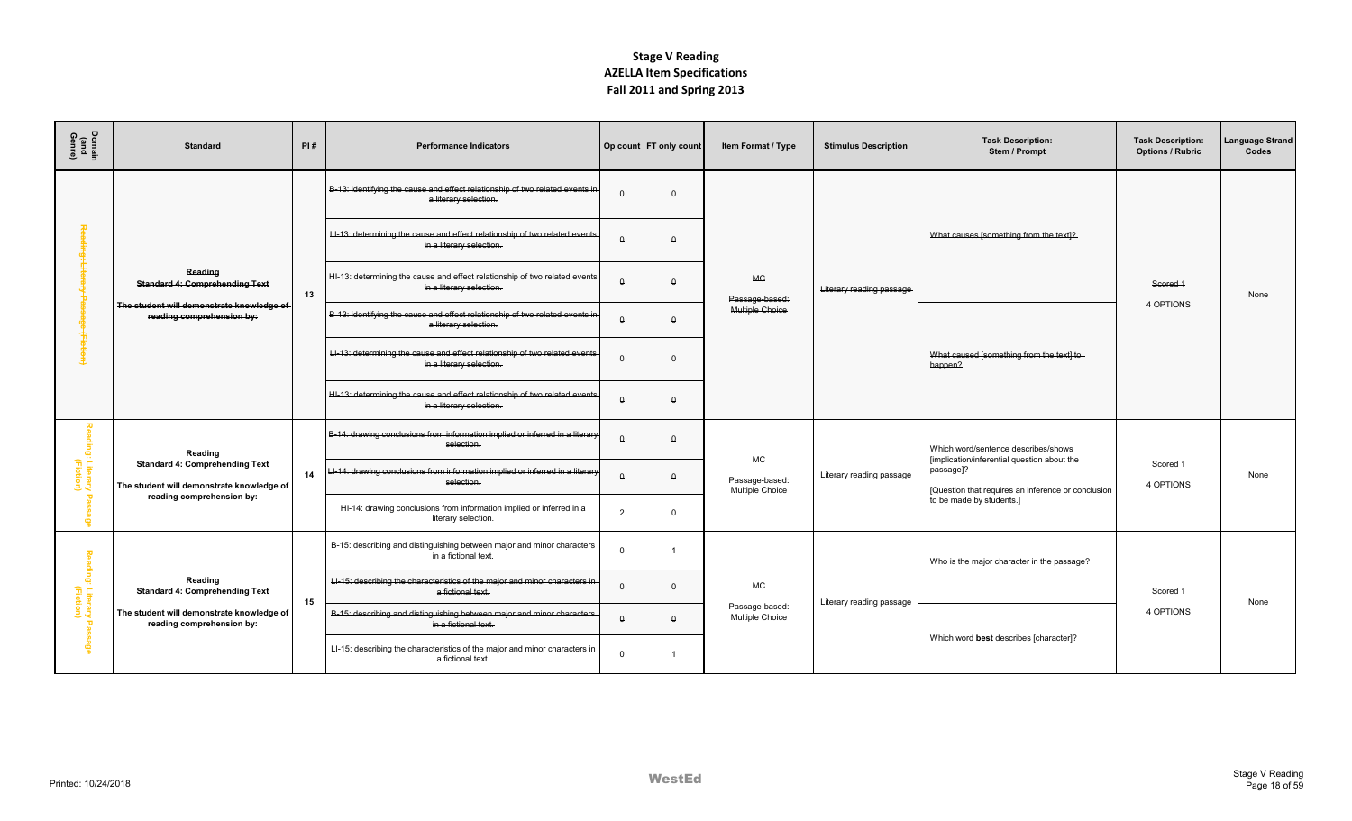| Domair<br>(and<br>Genre)                | <b>Standard</b>                                                                    | PI# | <b>Performance Indicators</b>                                                                          |                | Op count   FT only count | <b>Item Format / Type</b>         | <b>Stimulus Description</b> | <b>Task Description:</b><br>Stem / Prompt                                                                      | <b>Task Description:</b><br><b>Options / Rubric</b> | anguage Strand<br>Codes |
|-----------------------------------------|------------------------------------------------------------------------------------|-----|--------------------------------------------------------------------------------------------------------|----------------|--------------------------|-----------------------------------|-----------------------------|----------------------------------------------------------------------------------------------------------------|-----------------------------------------------------|-------------------------|
|                                         |                                                                                    |     | B-13: identifying the cause and effect relationship of two related events in<br>a literary selection.  | $\Omega$       | $\theta$                 |                                   |                             |                                                                                                                |                                                     |                         |
|                                         |                                                                                    |     | LI-13: determining the cause and effect relationship of two related events<br>in a literary selection. | $\theta$       | $\theta$                 |                                   |                             | What causes [something from the text]?                                                                         |                                                     |                         |
|                                         | Reading<br><b>Standard 4: Comprehending Text</b>                                   | 43  | HI-13: determining the cause and effect relationship of two related events<br>in a literary selection. | $\theta$       | $\Omega$                 | <b>MC</b><br>Passage-based:       | Literary reading passage    |                                                                                                                | Scored 1                                            | None                    |
|                                         | The student will demonstrate knowledge of<br>reading comprehension by:             |     | B-13: identifying the cause and effect relationship of two related events in<br>a literary selection.  | $\theta$       | $\theta$                 | Multiple Choice                   |                             |                                                                                                                | 4 OPTIONS                                           |                         |
|                                         |                                                                                    |     | LI-13: determining the cause and effect relationship of two related events<br>in a literary selection. | $\theta$       | $\Omega$                 |                                   |                             | What caused [something from the text] to-<br>happen?                                                           |                                                     |                         |
|                                         |                                                                                    |     | HI-13: determining the cause and effect relationship of two related events<br>in a literary selection. | $\theta$       | $\theta$                 |                                   |                             |                                                                                                                |                                                     |                         |
|                                         | Reading                                                                            |     | B-14: drawing conclusions from information implied or inferred in a literary<br>selection.             | $\Omega$       | $\Omega$                 | MC                                |                             | Which word/sentence describes/shows                                                                            |                                                     |                         |
| ading: Literary<br>(Fiction)            | <b>Standard 4: Comprehending Text</b><br>The student will demonstrate knowledge of | 14  | --14: drawing conclusions from information implied or inferred in a literary<br>selection.             | $\theta$       | $\theta$                 | Passage-based:<br>Multiple Choice | Literary reading passage    | [implication/inferential question about the<br>passage]?<br>[Question that requires an inference or conclusion | Scored 1<br>4 OPTIONS                               | None                    |
| $\circ$                                 | reading comprehension by:                                                          |     | HI-14: drawing conclusions from information implied or inferred in a<br>literary selection.            | $\overline{2}$ | $\Omega$                 |                                   |                             | to be made by students.]                                                                                       |                                                     |                         |
|                                         |                                                                                    |     | B-15: describing and distinguishing between major and minor characters<br>in a fictional text.         | $\Omega$       |                          |                                   |                             | Who is the major character in the passage?                                                                     |                                                     |                         |
| Reading: Literary  <br> <br>  (Fiction) | Reading<br><b>Standard 4: Comprehending Text</b>                                   | 15  | LI-15: describing the characteristics of the major and minor characters in<br>a fictional text.        | $\theta$       | $\theta$                 | <b>MC</b>                         | Literary reading passage    |                                                                                                                | Scored 1                                            | None                    |
|                                         | The student will demonstrate knowledge of<br>reading comprehension by:             |     | B-15: describing and distinguishing between major and minor characters<br>in a fictional text.         | $\Omega$       | $\Omega$                 | Passage-based:<br>Multiple Choice |                             |                                                                                                                | 4 OPTIONS                                           |                         |
| ege                                     |                                                                                    |     | LI-15: describing the characteristics of the major and minor characters in<br>a fictional text.        | $\Omega$       | $\overline{1}$           |                                   |                             | Which word best describes [character]?                                                                         |                                                     |                         |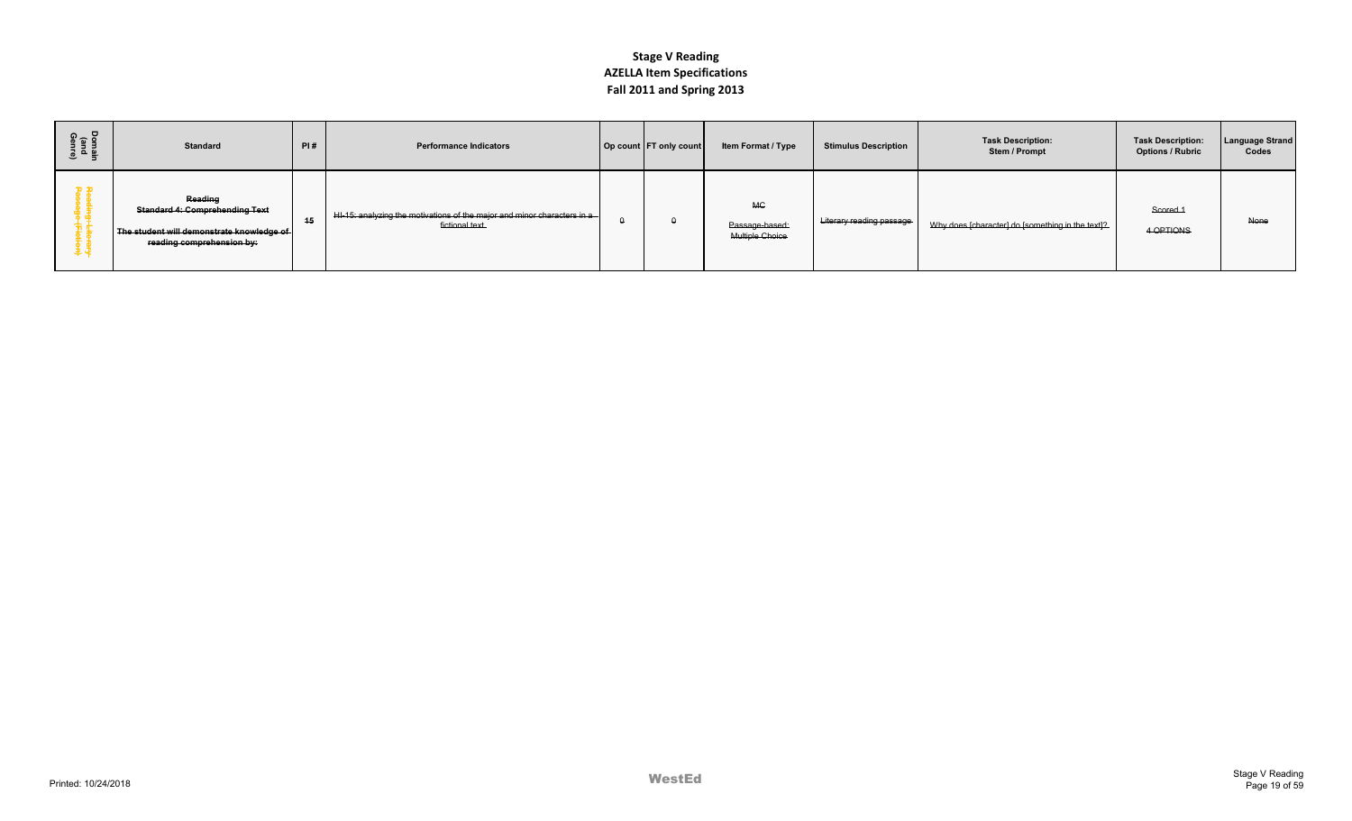| Domain<br>(and<br>Genre) | <b>Standard</b>                                                                                                            | PI# | <b>Performance Indicators</b>                                                                 | Op count FT only count | Item Format / Type                             | <b>Stimulus Description</b>     | <b>Task Description:</b><br>Stem / Prompt        | <b>Task Description:</b><br><b>Options / Rubric</b> | <b>Language Strand</b><br>Codes |
|--------------------------|----------------------------------------------------------------------------------------------------------------------------|-----|-----------------------------------------------------------------------------------------------|------------------------|------------------------------------------------|---------------------------------|--------------------------------------------------|-----------------------------------------------------|---------------------------------|
| 安忠                       | Reading<br><b>Standard 4: Comprehending Text</b><br>The student will demonstrate knowledge of<br>reading comprehension by: | 15  | $HH-15:$ analyzing the motivations of the major and minor characters in a-<br>fictional text. |                        | <b>MC</b><br>Passage-based:<br>Multiple Choice | <b>Literary reading passage</b> | Why does [character] do [something in the text]? | Scored <sub>1</sub><br>4 OPTIONS                    | None                            |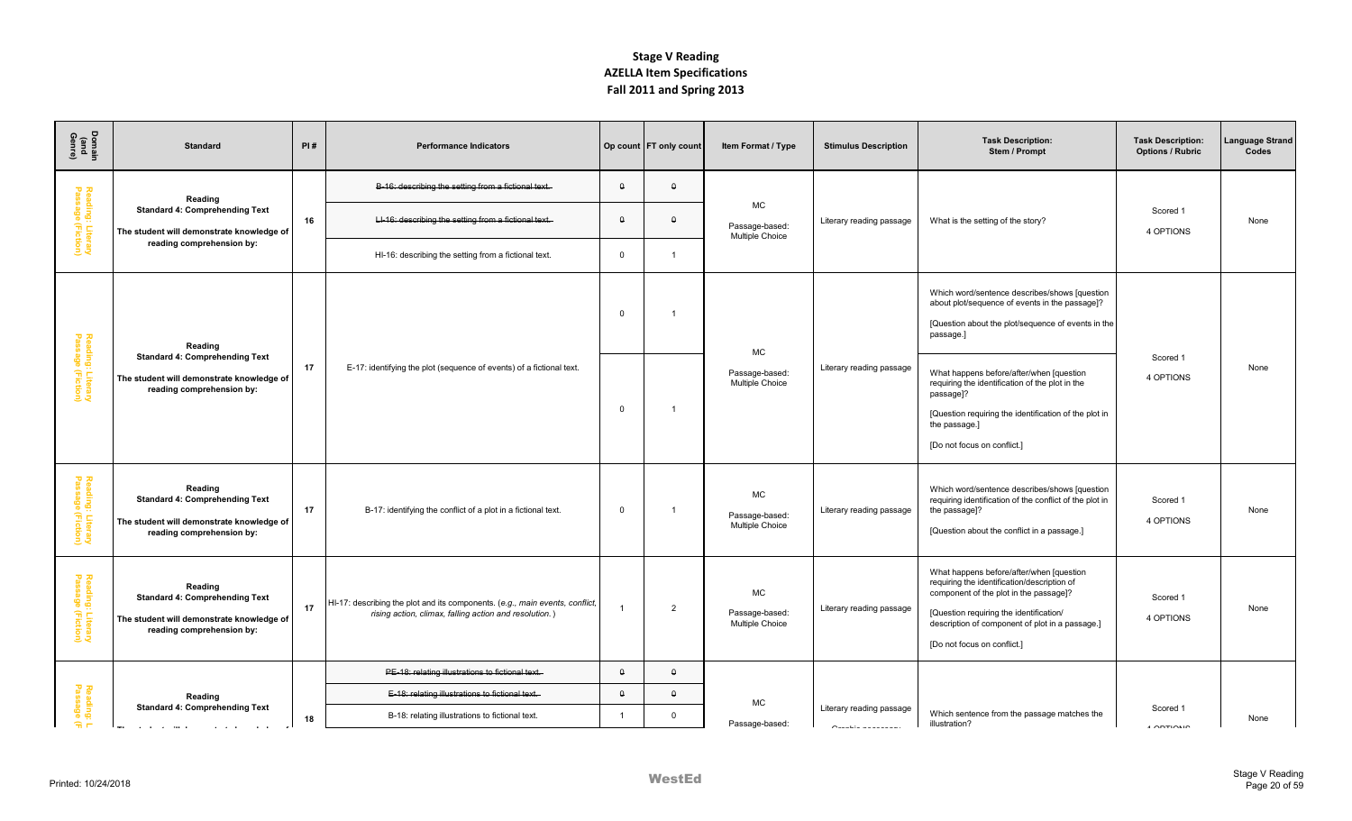| Domain<br>(and<br>Genre)               | <b>Standard</b>                                                                                                            | PI# | <b>Performance Indicators</b>                                                                                                          |                | Op count   FT only count | Item Format / Type                             | <b>Stimulus Description</b> | <b>Task Description:</b><br>Stem / Prompt                                                                                                                                                                                                                       | <b>Task Description:</b><br><b>Options / Rubric</b> | anguage Strand<br>Codes |
|----------------------------------------|----------------------------------------------------------------------------------------------------------------------------|-----|----------------------------------------------------------------------------------------------------------------------------------------|----------------|--------------------------|------------------------------------------------|-----------------------------|-----------------------------------------------------------------------------------------------------------------------------------------------------------------------------------------------------------------------------------------------------------------|-----------------------------------------------------|-------------------------|
|                                        | Reading                                                                                                                    |     | B-16: describing the setting from a fictional text.                                                                                    | $\Omega$       | $\theta$                 |                                                |                             |                                                                                                                                                                                                                                                                 |                                                     |                         |
| Reading: Literary<br>Passage (Fiction) | <b>Standard 4: Comprehending Text</b><br>The student will demonstrate knowledge of                                         | 16  | LI-16: describing the setting from a fictional text.                                                                                   | $\theta$       | $\theta$                 | <b>MC</b><br>Passage-based:<br>Multiple Choice | Literary reading passage    | What is the setting of the story?                                                                                                                                                                                                                               | Scored 1<br>4 OPTIONS                               | None                    |
|                                        | reading comprehension by:                                                                                                  |     | HI-16: describing the setting from a fictional text.                                                                                   | $\Omega$       |                          |                                                |                             |                                                                                                                                                                                                                                                                 |                                                     |                         |
|                                        | Reading                                                                                                                    |     |                                                                                                                                        | $\Omega$       | -1                       | <b>MC</b>                                      |                             | Which word/sentence describes/shows [question<br>about plot/sequence of events in the passage]?<br>[Question about the plot/sequence of events in the<br>passage.]                                                                                              |                                                     |                         |
| Reading: Literary<br>Passage (Fiction) | <b>Standard 4: Comprehending Text</b><br>The student will demonstrate knowledge of<br>reading comprehension by:            | 17  | E-17: identifying the plot (sequence of events) of a fictional text.                                                                   | $\overline{0}$ | -1                       | Passage-based:<br><b>Multiple Choice</b>       | Literary reading passage    | What happens before/after/when [question<br>requiring the identification of the plot in the<br>passage]?<br>[Question requiring the identification of the plot in<br>the passage.]<br>[Do not focus on conflict.]                                               | Scored 1<br>4 OPTIONS                               | None                    |
| Reading: Literary<br>Passage (Fiction) | Reading<br><b>Standard 4: Comprehending Text</b><br>The student will demonstrate knowledge of<br>reading comprehension by: | 17  | B-17: identifying the conflict of a plot in a fictional text.                                                                          | $\mathbf 0$    | -1                       | <b>MC</b><br>Passage-based:<br>Multiple Choice | Literary reading passage    | Which word/sentence describes/shows [question<br>requiring identification of the conflict of the plot in<br>the passage]?<br>[Question about the conflict in a passage.]                                                                                        | Scored 1<br>4 OPTIONS                               | None                    |
| Reading: Literary<br>Passage (Fiction) | Reading<br><b>Standard 4: Comprehending Text</b><br>The student will demonstrate knowledge of<br>reading comprehension by: | 17  | HI-17: describing the plot and its components. (e.g., main events, conflict,<br>rising action, climax, falling action and resolution.) |                | $\overline{2}$           | MC<br>Passage-based:<br><b>Multiple Choice</b> | Literary reading passage    | What happens before/after/when [question]<br>requiring the identification/description of<br>component of the plot in the passage]?<br>[Question requiring the identification/<br>description of component of plot in a passage.]<br>[Do not focus on conflict.] | Scored 1<br>4 OPTIONS                               | None                    |
|                                        |                                                                                                                            |     | PE-18: relating illustrations to fictional text.                                                                                       | $\theta$       | $\theta$                 |                                                |                             |                                                                                                                                                                                                                                                                 |                                                     |                         |
| Reading:<br>Passage                    | Reading<br><b>Standard 4: Comprehending Text</b>                                                                           |     | E-18: relating illustrations to fictional text.                                                                                        | $\theta$       | $\theta$                 | <b>MC</b>                                      | Literary reading passage    |                                                                                                                                                                                                                                                                 | Scored 1                                            |                         |
| $\widehat{\pi}$ m                      |                                                                                                                            | 18  | B-18: relating illustrations to fictional text.                                                                                        | $\overline{1}$ | $\mathbf{0}$             | Passage-based:                                 |                             | Which sentence from the passage matches the<br>illustration?                                                                                                                                                                                                    | $\sqrt{2}$                                          | None                    |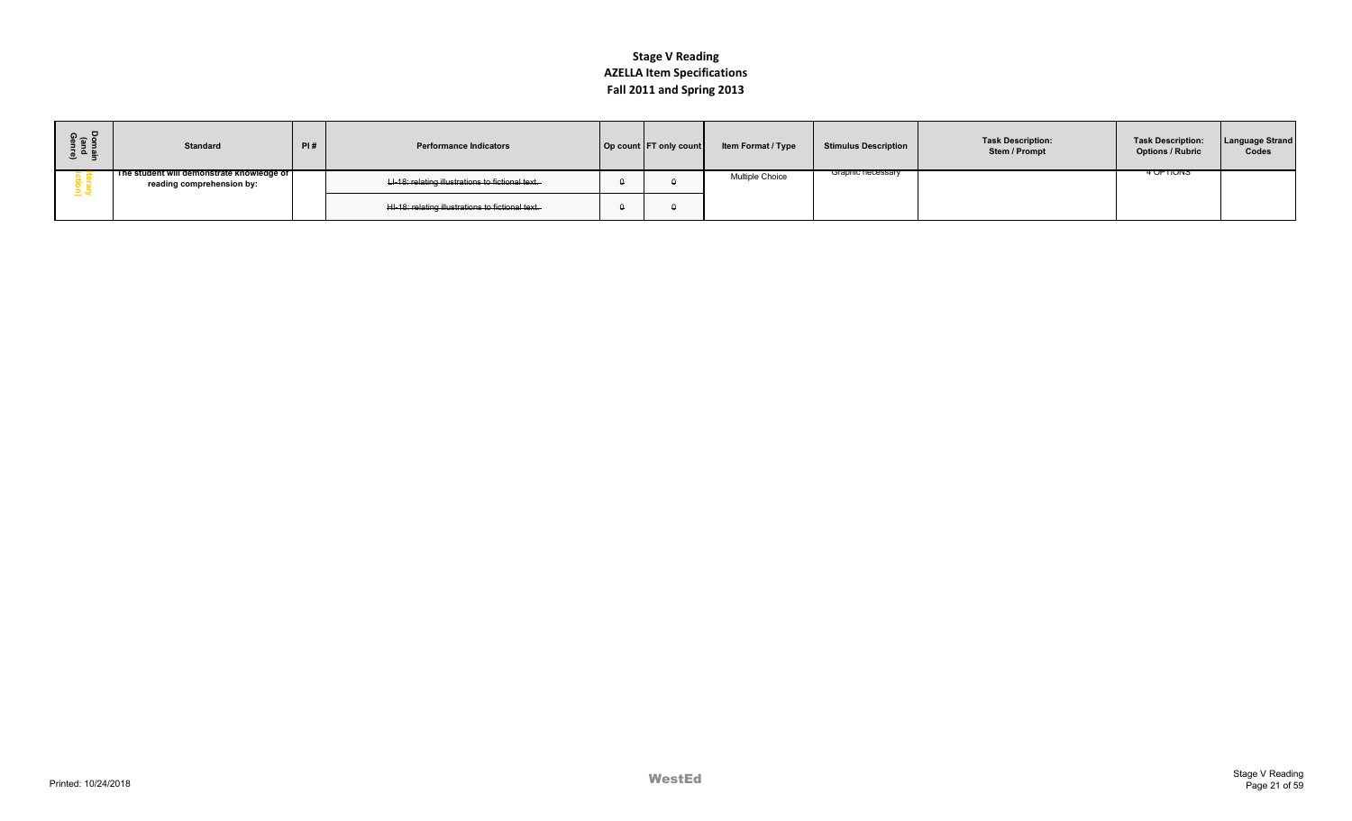| ទី ១ ក្ន<br>로 물<br>이 모 | <b>Standard</b>                                                        | PI# | <b>Performance Indicators</b>                    | Op count FT only count | <b>Item Format / Type</b> | <b>Stimulus Description</b> | <b>Task Description:</b><br>Stem / Prompt | <b>Task Description:</b><br><b>Options / Rubric</b> | <b>Language Strand</b><br>Codes |
|------------------------|------------------------------------------------------------------------|-----|--------------------------------------------------|------------------------|---------------------------|-----------------------------|-------------------------------------------|-----------------------------------------------------|---------------------------------|
|                        | The student will demonstrate knowledge of<br>reading comprehension by: |     | LI-18: relating illustrations to fictional text. |                        | <b>Multiple Choice</b>    | Graphic necessary           |                                           | <b>4 UPTIUNS</b>                                    |                                 |
|                        |                                                                        |     | HI-18: relating illustrations to fictional text. |                        |                           |                             |                                           |                                                     |                                 |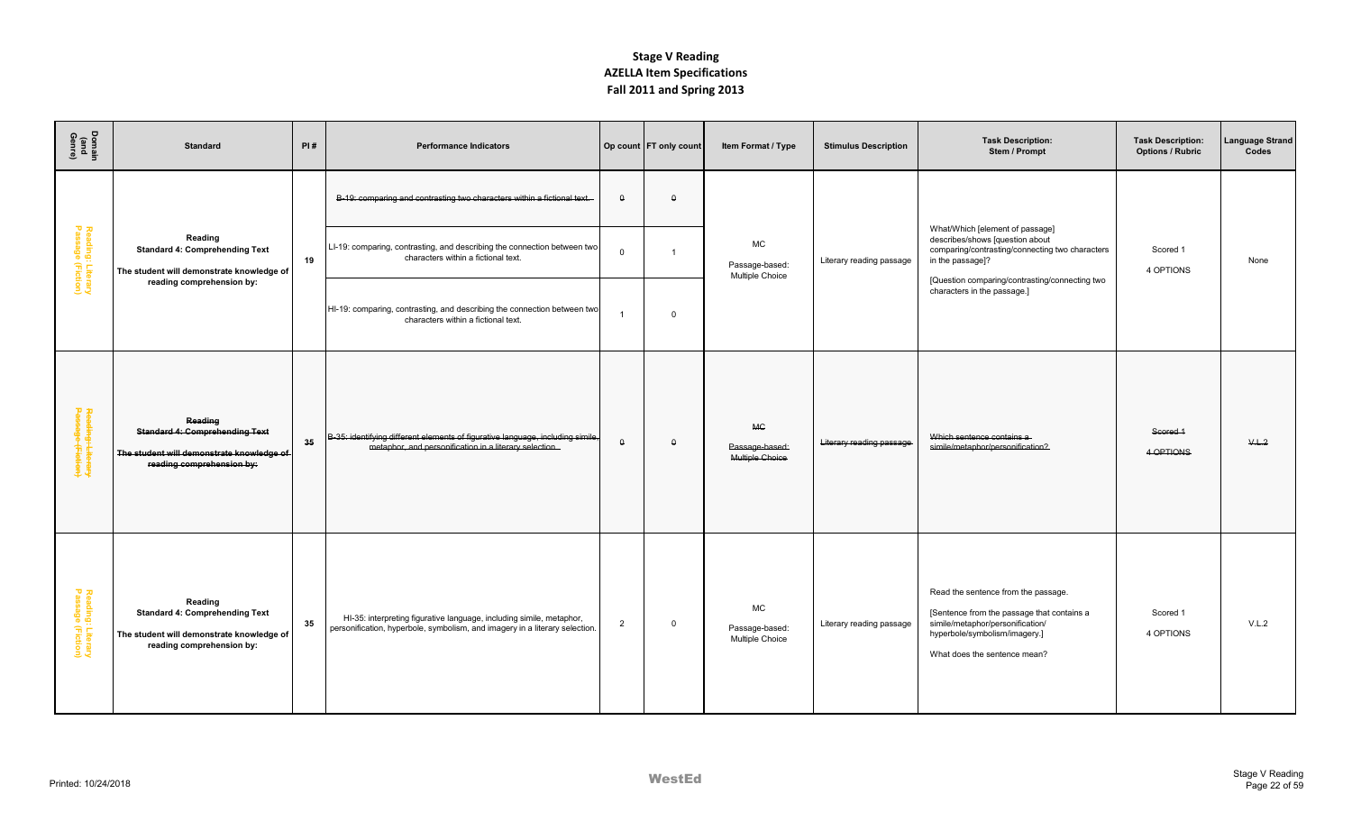| Domain<br>(and<br>Genre)               | <b>Standard</b>                                                                                                            | PI# | <b>Performance Indicators</b>                                                                                                                       |                | Op count   FT only count | Item Format / Type                             | <b>Stimulus Description</b> | <b>Task Description:</b><br>Stem / Prompt                                                                                                                                                   | <b>Task Description:</b><br><b>Options / Rubric</b> | anguage Strand<br>Codes |
|----------------------------------------|----------------------------------------------------------------------------------------------------------------------------|-----|-----------------------------------------------------------------------------------------------------------------------------------------------------|----------------|--------------------------|------------------------------------------------|-----------------------------|---------------------------------------------------------------------------------------------------------------------------------------------------------------------------------------------|-----------------------------------------------------|-------------------------|
|                                        |                                                                                                                            |     | B-19: comparing and contrasting two characters within a fictional text.                                                                             | $\theta$       | $\theta$                 |                                                |                             |                                                                                                                                                                                             |                                                     |                         |
| Reading: Literary<br>Passage (Fiction) | Reading<br><b>Standard 4: Comprehending Text</b><br>The student will demonstrate knowledge of                              | 19  | LI-19: comparing, contrasting, and describing the connection between two<br>characters within a fictional text.                                     | $\Omega$       | $\overline{1}$           | <b>MC</b><br>Passage-based:<br>Multiple Choice | Literary reading passage    | What/Which [element of passage]<br>describes/shows [question about<br>comparing/contrasting/connecting two characters<br>in the passage]?<br>[Question comparing/contrasting/connecting two | Scored 1<br>4 OPTIONS                               | None                    |
|                                        | reading comprehension by:                                                                                                  |     | HI-19: comparing, contrasting, and describing the connection between two<br>characters within a fictional text.                                     |                | $\mathbf 0$              |                                                |                             | characters in the passage.]                                                                                                                                                                 |                                                     |                         |
| Reading: Literary<br>Passage (Fiction) | Reading<br><b>Standard 4: Comprehending Text</b><br>The student will demonstrate knowledge of<br>reading comprehension by: | 35  | B-35: identifying different elements of figurative language, including simile,<br>metaphor, and personification in a literary selection.            | $\theta$       | $\theta$                 | <b>MC</b><br>Passage-based:<br>Multiple Choice | Literary reading passage    | Which sentence contains a<br>simile/metaphor/personification?                                                                                                                               | Scored 1<br>4 OPTIONS                               | V.L.2                   |
| Reading: Literary<br>Passage (Fiction) | Reading<br><b>Standard 4: Comprehending Text</b><br>The student will demonstrate knowledge of<br>reading comprehension by: | 35  | HI-35: interpreting figurative language, including simile, metaphor,<br>personification, hyperbole, symbolism, and imagery in a literary selection. | $\overline{2}$ | $\mathbf 0$              | МC<br>Passage-based:<br>Multiple Choice        | Literary reading passage    | Read the sentence from the passage.<br>[Sentence from the passage that contains a<br>simile/metaphor/personification/<br>hyperbole/symbolism/imagery.]<br>What does the sentence mean?      | Scored 1<br>4 OPTIONS                               | V.L.2                   |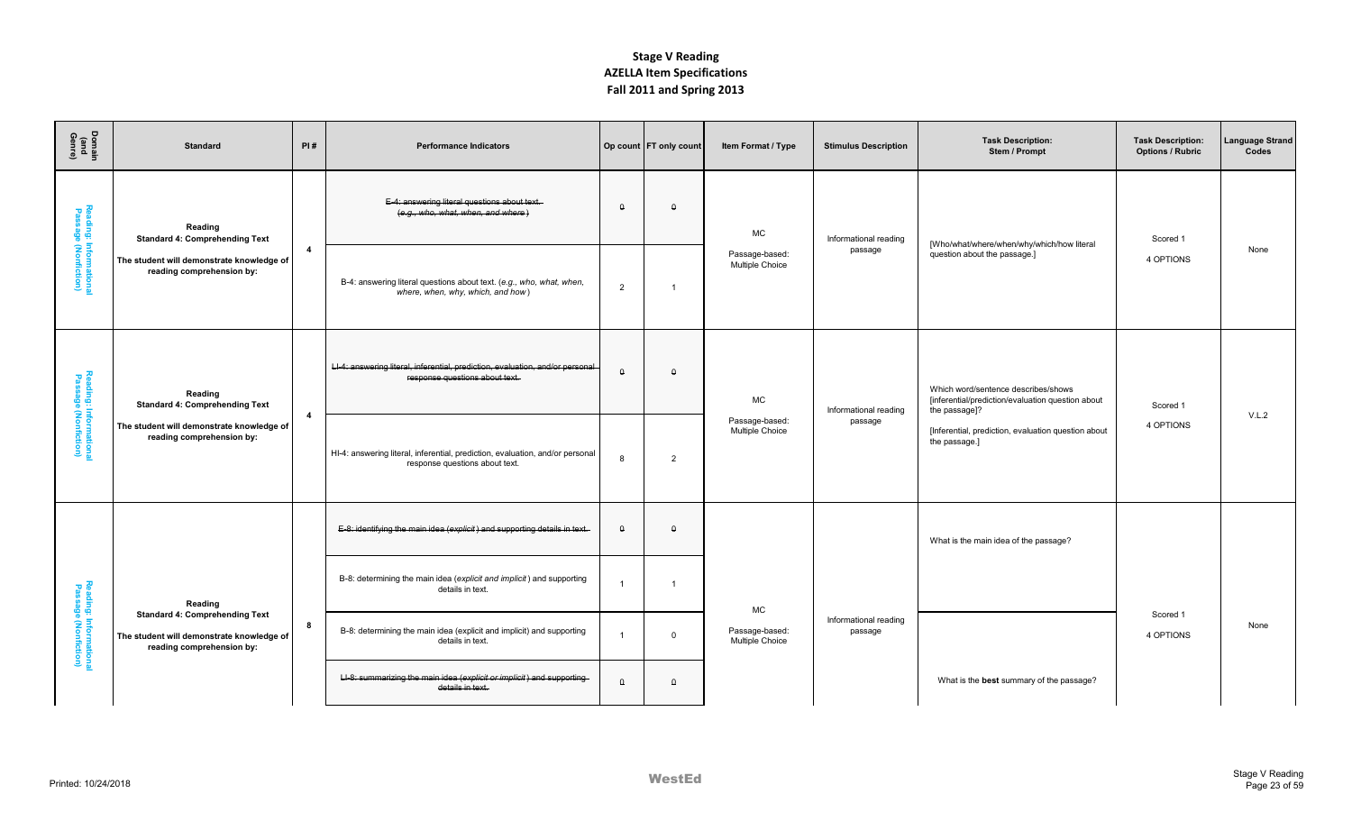| Domain<br>(and<br>Genre)                       | <b>Standard</b>                                                                                                 | PI#            | <b>Performance Indicators</b>                                                                                   |                | Op count   FT only count | Item Format / Type                | <b>Stimulus Description</b>      | <b>Task Description:</b><br>Stem / Prompt                                                                 | <b>Task Description:</b><br><b>Options / Rubric</b> | Language Strand<br>Codes |
|------------------------------------------------|-----------------------------------------------------------------------------------------------------------------|----------------|-----------------------------------------------------------------------------------------------------------------|----------------|--------------------------|-----------------------------------|----------------------------------|-----------------------------------------------------------------------------------------------------------|-----------------------------------------------------|--------------------------|
|                                                | Reading<br><b>Standard 4: Comprehending Text</b>                                                                |                | E-4: answering literal questions about text.<br>(e.g., who, what, when, and where)                              | $\theta$       | $\Omega$                 | <b>MC</b>                         | Informational reading            | [Who/what/where/when/why/which/how literal                                                                | Scored 1                                            |                          |
| Reading: Informational<br>Passage (Nonfiction) | The student will demonstrate knowledge of<br>reading comprehension by:                                          | $\overline{4}$ | B-4: answering literal questions about text. (e.g., who, what, when,<br>where, when, why, which, and how)       | $\overline{2}$ | $\overline{1}$           | Passage-based:<br>Multiple Choice | passage                          | question about the passage.]                                                                              | 4 OPTIONS                                           | None                     |
|                                                | Reading<br><b>Standard 4: Comprehending Text</b>                                                                |                | LI-4: answering literal, inferential, prediction, evaluation, and/or personal<br>response questions about text. | $\theta$       | $\Omega$                 | <b>MC</b>                         | Informational reading            | Which word/sentence describes/shows<br>[inferential/prediction/evaluation question about<br>the passage]? | Scored 1                                            |                          |
| Reading: Informationa<br>Passage (Nonfiction)  | The student will demonstrate knowledge of<br>reading comprehension by:                                          | $\overline{4}$ | HI-4: answering literal, inferential, prediction, evaluation, and/or personal<br>response questions about text. | 8              | $\overline{2}$           | Passage-based:<br>Multiple Choice | passage                          | [Inferential, prediction, evaluation question about<br>the passage.]                                      | 4 OPTIONS                                           | V.L.2                    |
|                                                |                                                                                                                 |                | E-8: identifying the main idea (explicit) and supporting details in text.                                       | $\Omega$       | $\Omega$                 |                                   |                                  | What is the main idea of the passage?                                                                     |                                                     |                          |
|                                                | Reading                                                                                                         |                | B-8: determining the main idea (explicit and implicit) and supporting<br>details in text.                       | -1             | -1                       | MC                                |                                  |                                                                                                           |                                                     |                          |
| Reading: Informationa<br>Passage (Nonfiction)  | <b>Standard 4: Comprehending Text</b><br>The student will demonstrate knowledge of<br>reading comprehension by: | 8              | B-8: determining the main idea (explicit and implicit) and supporting<br>details in text.                       |                | $\overline{0}$           | Passage-based:<br>Multiple Choice | Informational reading<br>passage |                                                                                                           | Scored 1<br>4 OPTIONS                               | None                     |
|                                                |                                                                                                                 |                | LI-8: summarizing the main idea (explicit or implicit) and supporting-<br>details in text.                      | $\theta$       | $\theta$                 |                                   |                                  | What is the best summary of the passage?                                                                  |                                                     |                          |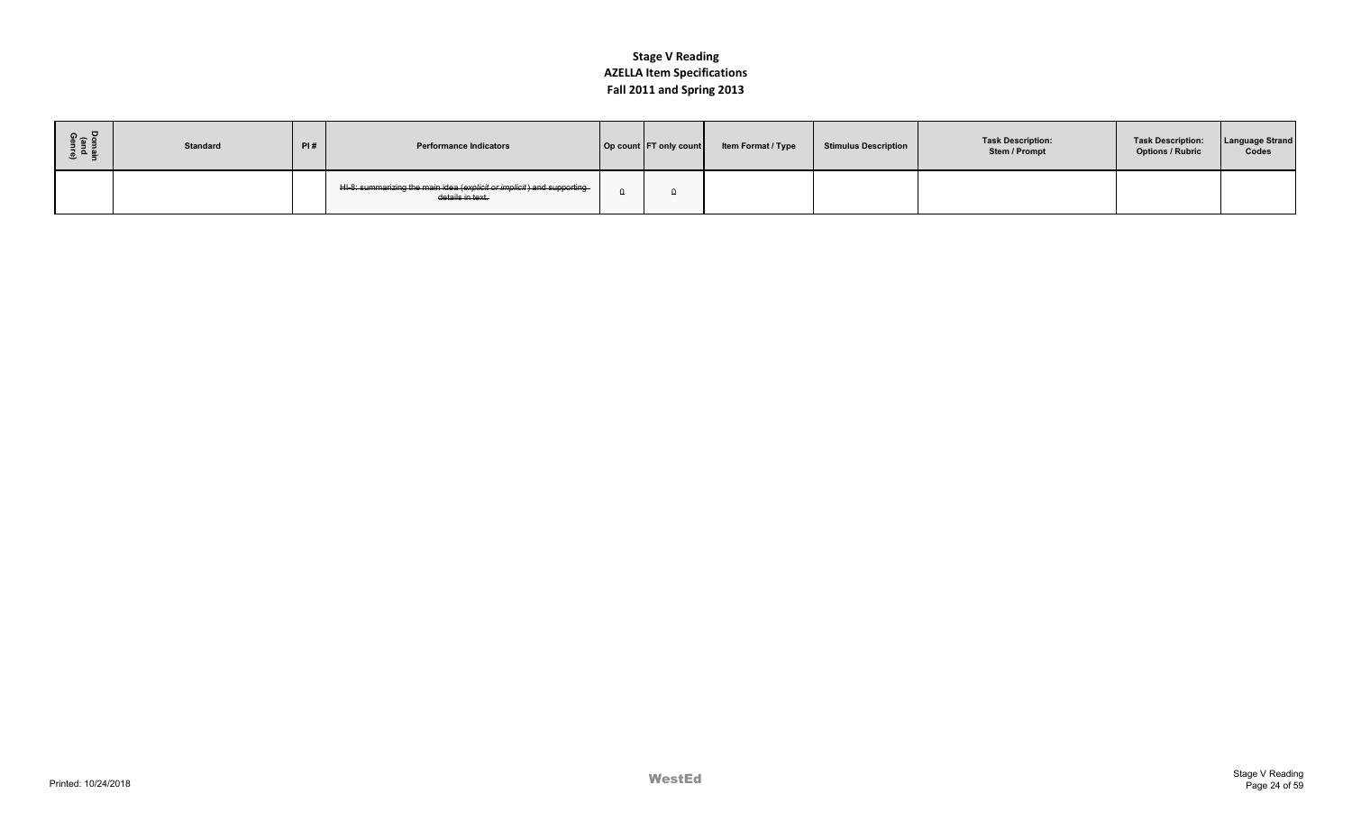| ទី ខ<br>த உ ≌ | <b>Standard</b> | PI# | <b>Performance Indicators</b>                                                             | Op count FT only count | Item Format / Type | Stimulus Description | <b>Task Description:</b><br>Stem / Prompt | <b>Task Description:</b><br><b>Options / Rubric</b> | <b>Language Strand</b><br>Codes |
|---------------|-----------------|-----|-------------------------------------------------------------------------------------------|------------------------|--------------------|----------------------|-------------------------------------------|-----------------------------------------------------|---------------------------------|
|               |                 |     | HI-8: summarizing the main idea (explicit or implicit) and supporting<br>details in text. |                        |                    |                      |                                           |                                                     |                                 |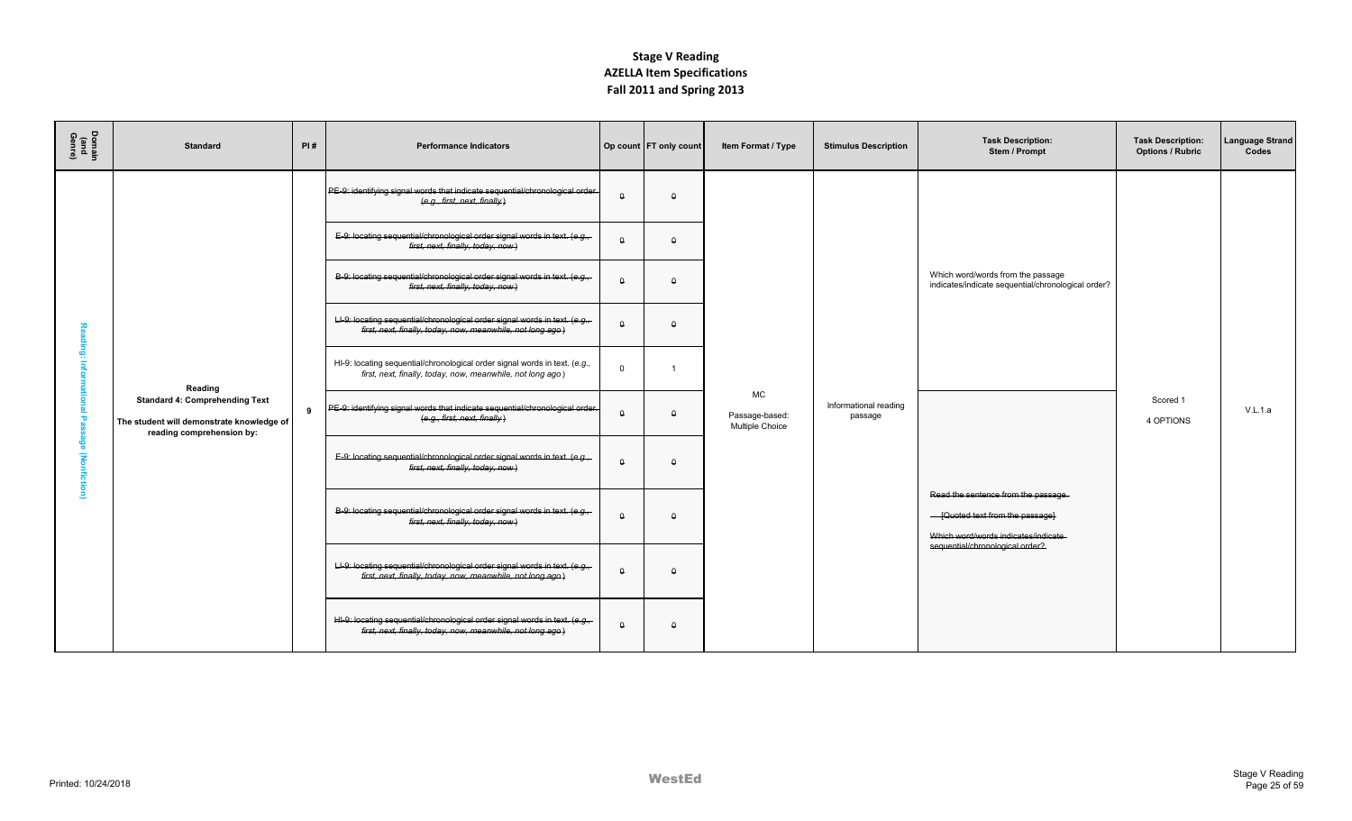| Domain<br>(and<br>Genre) | <b>Standard</b>                                                                                                 | PI# | <b>Performance Indicators</b>                                                                                                              |          | Op count FT only count | Item Format / Type                             | <b>Stimulus Description</b>      | <b>Task Description:</b><br>Stem / Prompt                                                                      | <b>Task Description:</b><br><b>Options / Rubric</b> | <b>Language Strand</b><br>Codes |
|--------------------------|-----------------------------------------------------------------------------------------------------------------|-----|--------------------------------------------------------------------------------------------------------------------------------------------|----------|------------------------|------------------------------------------------|----------------------------------|----------------------------------------------------------------------------------------------------------------|-----------------------------------------------------|---------------------------------|
|                          |                                                                                                                 |     | PE-9: identifying signal words that indicate sequential/chronological order.<br>(e.g., first, next, finally)                               | n        | $\Omega$               |                                                |                                  |                                                                                                                |                                                     |                                 |
|                          |                                                                                                                 |     | E-9: locating sequential/chronological order signal words in text. (e.g.,<br>first, next, finally, today, now)                             | $\Omega$ | $\Omega$               |                                                |                                  |                                                                                                                |                                                     |                                 |
|                          |                                                                                                                 |     | B-9: locating sequential/chronological order signal words in text. (e.g.,-<br>first, next, finally, today, now)                            | $\Omega$ | $\theta$               |                                                |                                  | Which word/words from the passage<br>indicates/indicate sequential/chronological order?                        |                                                     |                                 |
|                          |                                                                                                                 |     | LI-9: locating sequential/chronological order signal words in text. (e.g.,-<br>first, next, finally, today, now, meanwhile, not long ago.) | $\Omega$ | $\Omega$               |                                                |                                  |                                                                                                                |                                                     |                                 |
|                          | Reading                                                                                                         |     | HI-9: locating sequential/chronological order signal words in text. (e.g.,<br>first, next, finally, today, now, meanwhile, not long ago)   | $\Omega$ |                        |                                                |                                  |                                                                                                                |                                                     |                                 |
| ъ                        | <b>Standard 4: Comprehending Text</b><br>The student will demonstrate knowledge of<br>reading comprehension by: | 9   | PE-9: identifying signal words that indicate sequential/chronological order.<br>(e.g., first, next, finally)                               | $\Omega$ | $\theta$               | <b>MC</b><br>Passage-based:<br>Multiple Choice | Informational reading<br>passage |                                                                                                                | Scored 1<br>4 OPTIONS                               | V.L.1.a                         |
| Ê                        |                                                                                                                 |     | E-9: locating sequential/chronological order signal words in text. (e.g.,<br>first, next, finally, today, now)                             | $\Omega$ | $\Omega$               |                                                |                                  |                                                                                                                |                                                     |                                 |
|                          |                                                                                                                 |     | B-9: locating sequential/chronological order signal words in text. (e.g.,<br>first, next, finally, today, now)                             | $\Omega$ | $\theta$               |                                                |                                  | Read the sentence from the passage.<br>- [Quoted text from the passage]<br>Which word/words indicates/indicate |                                                     |                                 |
|                          |                                                                                                                 |     | LI-9: locating sequential/chronological order signal words in text. (e.g.,<br>first, next, finally, today, now, meanwhile, not long ago.)  | $\theta$ | $\theta$               |                                                |                                  | sequential/chronological order?                                                                                |                                                     |                                 |
|                          |                                                                                                                 |     | HI-9: locating sequential/chronological order signal words in text. (e.g.,<br>first, next, finally, today, now, meanwhile, not long ago.)  | $\Omega$ | $\Omega$               |                                                |                                  |                                                                                                                |                                                     |                                 |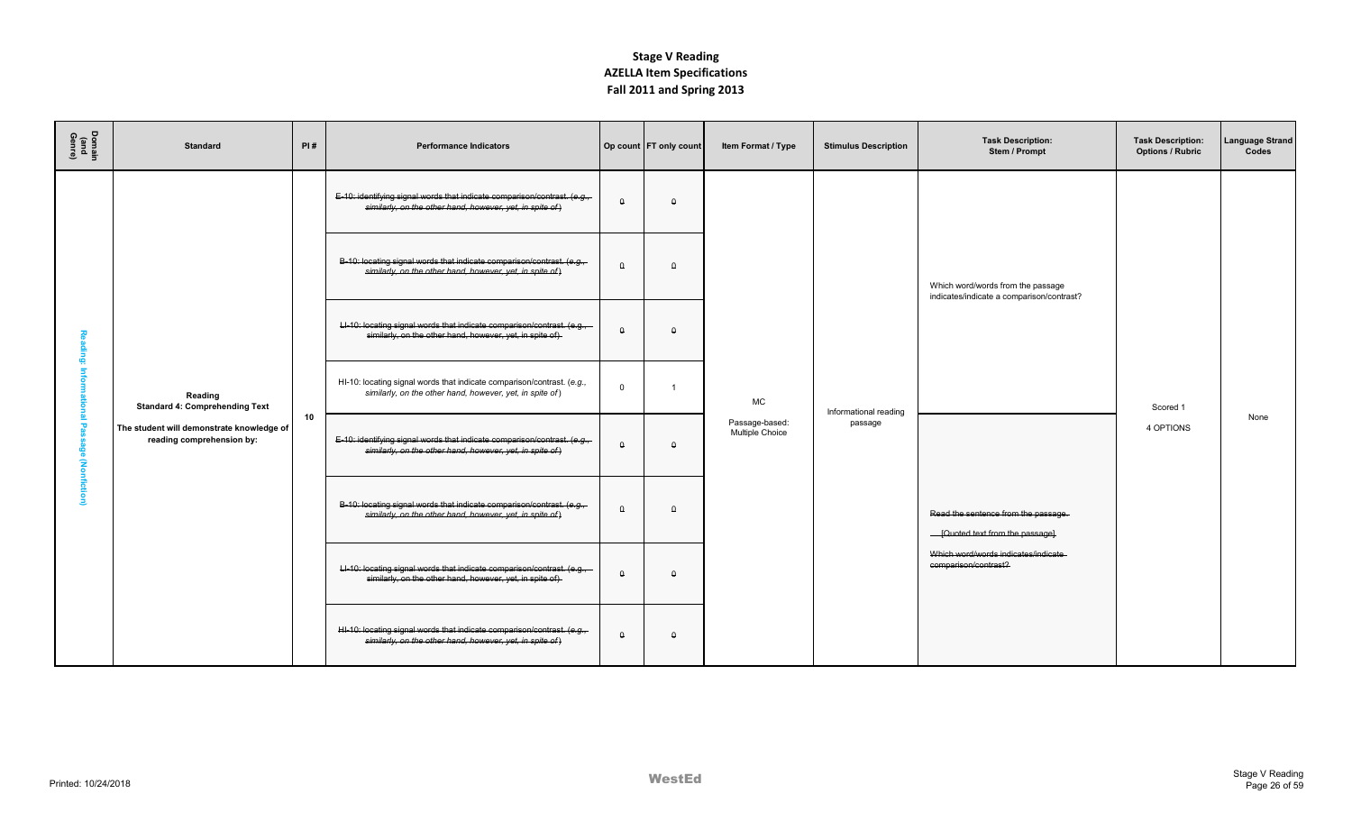| Domain<br>(and<br>Genre)           | <b>Standard</b>                                                        | PI# | <b>Performance Indicators</b>                                                                                                        |          | Op count FT only count | Item Format / Type                | <b>Stimulus Description</b> | <b>Task Description:</b><br>Stem / Prompt                                      | <b>Task Description:</b><br><b>Options / Rubric</b> | <b>Language Strand</b><br>Codes |
|------------------------------------|------------------------------------------------------------------------|-----|--------------------------------------------------------------------------------------------------------------------------------------|----------|------------------------|-----------------------------------|-----------------------------|--------------------------------------------------------------------------------|-----------------------------------------------------|---------------------------------|
|                                    |                                                                        |     | E-10: identifying signal words that indicate comparison/contrast. (e.g.,<br>similarly, on the other hand, however, yet, in spite of) | $\Omega$ | $\theta$               |                                   |                             |                                                                                |                                                     |                                 |
|                                    |                                                                        |     | B-10: locating signal words that indicate comparison/contrast. (e.g.,<br>similarly, on the other hand, however, yet, in spite of)    | $\Omega$ | $\Omega$               |                                   |                             | Which word/words from the passage<br>indicates/indicate a comparison/contrast? |                                                     |                                 |
|                                    |                                                                        |     | LI-10: locating signal words that indicate comparison/contrast. (e.g.,-<br>similarly, on the other hand, however, yet, in spite of)  | $\Omega$ | $\Omega$               |                                   |                             |                                                                                |                                                     |                                 |
|                                    | Reading<br><b>Standard 4: Comprehending Text</b>                       |     | HI-10: locating signal words that indicate comparison/contrast. (e.g.,<br>similarly, on the other hand, however, yet, in spite of)   | $\Omega$ | -1                     | MC                                | Informational reading       |                                                                                | Scored 1                                            |                                 |
| τ<br>န္စ<br>$\mathbf{\widehat{s}}$ | The student will demonstrate knowledge of<br>reading comprehension by: | 10  | E-10: identifying signal words that indicate comparison/contrast. (e.g.,<br>similarly, on the other hand, however, yet, in spite of) | $\Omega$ | $\theta$               | Passage-based:<br>Multiple Choice | passage                     |                                                                                | 4 OPTIONS                                           | None                            |
| mficti                             |                                                                        |     | B-10: locating signal words that indicate comparison/contrast. (e.g.,<br>similarly, on the other hand, however, yet, in spite of)    | $\theta$ | $\theta$               |                                   |                             | Read the sentence from the passage.<br>- [Quoted text from the passage]        |                                                     |                                 |
|                                    |                                                                        |     | LI-10: locating signal words that indicate comparison/contrast. (e.g.,<br>similarly, on the other hand, however, yet, in spite of)   | $\Omega$ | $\Omega$               |                                   |                             | Which word/words indicates/indicate<br>comparison/contrast?                    |                                                     |                                 |
|                                    |                                                                        |     | HI-10: locating signal words that indicate comparison/contrast. (e.g.,<br>similarly, on the other hand, however, yet, in spite of)   | $\Omega$ | $\theta$               |                                   |                             |                                                                                |                                                     |                                 |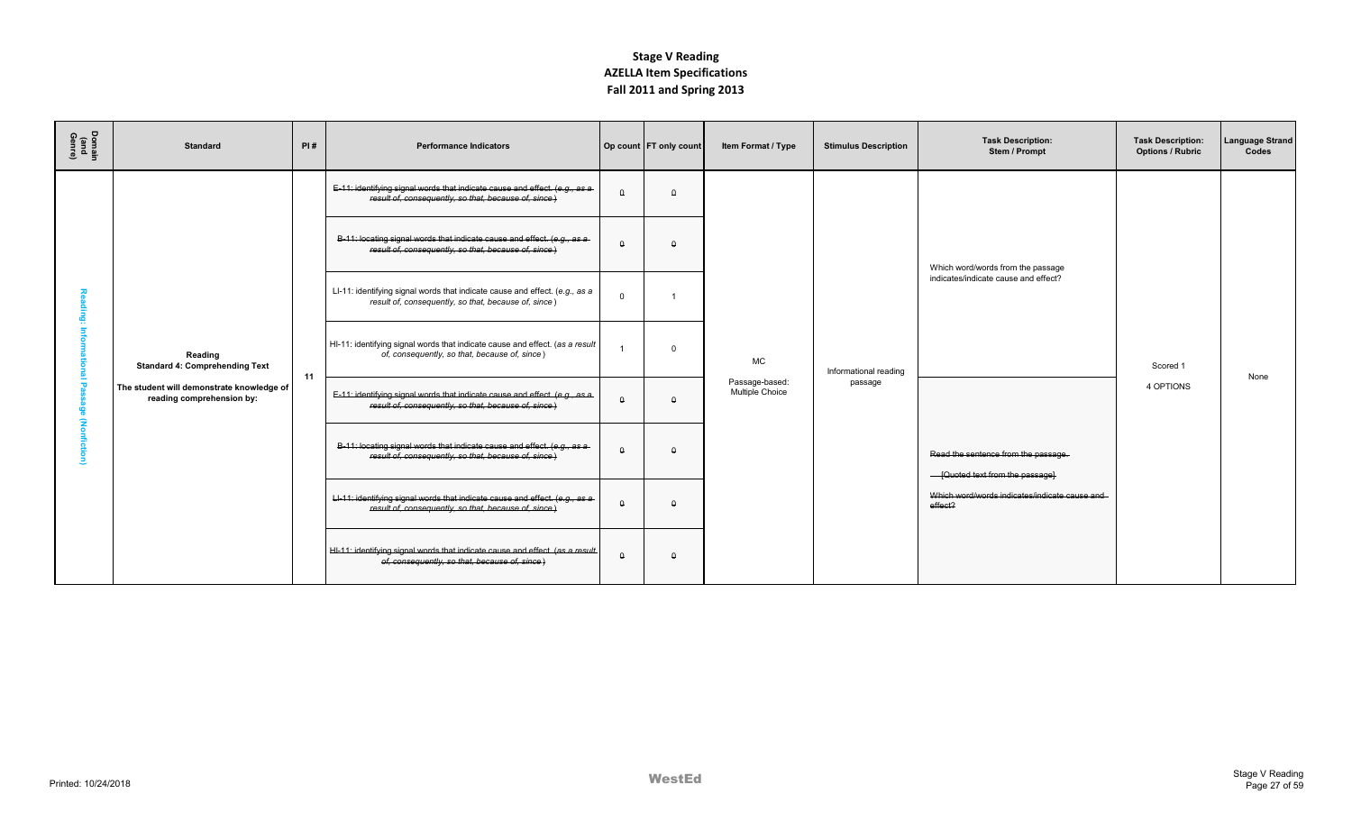| Domain<br>(and<br>Genre) | <b>Standard</b>                                                        | PI# | <b>Performance Indicators</b>                                                                                                       |          | Op count FT only count | Item Format / Type                | <b>Stimulus Description</b> | <b>Task Description:</b><br>Stem / Prompt                               | <b>Task Description:</b><br><b>Options / Rubric</b> | Language Strand<br>Codes |
|--------------------------|------------------------------------------------------------------------|-----|-------------------------------------------------------------------------------------------------------------------------------------|----------|------------------------|-----------------------------------|-----------------------------|-------------------------------------------------------------------------|-----------------------------------------------------|--------------------------|
|                          |                                                                        |     | E-11: identifying signal words that indicate cause and effect. (e.g., as a<br>result of, consequently, so that, because of, since)  | $\theta$ | $\Omega$               |                                   |                             |                                                                         |                                                     |                          |
|                          |                                                                        |     | B-11: locating signal words that indicate cause and effect. (e.g., as a<br>result of, consequently, so that, because of, since)     | $\theta$ | $\Omega$               |                                   |                             | Which word/words from the passage                                       |                                                     |                          |
|                          |                                                                        |     | LI-11: identifying signal words that indicate cause and effect. (e.g., as a<br>result of, consequently, so that, because of, since) | $\Omega$ |                        |                                   |                             | indicates/indicate cause and effect?                                    |                                                     |                          |
|                          | Reading<br><b>Standard 4: Comprehending Text</b>                       | 11  | HI-11: identifying signal words that indicate cause and effect. (as a result<br>of, consequently, so that, because of, since)       |          | $\mathbf 0$            | <b>MC</b>                         | Informational reading       |                                                                         | Scored 1                                            | None                     |
|                          | The student will demonstrate knowledge of<br>reading comprehension by: |     | E-11: identifying signal words that indicate cause and effect. (e.g., as a<br>result of, consequently, so that, because of, since)  | $\theta$ | $\Omega$               | Passage-based:<br>Multiple Choice | passage                     |                                                                         | 4 OPTIONS                                           |                          |
|                          |                                                                        |     | B-11: locating signal words that indicate cause and effect. (e.g., as a-<br>result of, consequently, so that, because of, since)    | $\Omega$ | $\Omega$               |                                   |                             | Read the sentence from the passage.<br>- [Quoted text from the passage] |                                                     |                          |
|                          |                                                                        |     | LI-11: identifying signal words that indicate cause and effect. (e.g., as a<br>result of, consequently, so that, because of, since) | $\theta$ | $\Omega$               |                                   |                             | Which word/words indicates/indicate cause and<br>effect?                |                                                     |                          |
|                          |                                                                        |     | HI-11: identifying signal words that indicate cause and effect. (as a result<br>of, consequently, so that, because of, since)       | $\Omega$ | $\Omega$               |                                   |                             |                                                                         |                                                     |                          |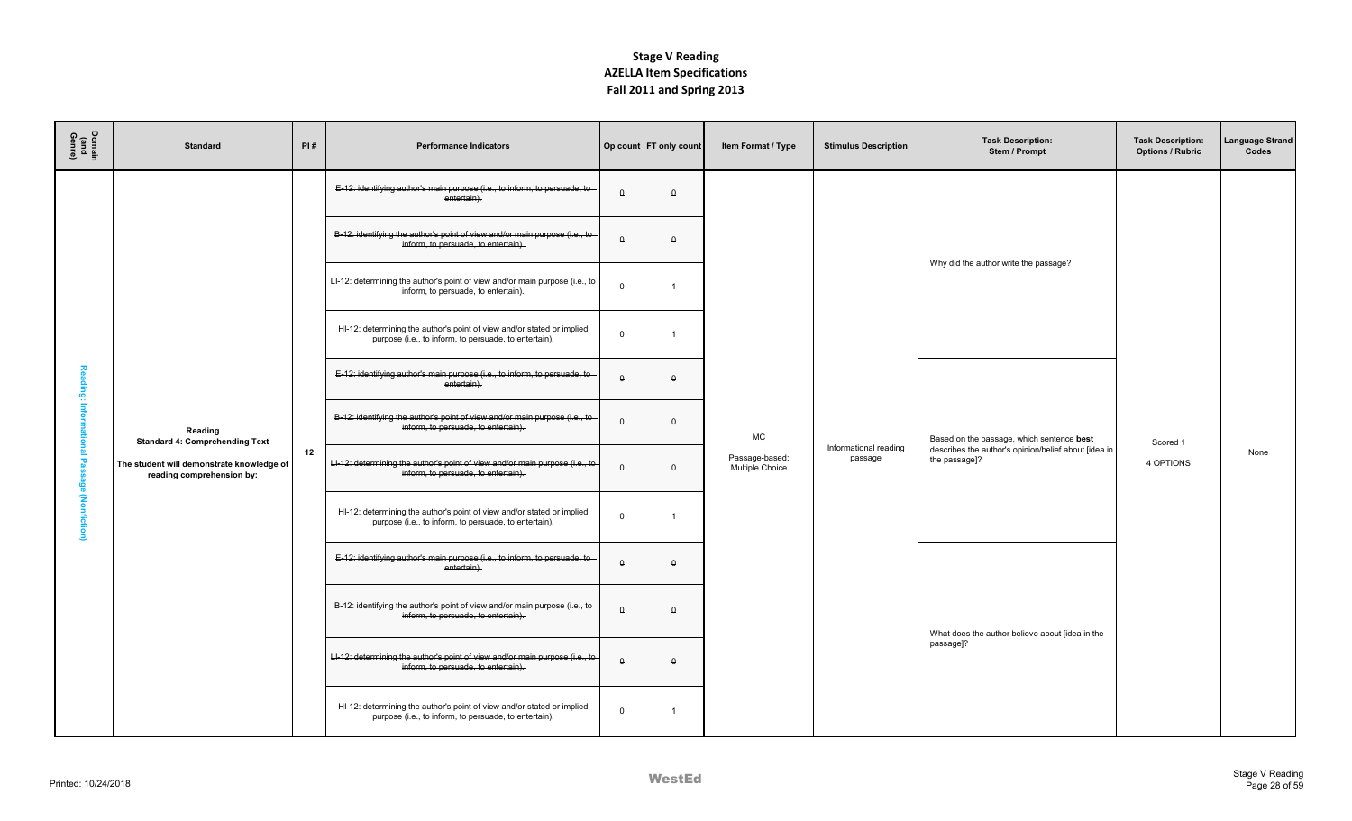| Domain<br>(and<br>Genre) | <b>Standard</b>                                                        | PI# | <b>Performance Indicators</b>                                                                                                   |             | Op count   FT only count | Item Format / Type                | <b>Stimulus Description</b>      | <b>Task Description:</b><br>Stem / Prompt                             | <b>Task Description:</b><br><b>Options / Rubric</b> | Language Strand<br>Codes |
|--------------------------|------------------------------------------------------------------------|-----|---------------------------------------------------------------------------------------------------------------------------------|-------------|--------------------------|-----------------------------------|----------------------------------|-----------------------------------------------------------------------|-----------------------------------------------------|--------------------------|
|                          |                                                                        |     | E-12: identifying author's main purpose (i.e., to inform, to persuade, to<br>entertain).                                        | $\theta$    | $\theta$                 |                                   |                                  |                                                                       |                                                     |                          |
|                          |                                                                        |     | B-12: identifying the author's point of view and/or main purpose (i.e., to<br>inform, to persuade, to entertain).               | $\theta$    | $\Omega$                 |                                   |                                  | Why did the author write the passage?                                 |                                                     |                          |
|                          |                                                                        |     | LI-12: determining the author's point of view and/or main purpose (i.e., to<br>inform, to persuade, to entertain).              | $\mathbf 0$ | $\overline{1}$           |                                   |                                  |                                                                       |                                                     |                          |
|                          |                                                                        |     | HI-12: determining the author's point of view and/or stated or implied<br>purpose (i.e., to inform, to persuade, to entertain). | $\mathbf 0$ | $\overline{1}$           |                                   |                                  |                                                                       |                                                     |                          |
| sding:                   |                                                                        |     | E-12: identifying author's main purpose (i.e., to inform, to persuade, to<br>entertain).                                        | $\theta$    | $\Omega$                 |                                   |                                  |                                                                       |                                                     |                          |
| info                     | Reading<br><b>Standard 4: Comprehending Text</b>                       |     | B-12: identifying the author's point of view and/or main purpose (i.e., to<br>inform, to persuade, to entertain).               | $\theta$    | $\theta$                 | МC                                |                                  | Based on the passage, which sentence best                             | Scored 1                                            |                          |
| <b>Passage</b>           | The student will demonstrate knowledge of<br>reading comprehension by: | 12  | LI-12: determining the author's point of view and/or main purpose (i.e., to<br>inform, to persuade, to entertain).              | $\theta$    | $\theta$                 | Passage-based:<br>Multiple Choice | Informational reading<br>passage | describes the author's opinion/belief about [idea in<br>the passage]? | 4 OPTIONS                                           | None                     |
| (Nonfiction)             |                                                                        |     | HI-12: determining the author's point of view and/or stated or implied<br>purpose (i.e., to inform, to persuade, to entertain). | $\mathbf 0$ | $\overline{1}$           |                                   |                                  |                                                                       |                                                     |                          |
|                          |                                                                        |     | E-12: identifying author's main purpose (i.e., to inform, to persuade, to<br>entertain).                                        | $\Theta$    | $\theta$                 |                                   |                                  |                                                                       |                                                     |                          |
|                          |                                                                        |     | B-12: identifying the author's point of view and/or main purpose (i.e., to<br>inform, to persuade, to entertain).               | $\theta$    | $\theta$                 |                                   |                                  |                                                                       |                                                     |                          |
|                          |                                                                        |     | LI-12: determining the author's point of view and/or main purpose (i.e., to<br>inform, to persuade, to entertain).              | $\theta$    | $\theta$                 |                                   |                                  | What does the author believe about [idea in the<br>passage]?          |                                                     |                          |
|                          |                                                                        |     | HI-12: determining the author's point of view and/or stated or implied<br>purpose (i.e., to inform, to persuade, to entertain). | $\mathbf 0$ | $\overline{1}$           |                                   |                                  |                                                                       |                                                     |                          |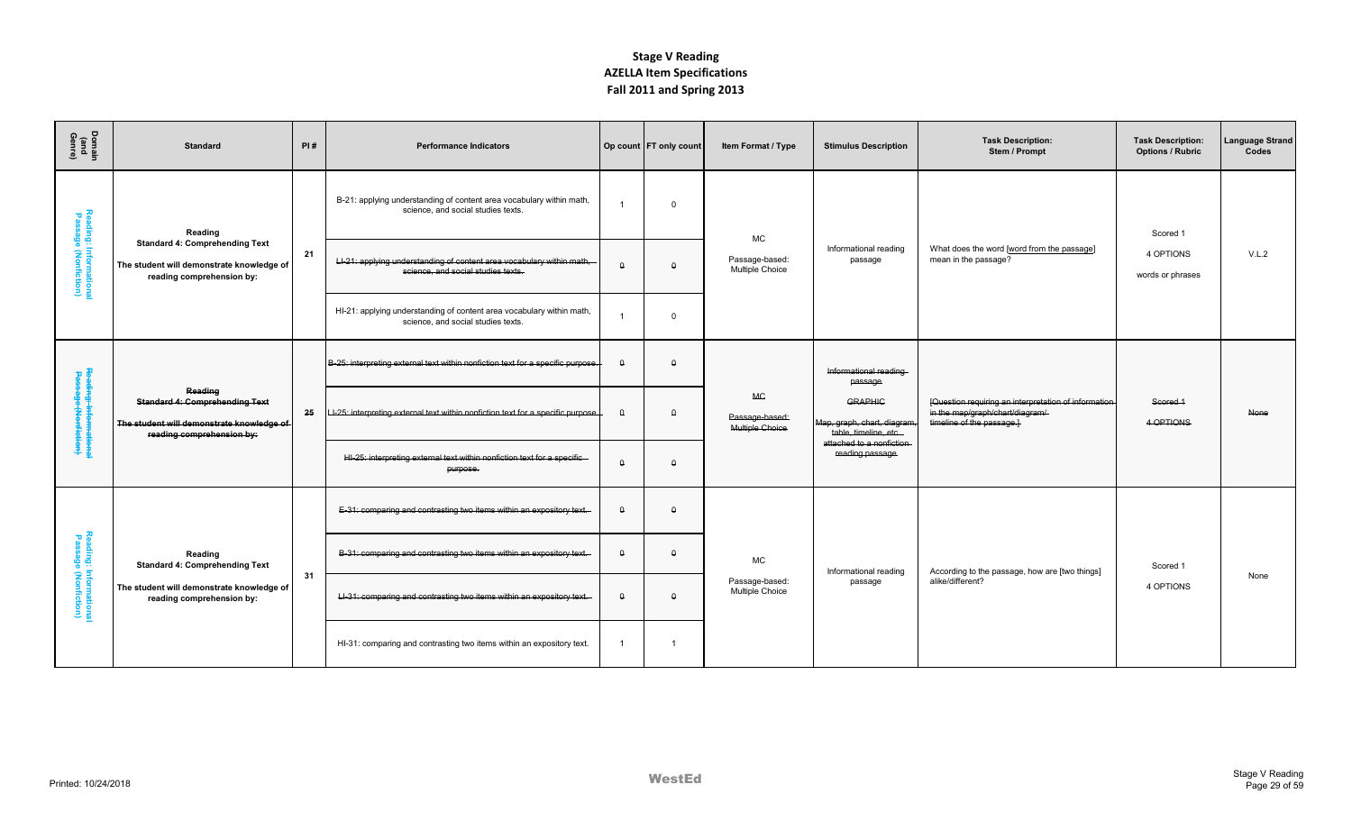| Domain<br>(and<br>Genre)                      | <b>Standard</b>                                                                                                            | PI# | <b>Performance Indicators</b>                                                                               |                | Op count FT only count | Item Format / Type                                    | <b>Stimulus Description</b>                                           | <b>Task Description:</b><br>Stem / Prompt                                                                            | <b>Task Description:</b><br><b>Options / Rubric</b> | Language Strand<br>Codes |
|-----------------------------------------------|----------------------------------------------------------------------------------------------------------------------------|-----|-------------------------------------------------------------------------------------------------------------|----------------|------------------------|-------------------------------------------------------|-----------------------------------------------------------------------|----------------------------------------------------------------------------------------------------------------------|-----------------------------------------------------|--------------------------|
|                                               | Reading                                                                                                                    |     | B-21: applying understanding of content area vocabulary within math,<br>science, and social studies texts.  | -1             | $\Omega$               | <b>MC</b>                                             |                                                                       |                                                                                                                      | Scored 1                                            |                          |
| Reading: Informationa<br>Passage (Nonfiction) | <b>Standard 4: Comprehending Text</b><br>The student will demonstrate knowledge of<br>reading comprehension by:            | 21  | LI-21: applying understanding of content area vocabulary within math,<br>science, and social studies texts. | $\theta$       | $\theta$               | Passage-based:<br>Multiple Choice                     | Informational reading<br>passage                                      | What does the word [word from the passage]<br>mean in the passage?                                                   | 4 OPTIONS<br>words or phrases                       | V.L.2                    |
|                                               |                                                                                                                            |     | HI-21: applying understanding of content area vocabulary within math,<br>science, and social studies texts. |                | $\Omega$               |                                                       |                                                                       |                                                                                                                      |                                                     |                          |
|                                               |                                                                                                                            |     | B-25: interpreting external text within nonfiction text for a specific purpose.                             | $\theta$       | $\Omega$               |                                                       | Informational reading<br>passage                                      |                                                                                                                      |                                                     |                          |
| Reading: Informationa<br>Passage (Nenfiction) | Reading<br><b>Standard 4: Comprehending Text</b><br>The student will demonstrate knowledge of<br>reading comprehension by: | 25  | LI-25: interpreting external text within nonfiction text for a specific purpose.                            | $\theta$       | $\theta$               | <b>MG</b><br>Passage-based:<br><b>Multiple Choice</b> | <b>GRAPHIC</b><br>Map, graph, chart, diagram<br>table, timeline, etc. | [Question requiring an interpretation of information<br>in the map/graph/chart/diagram/<br>timeline of the passage.] | Scored 1<br>4 OPTIONS                               | None                     |
|                                               |                                                                                                                            |     | HI-25: interpreting external text within nonfiction text for a specific<br>purpose.                         | $\theta$       | $\Omega$               |                                                       | attached to a nonfiction<br>reading passage                           |                                                                                                                      |                                                     |                          |
|                                               |                                                                                                                            |     | E-31: comparing and contrasting two items within an expository text.                                        | $\Omega$       | $\Omega$               |                                                       |                                                                       |                                                                                                                      |                                                     |                          |
| Reading: Informationa<br>Passage (Nonfiction) | Reading<br><b>Standard 4: Comprehending Text</b>                                                                           | 31  | B-31: comparing and contrasting two items within an expository text.                                        | $\theta$       | $\theta$               | <b>MC</b>                                             | Informational reading                                                 | According to the passage, how are [two things]                                                                       | Scored 1                                            | None                     |
|                                               | The student will demonstrate knowledge of<br>reading comprehension by:                                                     |     | LI-31: comparing and contrasting two items within an expository text.                                       | $\theta$       | $\theta$               | Passage-based:<br>Multiple Choice                     | passage                                                               | alike/different?                                                                                                     | 4 OPTIONS                                           |                          |
|                                               |                                                                                                                            |     | HI-31: comparing and contrasting two items within an expository text.                                       | $\overline{1}$ | $\overline{1}$         |                                                       |                                                                       |                                                                                                                      |                                                     |                          |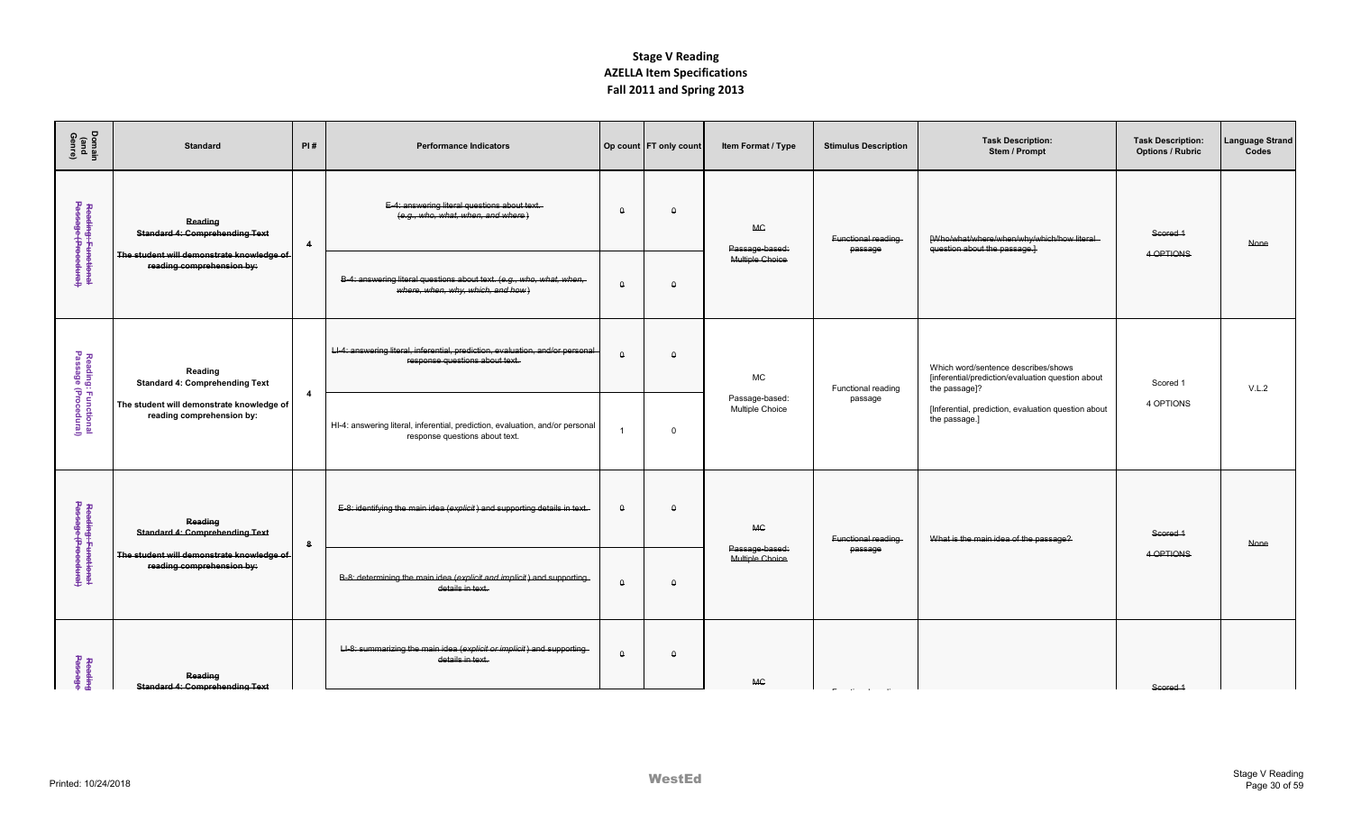| Domain<br>(and<br>Genre)                    | <b>Standard</b>                                                        | PI#                     | <b>Performance Indicators</b>                                                                                   |          | Op count FT only count | Item Format / Type                | <b>Stimulus Description</b>   | <b>Task Description:</b><br>Stem / Prompt                                                                 | <b>Task Description:</b><br><b>Options / Rubric</b> | Language Strand<br>Codes |
|---------------------------------------------|------------------------------------------------------------------------|-------------------------|-----------------------------------------------------------------------------------------------------------------|----------|------------------------|-----------------------------------|-------------------------------|-----------------------------------------------------------------------------------------------------------|-----------------------------------------------------|--------------------------|
| Reading: Functional<br>Passage (Procedural) | Reading<br><b>Standard 4: Comprehending Text</b>                       | $\overline{4}$          | E-4: answering literal questions about text.<br>(e.g., who, what, when, and where                               | $\theta$ | $\Omega$               | <b>MC</b><br>Passage-based:       | Functional reading<br>passage | [Who/what/where/when/why/which/how literal<br>question about the passage.                                 | Scored <sub>1</sub>                                 | None                     |
|                                             | The student will demonstrate knowledge of<br>reading comprehension by: |                         | B-4: answering literal questions about text. (e.g., who, what, when,<br>where, when, why, which, and how)       | $\theta$ | $\Omega$               | Multiple Choice                   |                               |                                                                                                           | 4 OPTIONS                                           |                          |
| Reading: Functional<br>Passage (Procedural) | Reading<br><b>Standard 4: Comprehending Text</b>                       | $\overline{\mathbf{A}}$ | LI-4: answering literal, inferential, prediction, evaluation, and/or personal<br>response questions about text. | $\theta$ | $\Omega$               | MC                                | Functional reading            | Which word/sentence describes/shows<br>[inferential/prediction/evaluation question about<br>the passage]? | Scored 1                                            | V.L.2                    |
|                                             | The student will demonstrate knowledge of<br>reading comprehension by: |                         | HI-4: answering literal, inferential, prediction, evaluation, and/or personal<br>response questions about text. |          | $\Omega$               | Passage-based:<br>Multiple Choice | passage                       | [Inferential, prediction, evaluation question about<br>the passage.]                                      | 4 OPTIONS                                           |                          |
| Reading: Functional<br>Passage (Procedural) | Reading<br><b>Standard 4: Comprehending Text</b>                       | 8                       | E-8: identifying the main idea (explicit) and supporting details in text.                                       | $\theta$ | $\Omega$               | <b>MC</b>                         | Functional reading            | What is the main idea of the passage?                                                                     | Scored 1                                            | None                     |
|                                             | The student will demonstrate knowledge of<br>reading comprehension by: |                         | B-8: determining the main idea (explicit and implicit) and supporting-<br>details in text.                      | $\theta$ | $\Omega$               | Passage-based:<br>Multiple Choice | passage                       |                                                                                                           | 4 OPTIONS                                           |                          |
| Reading<br>Passage                          | Reading<br><b>Standard 4: Comprehending Text</b>                       |                         | LI-8: summarizing the main idea (explicit or implicit) and supporting-<br>details in text.                      | $\Omega$ | $\Omega$               | <b>MC</b>                         |                               |                                                                                                           | Scored <sub>1</sub>                                 |                          |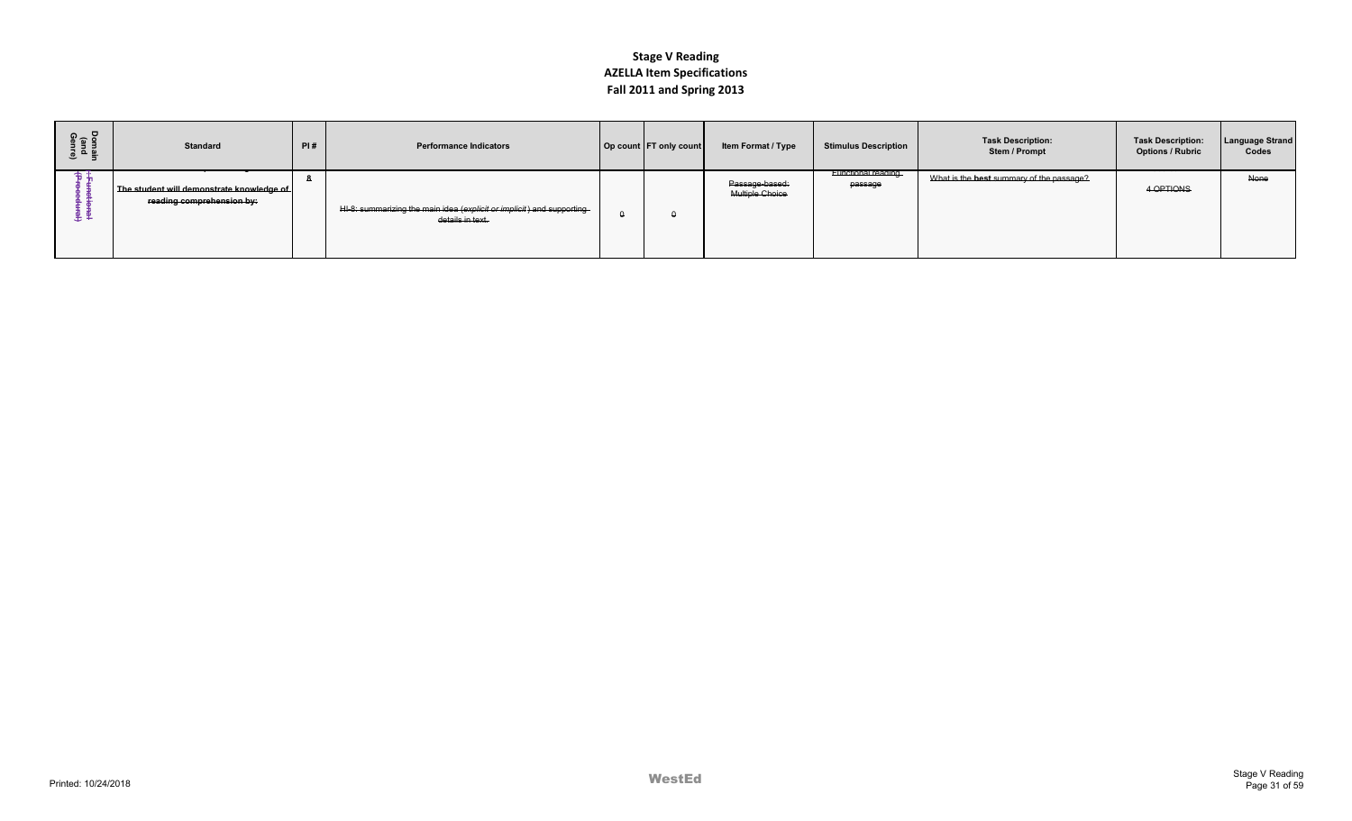| Do ឲ<br>សូ<br>로 프<br>이 프 | <b>Standard</b>                                                        | PI# | <b>Performance Indicators</b>                                                             | Op count FT only count | Item Format / Type                       | <b>Stimulus Description</b>          | <b>Task Description:</b><br>Stem / Prompt | <b>Task Description:</b><br><b>Options / Rubric</b> | <b>Language Strand</b><br>Codes |
|--------------------------|------------------------------------------------------------------------|-----|-------------------------------------------------------------------------------------------|------------------------|------------------------------------------|--------------------------------------|-------------------------------------------|-----------------------------------------------------|---------------------------------|
|                          | The student will demonstrate knowledge of<br>reading comprehension by: |     | HI-8: summarizing the main idea (explicit or implicit) and supporting<br>details in text. |                        | Passage-based:<br><b>Multiple Choice</b> | <b>Functional reading</b><br>passage | What is the best summary of the passage?  | 4 OPTIONS                                           | None                            |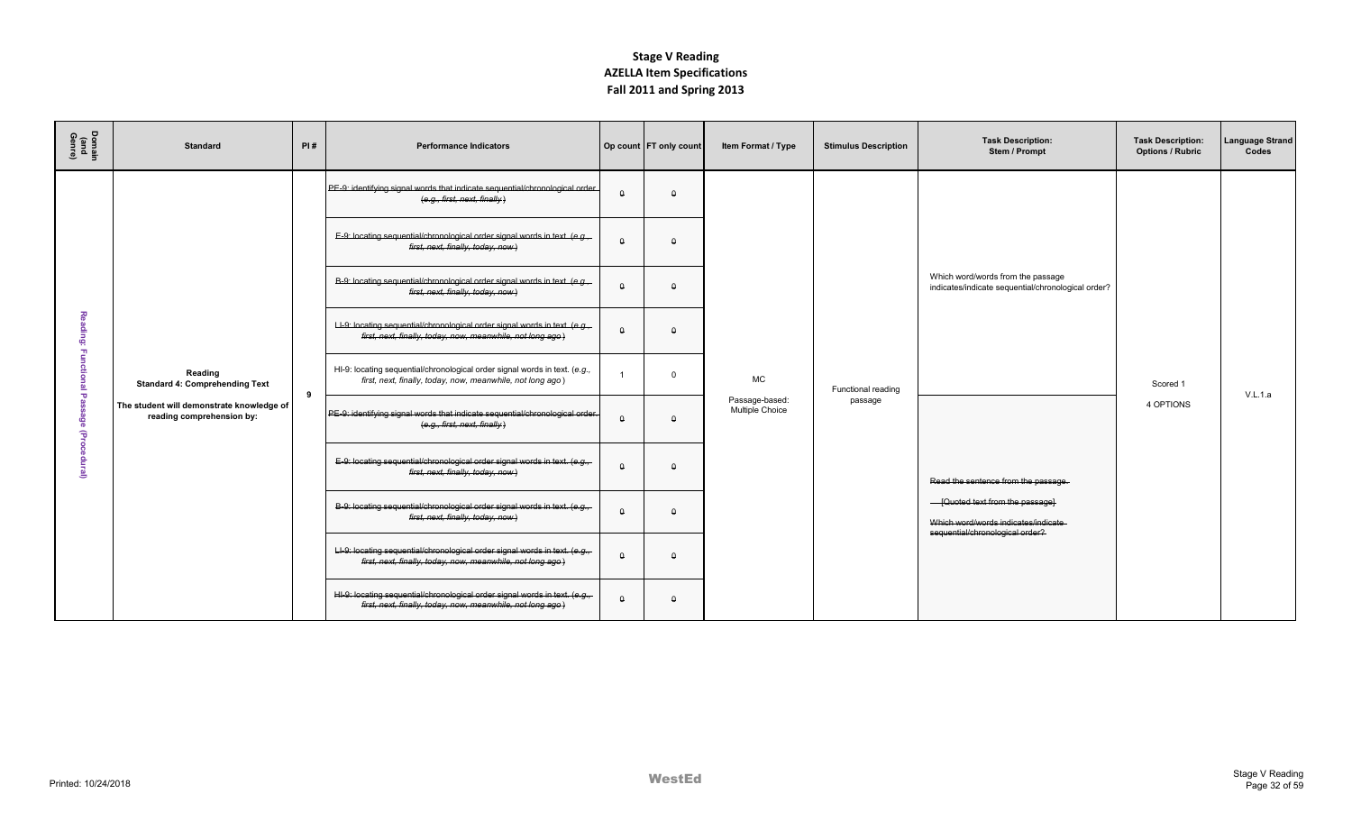| Domain<br>(and<br>Genre) | <b>Standard</b>                                                        | PI# | <b>Performance Indicators</b>                                                                                                             |          | Op count   FT only count | Item Format / Type                | <b>Stimulus Description</b> | <b>Task Description:</b><br>Stem / Prompt                                                                  | <b>Task Description:</b><br><b>Options / Rubric</b> | Language Strand<br>Codes |
|--------------------------|------------------------------------------------------------------------|-----|-------------------------------------------------------------------------------------------------------------------------------------------|----------|--------------------------|-----------------------------------|-----------------------------|------------------------------------------------------------------------------------------------------------|-----------------------------------------------------|--------------------------|
|                          |                                                                        |     | PE-9: identifying signal words that indicate sequential/chronological order.<br>(e.q., first, next, finally)                              |          | $\Omega$                 |                                   |                             |                                                                                                            |                                                     |                          |
|                          |                                                                        |     | E-9: locating sequential/chronological order signal words in text. (e.g.,<br>first, next, finally, today, now)                            | Δ        | $\Omega$                 |                                   |                             |                                                                                                            |                                                     |                          |
|                          |                                                                        |     | B-9: locating sequential/chronological order signal words in text. (e.g.,<br>first, next, finally, today, now)                            | $\Omega$ | $\cap$                   |                                   |                             | Which word/words from the passage<br>indicates/indicate sequential/chronological order?                    |                                                     |                          |
| 증<br>ē                   |                                                                        |     | LI-9: locating sequential/chronological order signal words in text. (e.g.,<br>first, next, finally, today, now, meanwhile, not long ago)  | $\Omega$ | $\Omega$                 |                                   |                             |                                                                                                            |                                                     |                          |
| ъ                        | Reading<br><b>Standard 4: Comprehending Text</b>                       | 9   | HI-9: locating sequential/chronological order signal words in text. (e.g.,<br>first, next, finally, today, now, meanwhile, not long ago)  |          | $\Omega$                 | <b>MC</b>                         | Functional reading          |                                                                                                            | Scored 1                                            | V.L.1.a                  |
| g<br>€                   | The student will demonstrate knowledge of<br>reading comprehension by: |     | PE-9: identifying signal words that indicate sequential/chronological order.<br>(e.q., first, next, finally)                              |          | $\Omega$                 | Passage-based:<br>Multiple Choice | passage                     |                                                                                                            | 4 OPTIONS                                           |                          |
| ≝                        |                                                                        |     | E-9: locating sequential/chronological order signal words in text. (e.g.,<br>first, next, finally, today, now)                            | $\Omega$ | $\Omega$                 |                                   |                             | Read the sentence from the passage.                                                                        |                                                     |                          |
|                          |                                                                        |     | B-9: locating sequential/chronological order signal words in text. (e.g.,-<br>first, next, finally, today, now)                           | $\Omega$ | $\cap$                   |                                   |                             | - [Quoted text from the passage]<br>Which word/words indicates/indicate<br>sequential/chronological order? |                                                     |                          |
|                          |                                                                        |     | LI-9: locating sequential/chronological order signal words in text. (e.g.,-<br>first, next, finally, today, now, meanwhile, not long ago) | $\Omega$ | $\Omega$                 |                                   |                             |                                                                                                            |                                                     |                          |
|                          |                                                                        |     | HI-9: locating sequential/chronological order signal words in text. (e.g.,<br>first, next, finally, today, now, meanwhile, not long ago.) | $\Omega$ | $\Omega$                 |                                   |                             |                                                                                                            |                                                     |                          |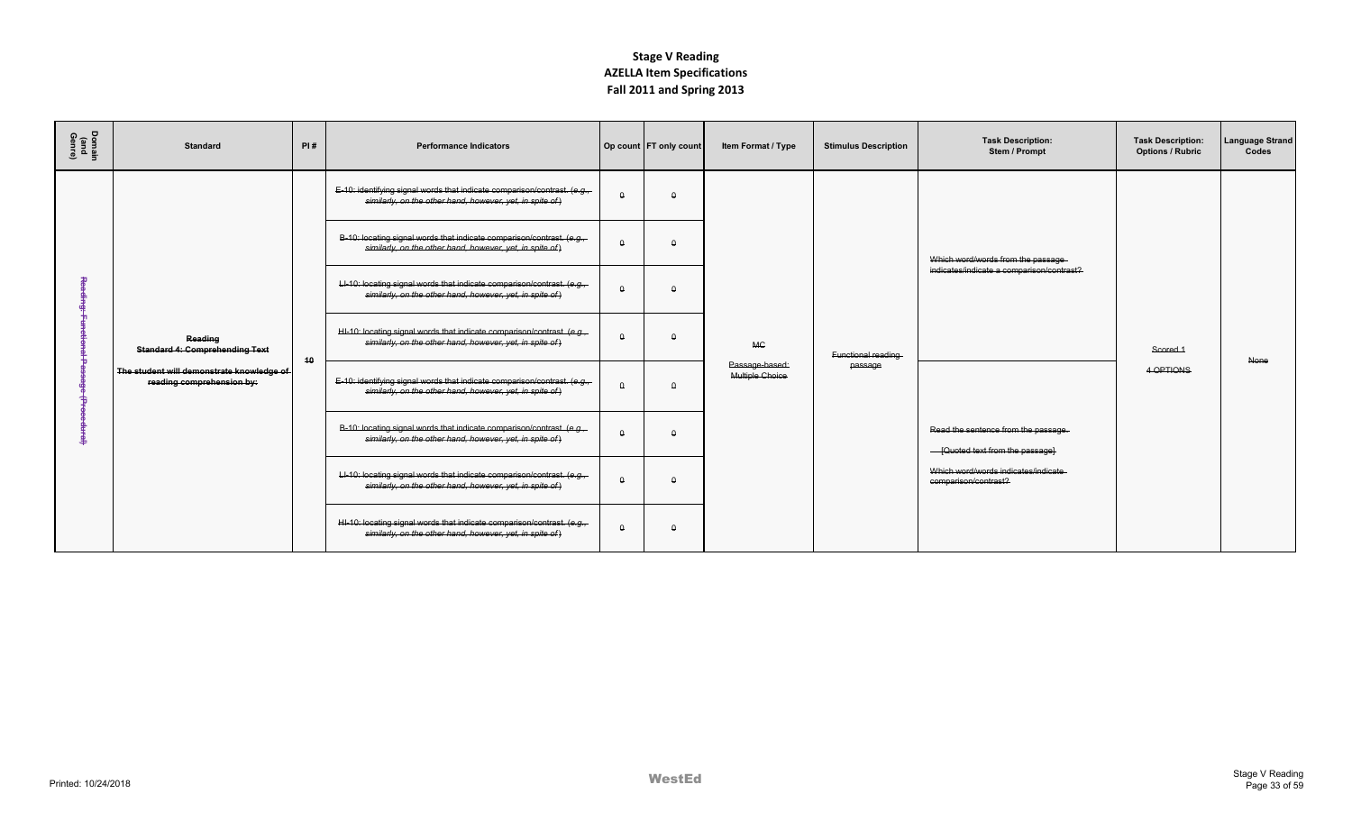| Domain<br>(and<br>Genre) | <b>Standard</b>                                                        | PI# | <b>Performance Indicators</b>                                                                                                          |          | Op count FT only count | Item Format / Type                | <b>Stimulus Description</b> | <b>Task Description:</b><br>Stem / Prompt                               | <b>Task Description:</b><br><b>Options / Rubric</b> | <b>Language Strand</b><br>Codes |
|--------------------------|------------------------------------------------------------------------|-----|----------------------------------------------------------------------------------------------------------------------------------------|----------|------------------------|-----------------------------------|-----------------------------|-------------------------------------------------------------------------|-----------------------------------------------------|---------------------------------|
|                          |                                                                        |     | E-10: identifying signal words that indicate comparison/contrast. (e.g.,<br>similarly, on the other hand, however, yet, in spite of)   | $\Omega$ | $\Omega$               |                                   |                             |                                                                         |                                                     |                                 |
|                          |                                                                        |     | B-10: locating signal words that indicate comparison/contrast. (e.g.,<br>similarly, on the other hand, however, yet, in spite of)      | $\Omega$ | $\Omega$               |                                   |                             | Which word/words from the passage-                                      |                                                     |                                 |
|                          |                                                                        |     | LI-10: locating signal words that indicate comparison/contrast. (e.g.<br>similarly, on the other hand, however, yet, in spite of)      | $\theta$ | $\Omega$               |                                   |                             | indicates/indicate a comparison/contrast?                               |                                                     |                                 |
|                          | Reading<br><b>Standard 4: Comprehending Text</b>                       | 40  | HI-10: locating signal words that indicate comparison/contrast. (e.g.,<br>similarly, on the other hand, however, yet, in spite of)     | $\theta$ | $\theta$               | <b>MC</b>                         | Functional reading          |                                                                         | Scored <sub>1</sub>                                 | None                            |
|                          | The student will demonstrate knowledge of<br>reading comprehension by: |     | E-10: identifying signal words that indicate comparison/contrast. $(e.g.,$<br>similarly, on the other hand, however, yet, in spite of) | $\Omega$ | $\Omega$               | Passage-based:<br>Multiple Choice | passage                     |                                                                         | 4 OPTIONS                                           |                                 |
|                          |                                                                        |     | B-10: locating signal words that indicate comparison/contrast. (e.g.<br>similarly, on the other hand, however, yet, in spite of)       | $\Omega$ | $\Omega$               |                                   |                             | Read the sentence from the passage.<br>- [Quoted text from the passage] |                                                     |                                 |
|                          |                                                                        |     | LI-10: locating signal words that indicate comparison/contrast. (e.g.,<br>similarly, on the other hand, however, yet, in spite of)     | $\Omega$ | $\Omega$               |                                   |                             | Which word/words indicates/indicate<br>comparison/contrast?             |                                                     |                                 |
|                          |                                                                        |     | HI-10: locating signal words that indicate comparison/contrast. (e.g.<br>similarly, on the other hand, however, yet, in spite of)      | $\Omega$ | $\Omega$               |                                   |                             |                                                                         |                                                     |                                 |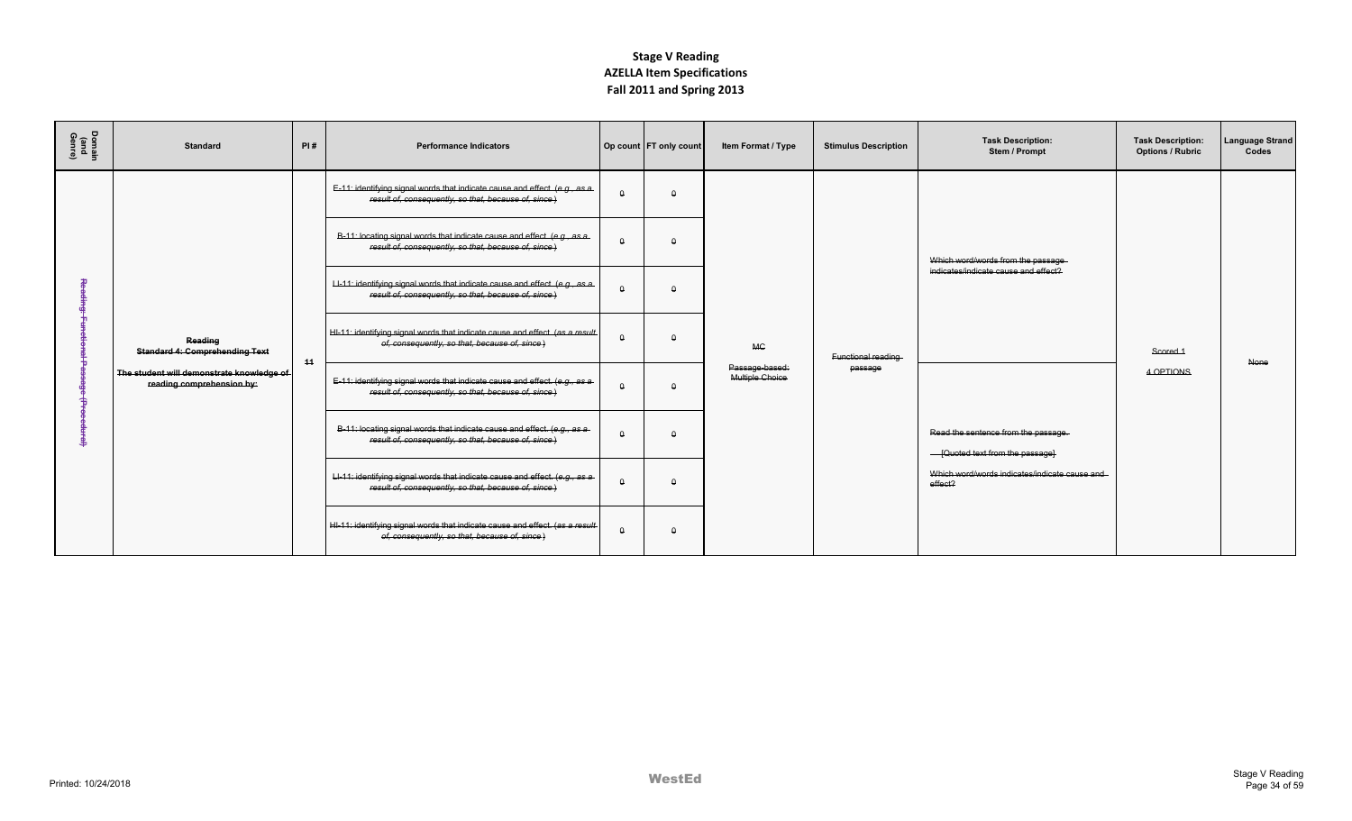| Domain<br>(and<br>Genre) | <b>Standard</b>                                                        | PI# | <b>Performance Indicators</b>                                                                                                        |          | Op count FT only count | Item Format / Type                | <b>Stimulus Description</b> | <b>Task Description:</b><br>Stem / Prompt                               | <b>Task Description:</b><br><b>Options / Rubric</b> | Language Strand<br>Codes |
|--------------------------|------------------------------------------------------------------------|-----|--------------------------------------------------------------------------------------------------------------------------------------|----------|------------------------|-----------------------------------|-----------------------------|-------------------------------------------------------------------------|-----------------------------------------------------|--------------------------|
|                          |                                                                        |     | E-11: identifying signal words that indicate cause and effect. (e.g., as a-<br>result of, consequently, so that, because of, since)  | $\Omega$ | $\Omega$               |                                   |                             |                                                                         |                                                     |                          |
|                          |                                                                        |     | B-11: locating signal words that indicate cause and effect. (e.g., as a-<br>result of, consequently, so that, because of, since)     | $\Omega$ | $\Omega$               |                                   |                             | Which word/words from the passage-                                      |                                                     |                          |
|                          |                                                                        |     | LI-11: identifying signal words that indicate cause and effect. (e.g., as a-<br>result of, consequently, so that, because of, since) | $\Omega$ | $\Omega$               |                                   |                             | indicates/indicate cause and effect?                                    |                                                     |                          |
|                          | Reading<br><b>Standard 4: Comprehending Text</b>                       | 44  | HI-11: identifying signal words that indicate cause and effect. (as a result<br>of, consequently, so that, because of, since)        | $\Omega$ | $\Omega$               | <b>MC</b>                         | Functional reading          |                                                                         | Scored 1                                            | None                     |
|                          | The student will demonstrate knowledge of<br>reading comprehension by: |     | E-11: identifying signal words that indicate cause and effect. (e.g., as a-<br>result of, consequently, so that, because of, since)  | $\Omega$ | $\Omega$               | Passage-based:<br>Multiple Choice | passage                     |                                                                         | 4 OPTIONS                                           |                          |
|                          |                                                                        |     | B-11: locating signal words that indicate cause and effect. (e.g., as a-<br>result of, consequently, so that, because of, since.)    | $\Omega$ | $\Omega$               |                                   |                             | Read the sentence from the passage.<br>- [Quoted text from the passage] |                                                     |                          |
|                          |                                                                        |     | LI-11: identifying signal words that indicate cause and effect. (e.g., as a-<br>result of, consequently, so that, because of, since) | $\Omega$ | $\Omega$               |                                   |                             | Which word/words indicates/indicate cause and<br>effect?                |                                                     |                          |
|                          |                                                                        |     | HI-11: identifying signal words that indicate cause and effect. (as a result-<br>of, consequently, so that, because of, since)       | $\theta$ | $\theta$               |                                   |                             |                                                                         |                                                     |                          |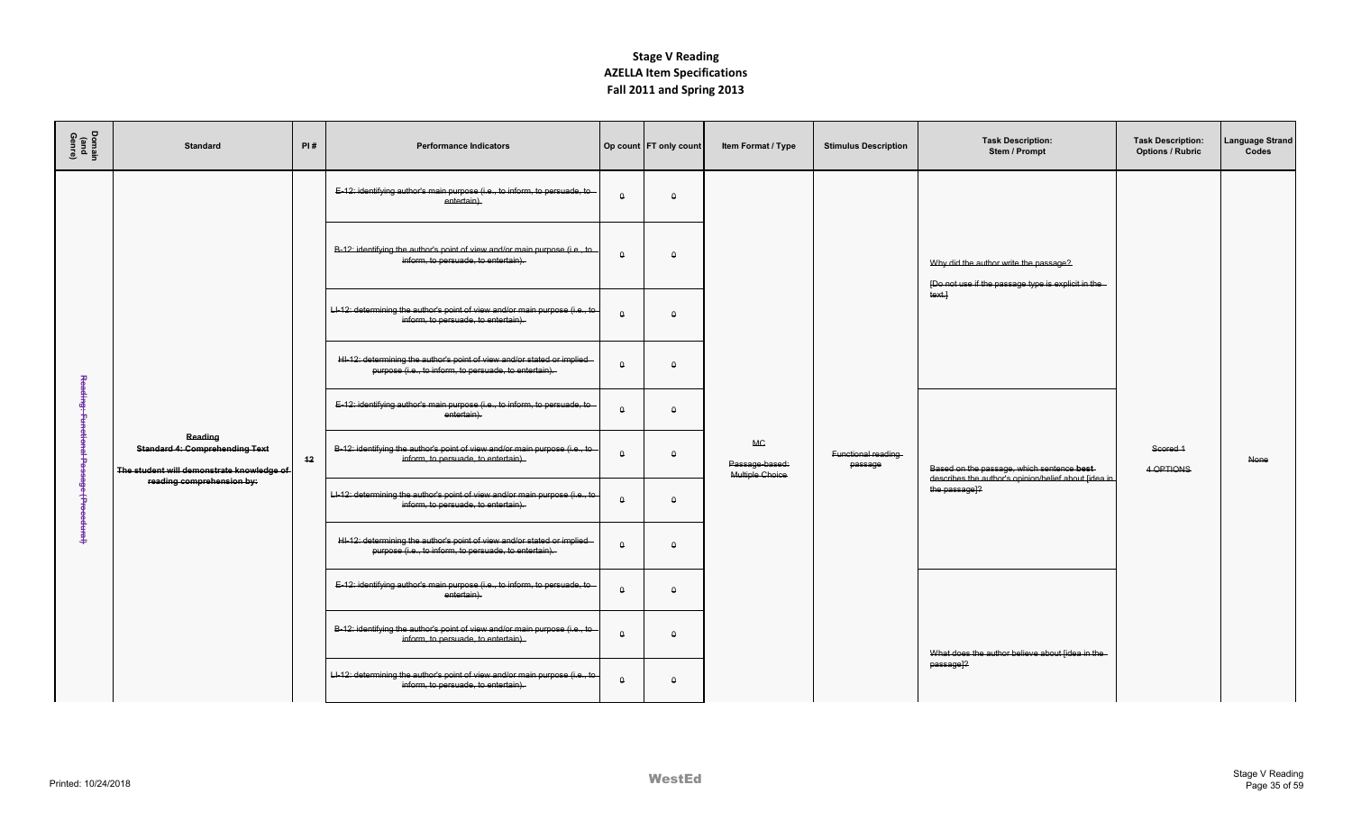| Domain<br>(and<br>Genre) | <b>Standard</b>                                                                               | PI# | <b>Performance Indicators</b>                                                                                                   |          | Op count   FT only count | Item Format / Type                             | <b>Stimulus Description</b>   | <b>Task Description:</b><br>Stem / Prompt                                                          | <b>Task Description:</b><br><b>Options / Rubric</b> | anguage Strand<br>Codes |
|--------------------------|-----------------------------------------------------------------------------------------------|-----|---------------------------------------------------------------------------------------------------------------------------------|----------|--------------------------|------------------------------------------------|-------------------------------|----------------------------------------------------------------------------------------------------|-----------------------------------------------------|-------------------------|
|                          |                                                                                               |     | E-12: identifying author's main purpose (i.e., to inform, to persuade, to<br>entertain).                                        | $\Omega$ | $\Omega$                 |                                                |                               |                                                                                                    |                                                     |                         |
|                          |                                                                                               |     | B-12: identifying the author's point of view and/or main purpose (i.e., to<br>inform, to persuade, to entertain).               | $\theta$ | $\theta$                 |                                                |                               | Why did the author write the passage?<br>[Do not use if the passage type is explicit in the        |                                                     |                         |
|                          |                                                                                               |     | Ll-12: determining the author's point of view and/or main purpose (i.e., to-<br>inform, to persuade, to entertain).             | $\Omega$ | $\Omega$                 |                                                |                               | text.                                                                                              |                                                     |                         |
| 꽁                        |                                                                                               |     | HI-12: determining the author's point of view and/or stated or implied<br>purpose (i.e., to inform, to persuade, to entertain). | $\Omega$ | $\Omega$                 |                                                |                               |                                                                                                    |                                                     |                         |
| φ.                       |                                                                                               |     | E-12: identifying author's main purpose (i.e., to inform, to persuade, to<br>entertain).                                        | $\theta$ | $\Omega$                 |                                                |                               |                                                                                                    |                                                     |                         |
|                          | Reading<br><b>Standard 4: Comprehending Text</b><br>The student will demonstrate knowledge of | 12  | B-12: identifying the author's point of view and/or main purpose (i.e., to<br>inform, to persuade, to entertain).               | $\theta$ | $\theta$                 | <b>MC</b><br>Passage-based:<br>Multiple Choice | Functional reading<br>passage | Based on the passage, which sentence best-<br>describes the author's opinion/belief about [idea in | Scored <sub>1</sub><br>4 OPTIONS                    | <b>None</b>             |
| f                        | reading comprehension by:                                                                     |     | Ll-12: determining the author's point of view and/or main purpose (i.e., to-<br>inform, to persuade, to entertain).             | $\theta$ | $\theta$                 |                                                |                               | the passage]?                                                                                      |                                                     |                         |
|                          |                                                                                               |     | HI-12: determining the author's point of view and/or stated or implied<br>purpose (i.e., to inform, to persuade, to entertain). | $\Omega$ | $\Omega$                 |                                                |                               |                                                                                                    |                                                     |                         |
|                          |                                                                                               |     | E-12: identifying author's main purpose (i.e., to inform, to persuade, to<br>entertain).                                        | $\theta$ | $\Omega$                 |                                                |                               |                                                                                                    |                                                     |                         |
|                          |                                                                                               |     | B-12: identifying the author's point of view and/or main purpose (i.e., to<br>inform, to persuade, to entertain).               | $\theta$ | $\Omega$                 |                                                |                               | What does the author believe about [idea in the                                                    |                                                     |                         |
|                          |                                                                                               |     | LI-12: determining the author's point of view and/or main purpose (i.e., to<br>inform, to persuade, to entertain).              | $\theta$ | $\theta$                 |                                                |                               | passage]?                                                                                          |                                                     |                         |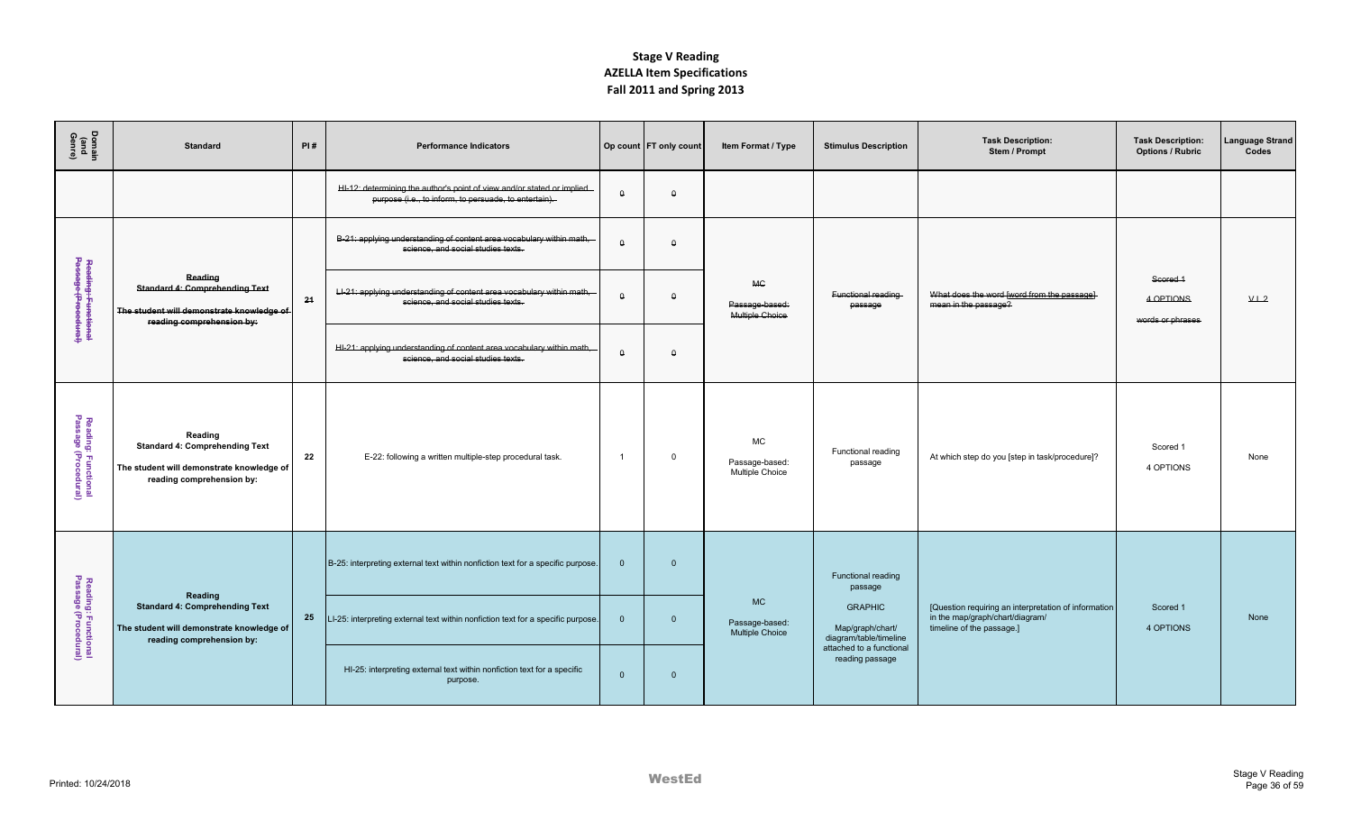| Domain<br>(and<br>Genre)                    | <b>Standard</b>                                                                                                            | PI# | <b>Performance Indicators</b>                                                                                                   |                | Op count FT only count | Item Format / Type                                    | <b>Stimulus Description</b>                                  | <b>Task Description:</b><br>Stem / Prompt                                                                            | <b>Task Description:</b><br><b>Options / Rubric</b> | Language Strand<br>Codes |
|---------------------------------------------|----------------------------------------------------------------------------------------------------------------------------|-----|---------------------------------------------------------------------------------------------------------------------------------|----------------|------------------------|-------------------------------------------------------|--------------------------------------------------------------|----------------------------------------------------------------------------------------------------------------------|-----------------------------------------------------|--------------------------|
|                                             |                                                                                                                            |     | HI-12: determining the author's point of view and/or stated or implied<br>purpose (i.e., to inform, to persuade, to entertain). | $\Omega$       | $\Omega$               |                                                       |                                                              |                                                                                                                      |                                                     |                          |
|                                             |                                                                                                                            |     | B-21: applying understanding of content area vocabulary within math,<br>science, and social studies texts.                      | $\theta$       | $\theta$               |                                                       |                                                              |                                                                                                                      |                                                     |                          |
| Reading: Functional<br>Passage (Procedural) | Reading<br><b>Standard 4: Comprehending Text</b><br>The student will demonstrate knowledge of<br>reading comprehension by: | 24  | LI-21: applying understanding of content area vocabulary within math,<br>science, and social studies texts.                     | $\theta$       | $\theta$               | <b>MC</b><br>Passage-based:<br>Multiple Choice        | Functional reading<br>passage                                | What does the word [word from the passage]<br>mean in the passage?                                                   | Scored 1<br>4 OPTIONS<br>words or phrases           | V.L.2                    |
|                                             |                                                                                                                            |     | HI-21: applying understanding of content area vocabulary within math,<br>science, and social studies texts.                     | $\Omega$       | $\theta$               |                                                       |                                                              |                                                                                                                      |                                                     |                          |
| Reading: Functional<br>Passage (Procedural) | Reading<br><b>Standard 4: Comprehending Text</b><br>The student will demonstrate knowledge of<br>reading comprehension by: | 22  | E-22: following a written multiple-step procedural task.                                                                        | $\overline{1}$ | $\mathbf 0$            | <b>MC</b><br>Passage-based:<br>Multiple Choice        | Functional reading<br>passage                                | At which step do you [step in task/procedure]?                                                                       | Scored 1<br>4 OPTIONS                               | None                     |
|                                             |                                                                                                                            |     | B-25: interpreting external text within nonfiction text for a specific purpose.                                                 | $\mathbf{0}$   | $\overline{0}$         |                                                       | Functional reading<br>passage                                |                                                                                                                      |                                                     |                          |
| Reading: Functional<br>Passage (Procedural) | Reading<br><b>Standard 4: Comprehending Text</b><br>The student will demonstrate knowledge of<br>reading comprehension by: | 25  | LI-25: interpreting external text within nonfiction text for a specific purpose.                                                | $\Omega$       | $\overline{0}$         | <b>MC</b><br>Passage-based:<br><b>Multiple Choice</b> | <b>GRAPHIC</b><br>Map/graph/chart/<br>diagram/table/timeline | [Question requiring an interpretation of information<br>in the map/graph/chart/diagram/<br>timeline of the passage.] | Scored 1<br>4 OPTIONS                               | None                     |
|                                             |                                                                                                                            |     | HI-25: interpreting external text within nonfiction text for a specific<br>purpose.                                             | $\mathbf{0}$   | $\overline{0}$         |                                                       | attached to a functional<br>reading passage                  |                                                                                                                      |                                                     |                          |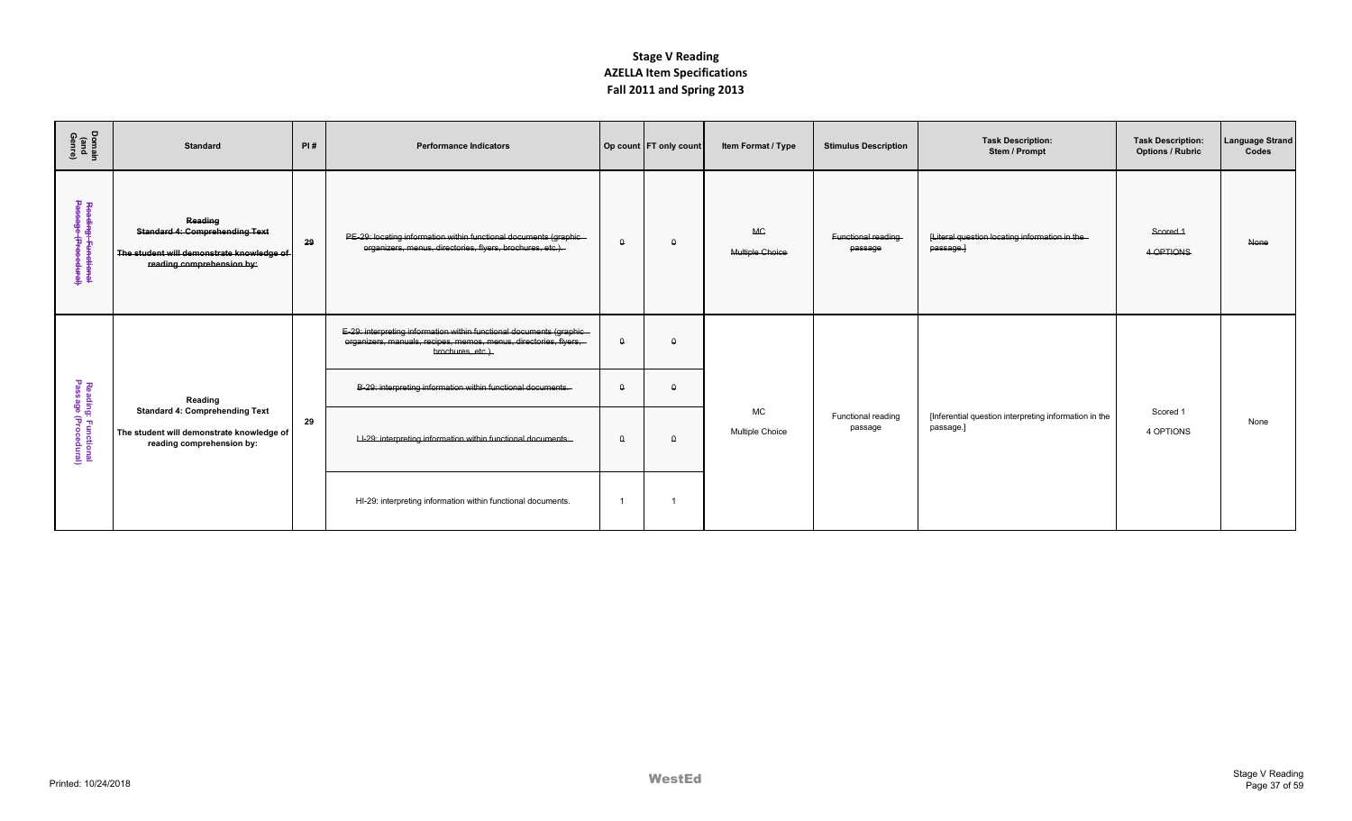| Domain<br>(and<br>Genre)                    | <b>Standard</b>                                                                                                            | PI# | <b>Performance Indicators</b>                                                                                                                                 |          | Op count FT only count | Item Format / Type                  | <b>Stimulus Description</b>   | <b>Task Description:</b><br>Stem / Prompt                          | <b>Task Description:</b><br><b>Options / Rubric</b> | <b>Language Strand</b><br>Codes |
|---------------------------------------------|----------------------------------------------------------------------------------------------------------------------------|-----|---------------------------------------------------------------------------------------------------------------------------------------------------------------|----------|------------------------|-------------------------------------|-------------------------------|--------------------------------------------------------------------|-----------------------------------------------------|---------------------------------|
| Reading: Functional<br>Passage (Procedural) | Reading<br><b>Standard 4: Comprehending Text</b><br>The student will demonstrate knowledge of<br>reading comprehension by: | 29  | PE-29: locating information within functional documents (graphic-<br>organizers, menus, directories, flyers, brochures, etc.).                                | $\Omega$ | $\theta$               | <b>MG</b><br>Multiple Choice        | Functional reading<br>passage | [Literal question locating information in the-<br>passage.         | Scored 1<br>4 OPTIONS                               | None                            |
|                                             |                                                                                                                            |     | E-29: interpreting information within functional documents (graphic-<br>organizers, manuals, recipes, memos, menus, directories, flyers,<br>brochures, etc.). | $\theta$ | $\theta$               |                                     |                               |                                                                    |                                                     |                                 |
|                                             | Reading                                                                                                                    |     | B-29: interpreting information within functional documents.                                                                                                   | $\Omega$ | $\Omega$               |                                     |                               |                                                                    |                                                     |                                 |
| Reading: Functional<br>Passage (Procedural) | <b>Standard 4: Comprehending Text</b><br>The student will demonstrate knowledge of<br>reading comprehension by:            | 29  | LI-29: interpreting information within functional documents.                                                                                                  | $\theta$ | $\theta$               | <b>MC</b><br><b>Multiple Choice</b> | Functional reading<br>passage | [Inferential question interpreting information in the<br>passage.] | Scored 1<br>4 OPTIONS                               | None                            |
|                                             |                                                                                                                            |     | HI-29: interpreting information within functional documents.                                                                                                  |          |                        |                                     |                               |                                                                    |                                                     |                                 |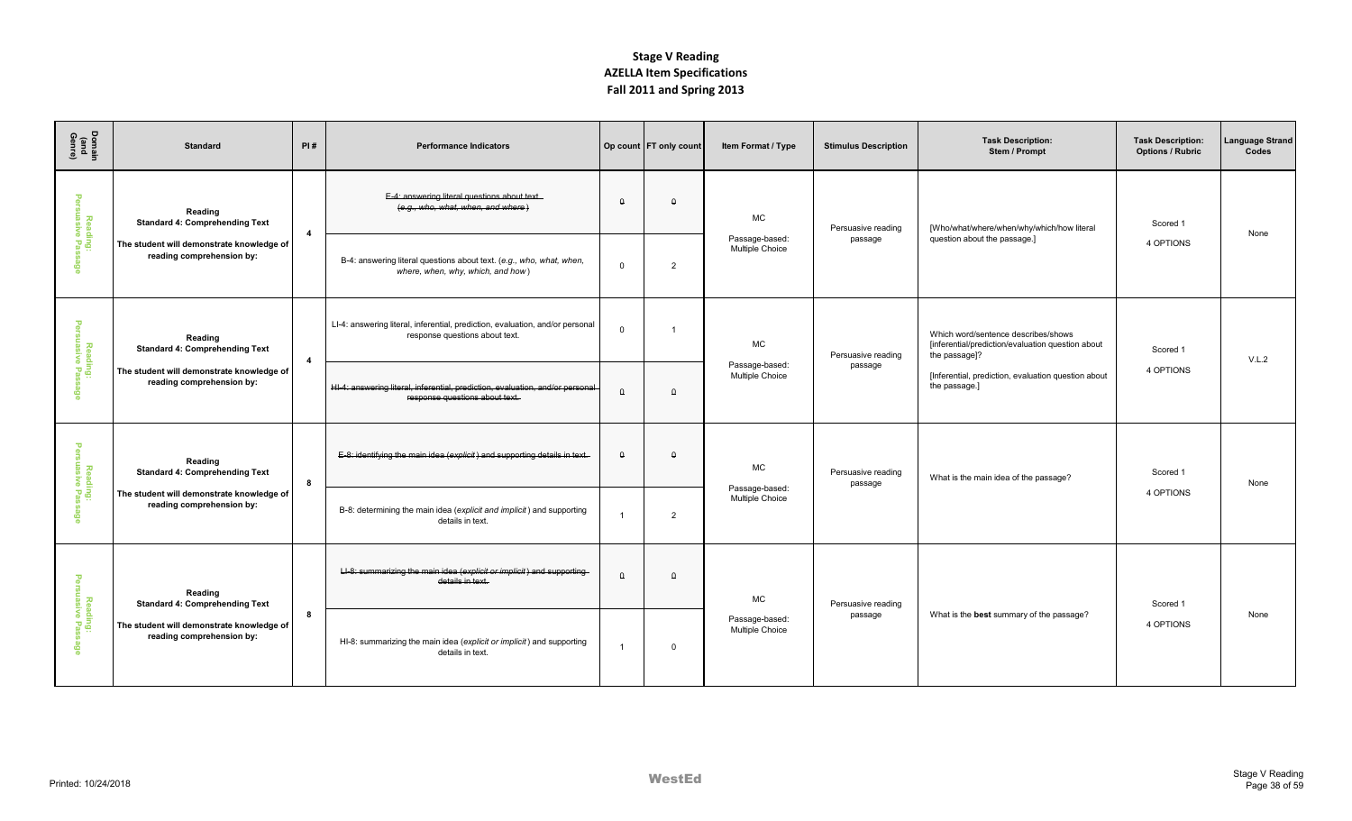| Domain<br>(and<br>Genre)        | <b>Standard</b>                                                        | PI#            | <b>Performance Indicators</b>                                                                                   |                | Op count   FT only count | Item Format / Type                | <b>Stimulus Description</b>   | <b>Task Description:</b><br>Stem / Prompt                                                                 | <b>Task Description:</b><br><b>Options / Rubric</b> | Language Strand<br>Codes |
|---------------------------------|------------------------------------------------------------------------|----------------|-----------------------------------------------------------------------------------------------------------------|----------------|--------------------------|-----------------------------------|-------------------------------|-----------------------------------------------------------------------------------------------------------|-----------------------------------------------------|--------------------------|
| $\mathbf \sigma$                | Reading<br><b>Standard 4: Comprehending Text</b>                       | $\overline{4}$ | E-4: answering literal questions about text.<br>(e.g., who, what, when, and where)                              | $\theta$       | $\Omega$                 | <b>MC</b>                         | Persuasive reading            | [Who/what/where/when/why/which/how literal                                                                | Scored 1                                            | None                     |
| Reading:<br>uasive Pas:         | The student will demonstrate knowledge of<br>reading comprehension by: |                | B-4: answering literal questions about text. (e.g., who, what, when,<br>where, when, why, which, and how)       | $\Omega$       | 2                        | Passage-based:<br>Multiple Choice | passage                       | question about the passage.]                                                                              | 4 OPTIONS                                           |                          |
| ю<br>Reading:<br>uasive Pas:    | Reading<br><b>Standard 4: Comprehending Text</b>                       | $\overline{4}$ | LI-4: answering literal, inferential, prediction, evaluation, and/or personal<br>response questions about text. | $\Omega$       | $\overline{1}$           | MC                                | Persuasive reading            | Which word/sentence describes/shows<br>[inferential/prediction/evaluation question about<br>the passage]? | Scored 1                                            | V.L.2                    |
| ဧ                               | The student will demonstrate knowledge of<br>reading comprehension by: |                | HI-4: answering literal, inferential, prediction, evaluation, and/or personal<br>response questions about text. | $\theta$       | $\theta$                 | Passage-based:<br>Multiple Choice | passage                       | [Inferential, prediction, evaluation question about<br>the passage.]                                      | 4 OPTIONS                                           |                          |
| π<br>Reading:<br>uasive Pas:    | Reading<br><b>Standard 4: Comprehending Text</b>                       | 8              | E-8: identifying the main idea (explicit) and supporting details in text.                                       | $\Omega$       | $\Omega$                 | <b>MC</b>                         | Persuasive reading<br>passage | What is the main idea of the passage?                                                                     | Scored 1                                            | None                     |
| $\circ$                         | The student will demonstrate knowledge of<br>reading comprehension by: |                | B-8: determining the main idea (explicit and implicit) and supporting<br>details in text.                       |                | 2                        | Passage-based:<br>Multiple Choice |                               |                                                                                                           | 4 OPTIONS                                           |                          |
| ு                               | Reading<br><b>Standard 4: Comprehending Text</b>                       |                | LI-8: summarizing the main idea (explicit or implicit) and supporting<br>details in text.                       | $\Omega$       | $\Omega$                 | MC                                | Persuasive reading            |                                                                                                           | Scored 1                                            |                          |
| Reading:<br>uasive Pas:<br>egge | The student will demonstrate knowledge of<br>reading comprehension by: | 8              | HI-8: summarizing the main idea (explicit or implicit) and supporting<br>details in text.                       | $\overline{1}$ | $\Omega$                 | Passage-based:<br>Multiple Choice | passage                       | What is the best summary of the passage?                                                                  | 4 OPTIONS                                           | None                     |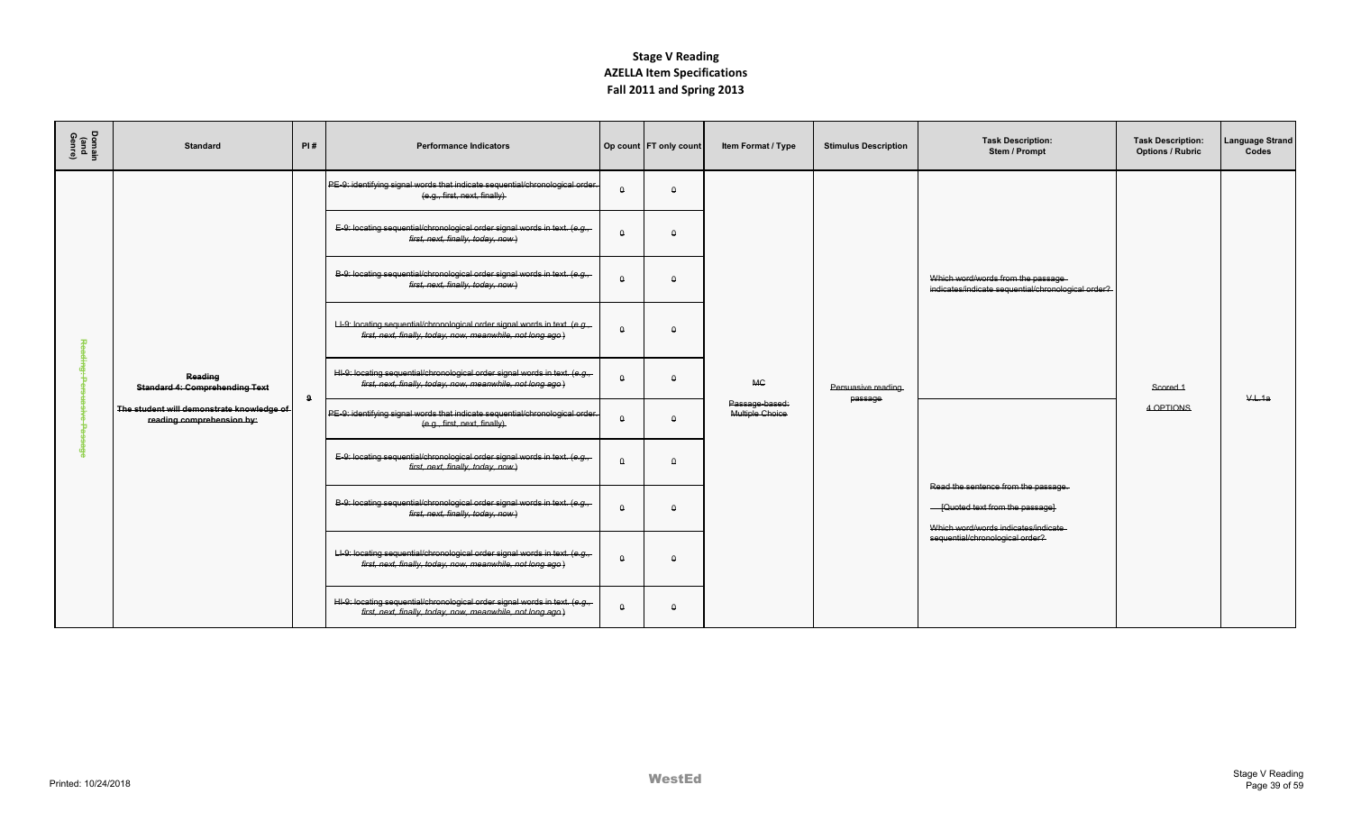| Domain<br>(and<br>Genre) | <b>Standard</b>                                                        | PI# | <b>Performance Indicators</b>                                                                                                             |          | Op count FT only count | Item Format / Type                | <b>Stimulus Description</b>   | <b>Task Description:</b><br>Stem / Prompt                                               | <b>Task Description:</b><br><b>Options / Rubric</b> | <b>Language Strand</b><br>Codes |
|--------------------------|------------------------------------------------------------------------|-----|-------------------------------------------------------------------------------------------------------------------------------------------|----------|------------------------|-----------------------------------|-------------------------------|-----------------------------------------------------------------------------------------|-----------------------------------------------------|---------------------------------|
|                          |                                                                        |     | PE-9: identifying signal words that indicate sequential/chronological order.<br>(e.g., first, next, finally)                              | Δ        | $\theta$               |                                   |                               |                                                                                         |                                                     |                                 |
|                          |                                                                        |     | E-9: locating sequential/chronological order signal words in text. (e.g.,-<br>first, next, finally, today, now)                           | $\Omega$ | $\Omega$               |                                   |                               |                                                                                         |                                                     |                                 |
|                          |                                                                        |     | B-9: locating sequential/chronological order signal words in text. (e.g.,-<br>first, next, finally, today, now)                           | $\Omega$ | $\theta$               |                                   |                               | Which word/words from the passage<br>indicates/indicate sequential/chronological order? |                                                     |                                 |
| ᅓ                        |                                                                        |     | LI-9: locating sequential/chronological order signal words in text. (e.g.,<br>first, next, finally, today, now, meanwhile, not long ago.) | $\Omega$ | $\Omega$               |                                   |                               |                                                                                         |                                                     |                                 |
|                          | Reading<br><b>Standard 4: Comprehending Text</b>                       | 9   | HI-9: locating sequential/chronological order signal words in text. (e.g.,<br>first, next, finally, today, now, meanwhile, not long ago.) | $\Omega$ | $\theta$               | <b>MC</b>                         | Persuasive reading<br>passage |                                                                                         | Scored 1                                            | V.L.1a                          |
| m                        | The student will demonstrate knowledge of<br>reading comprehension by: |     | PE-9: identifying signal words that indicate sequential/chronological order.<br>(e.g., first, next, finally).                             | Δ        | $\theta$               | Passage-based:<br>Multiple Choice |                               |                                                                                         | 4 OPTIONS                                           |                                 |
| Φ                        |                                                                        |     | E-9: locating sequential/chronological order signal words in text. (e.g.,<br>first, next, finally, today, now)                            | $\theta$ | $\theta$               |                                   |                               | Read the sentence from the passage.                                                     |                                                     |                                 |
|                          |                                                                        |     | B-9: locating sequential/chronological order signal words in text. (e.g.,<br>first, next, finally, today, now)                            | Δ        | $\Delta$               |                                   |                               | - [Quoted text from the passage]<br>Which word/words indicates/indicate                 |                                                     |                                 |
|                          |                                                                        |     | LI-9: locating sequential/chronological order signal words in text. (e.g.,<br>first, next, finally, today, now, meanwhile, not long ago)  | $\Omega$ | $\Omega$               |                                   |                               | sequential/chronological order?                                                         |                                                     |                                 |
|                          |                                                                        |     | HI-9: locating sequential/chronological order signal words in text. (e.g.,<br>first, next, finally, today, now, meanwhile, not long ago.) | Δ        | $\theta$               |                                   |                               |                                                                                         |                                                     |                                 |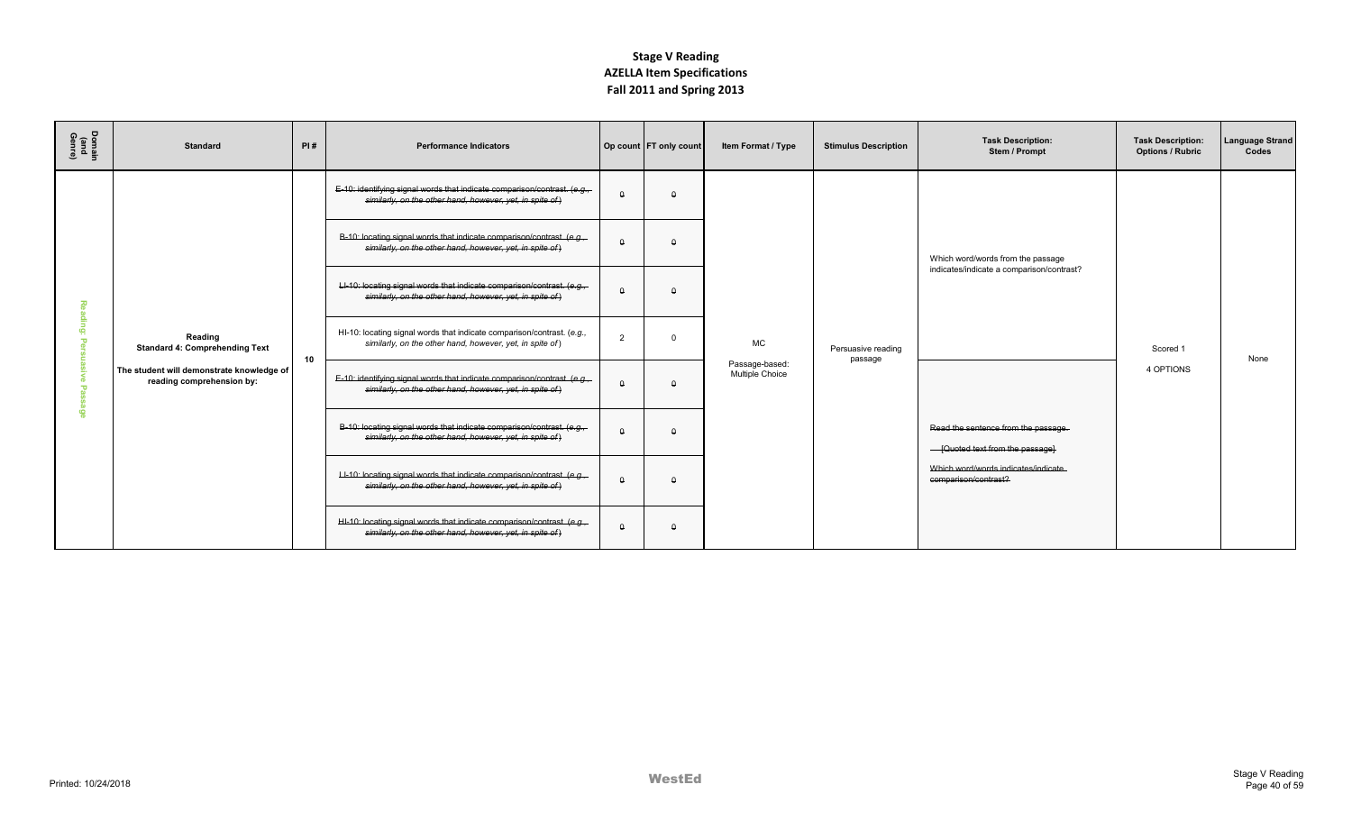| Domain<br>(and<br>Genre) | <b>Standard</b>                                                        | PI#             | <b>Performance Indicators</b>                                                                                                        |                | Op count   FT only count | Item Format / Type                       | <b>Stimulus Description</b>   | <b>Task Description:</b><br>Stem / Prompt                               | <b>Task Description:</b><br><b>Options / Rubric</b> | <b>Language Strand</b><br>Codes |
|--------------------------|------------------------------------------------------------------------|-----------------|--------------------------------------------------------------------------------------------------------------------------------------|----------------|--------------------------|------------------------------------------|-------------------------------|-------------------------------------------------------------------------|-----------------------------------------------------|---------------------------------|
|                          |                                                                        |                 | E-10: identifying signal words that indicate comparison/contrast. (e.g.,<br>similarly, on the other hand, however, yet, in spite of) | $\Omega$       | $\Omega$                 |                                          |                               |                                                                         |                                                     |                                 |
|                          |                                                                        |                 | B-10: locating signal words that indicate comparison/contrast. (e.g.<br>similarly, on the other hand, however, yet, in spite of)     | $\Omega$       | $\Omega$                 |                                          |                               | Which word/words from the passage                                       |                                                     |                                 |
| 刀                        |                                                                        |                 | LI-10: locating signal words that indicate comparison/contrast. (e.g.<br>similarly, on the other hand, however, yet, in spite of)    | $\theta$       | $\Omega$                 |                                          |                               | indicates/indicate a comparison/contrast?                               |                                                     |                                 |
| ௨<br>ю                   | Reading<br><b>Standard 4: Comprehending Text</b>                       | 10 <sup>1</sup> | HI-10: locating signal words that indicate comparison/contrast. (e.g.,<br>similarly, on the other hand, however, yet, in spite of)   | $\overline{2}$ | $\Omega$                 | <b>MC</b>                                | Persuasive reading<br>passage |                                                                         | Scored 1                                            | None                            |
|                          | The student will demonstrate knowledge of<br>reading comprehension by: |                 | E-10: identifying signal words that indicate comparison/contrast. (e.g.,<br>similarly, on the other hand, however, yet, in spite of) | $\Omega$       | $\Omega$                 | Passage-based:<br><b>Multiple Choice</b> |                               |                                                                         | 4 OPTIONS                                           |                                 |
| $\omega$                 |                                                                        |                 | B-10: locating signal words that indicate comparison/contrast. (e.g.<br>similarly, on the other hand, however, yet, in spite of)     | $\theta$       | $\Omega$                 |                                          |                               | Read the sentence from the passage.<br>- [Quoted text from the passage] |                                                     |                                 |
|                          |                                                                        |                 | LI-10: locating signal words that indicate comparison/contrast. (e.g.,<br>similarly, on the other hand, however, yet, in spite of)   | $\Omega$       | $\Omega$                 |                                          |                               | Which word/words indicates/indicate<br>comparison/contrast?             |                                                     |                                 |
|                          |                                                                        |                 | HI-10: locating signal words that indicate comparison/contrast. (e.g.,<br>similarly, on the other hand, however, yet, in spite of)   | $\Omega$       | $\Omega$                 |                                          |                               |                                                                         |                                                     |                                 |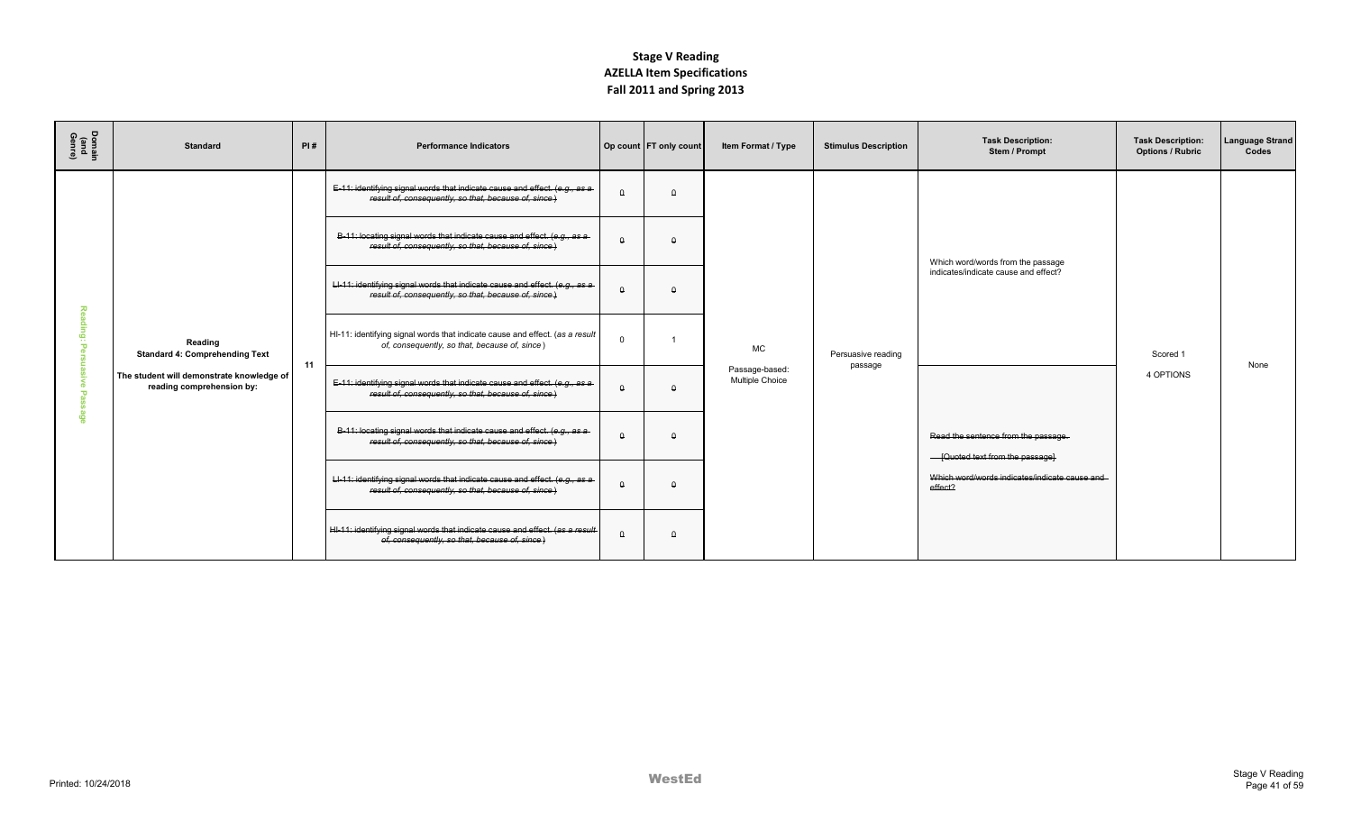| Domain<br>(and<br>Genre) | <b>Standard</b>                                                        | PI# | <b>Performance Indicators</b>                                                                                                       |          | Op count FT only count | Item Format / Type                | <b>Stimulus Description</b>   | <b>Task Description:</b><br>Stem / Prompt                               | <b>Task Description:</b><br><b>Options / Rubric</b> | Language Strand<br>Codes |
|--------------------------|------------------------------------------------------------------------|-----|-------------------------------------------------------------------------------------------------------------------------------------|----------|------------------------|-----------------------------------|-------------------------------|-------------------------------------------------------------------------|-----------------------------------------------------|--------------------------|
|                          |                                                                        |     | E-11: identifying signal words that indicate cause and effect. (e.g., as a<br>result of, consequently, so that, because of, since)  |          | $\Omega$               |                                   |                               |                                                                         |                                                     |                          |
|                          |                                                                        |     | B-11: locating signal words that indicate cause and effect. (e.g., as a<br>result of, consequently, so that, because of, since)     |          |                        |                                   |                               | Which word/words from the passage                                       |                                                     |                          |
|                          |                                                                        |     | LI-11: identifying signal words that indicate cause and effect. (e.g., as a<br>result of, consequently, so that, because of, since) | $\Omega$ | $\Omega$               |                                   |                               | indicates/indicate cause and effect?                                    |                                                     |                          |
|                          | Reading<br><b>Standard 4: Comprehending Text</b>                       | 11  | HI-11: identifying signal words that indicate cause and effect. (as a result<br>of, consequently, so that, because of, since)       | $\Omega$ |                        | <b>MC</b>                         | Persuasive reading<br>passage |                                                                         | Scored 1                                            | None                     |
|                          | The student will demonstrate knowledge of<br>reading comprehension by: |     | E-11: identifying signal words that indicate cause and effect. (e.g., as a<br>result of, consequently, so that, because of, since)  | $\Omega$ | $\Omega$               | Passage-based:<br>Multiple Choice |                               |                                                                         | 4 OPTIONS                                           |                          |
| $\mathbf{c}$             |                                                                        |     | B-11: locating signal words that indicate cause and effect. (e.g., as a<br>result of, consequently, so that, because of, since)     | $\Omega$ | $\Omega$               |                                   |                               | Read the sentence from the passage.<br>- [Quoted text from the passage] |                                                     |                          |
|                          |                                                                        |     | LI-11: identifying signal words that indicate cause and effect. (e.g., as a<br>result of, consequently, so that, because of, since) | $\Omega$ | $\Omega$               |                                   |                               | Which word/words indicates/indicate cause and<br>effect?                |                                                     |                          |
|                          |                                                                        |     | HI-11: identifying signal words that indicate cause and effect. (as a result<br>of, consequently, so that, because of, since)       | $\theta$ | $\Omega$               |                                   |                               |                                                                         |                                                     |                          |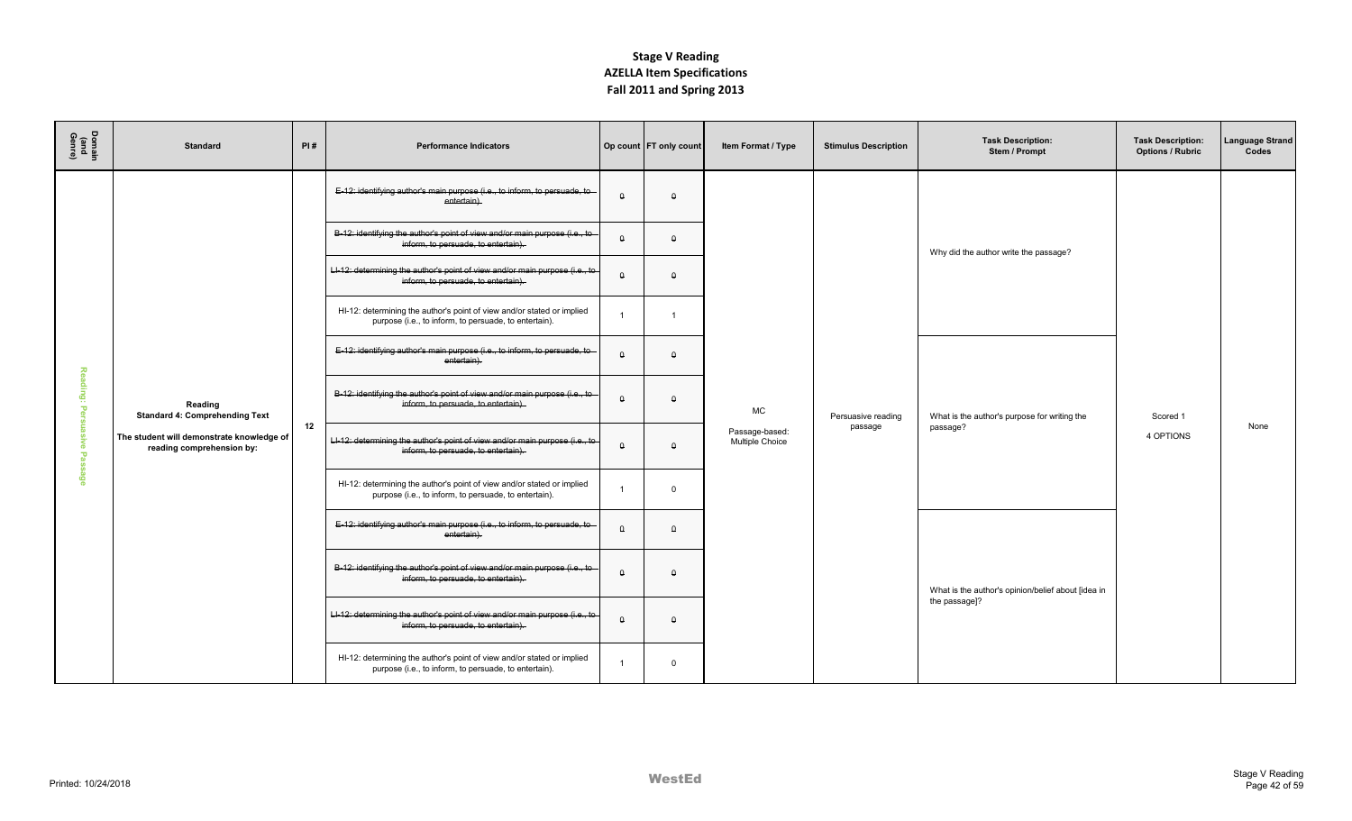| Domair<br>(and<br>Genre) | <b>Standard</b>                                                        | PI#                                                                                                                | <b>Performance Indicators</b>                                                                                                   |          | Op count FT only count | Item Format / Type                | <b>Stimulus Description</b> | <b>Task Description:</b><br>Stem / Prompt          | <b>Task Description:</b><br><b>Options / Rubric</b> | Language Strand<br>Codes |
|--------------------------|------------------------------------------------------------------------|--------------------------------------------------------------------------------------------------------------------|---------------------------------------------------------------------------------------------------------------------------------|----------|------------------------|-----------------------------------|-----------------------------|----------------------------------------------------|-----------------------------------------------------|--------------------------|
|                          |                                                                        |                                                                                                                    | E-12: identifying author's main purpose (i.e., to inform, to persuade, to<br>entertain).                                        | $\Omega$ | $\theta$               |                                   |                             |                                                    |                                                     |                          |
|                          |                                                                        |                                                                                                                    | B-12: identifying the author's point of view and/or main purpose (i.e., to<br>inform, to persuade, to entertain).               | $\theta$ | $\theta$               |                                   |                             | Why did the author write the passage?              |                                                     |                          |
|                          |                                                                        |                                                                                                                    | Ll-12: determining the author's point of view and/or main purpose (i.e., to<br>inform, to persuade, to entertain).              | $\theta$ | $\theta$               |                                   |                             |                                                    |                                                     |                          |
|                          |                                                                        |                                                                                                                    | HI-12: determining the author's point of view and/or stated or implied<br>purpose (i.e., to inform, to persuade, to entertain). |          | $\overline{1}$         |                                   |                             |                                                    |                                                     |                          |
|                          |                                                                        |                                                                                                                    | E-12: identifying author's main purpose (i.e., to inform, to persuade, to<br>entertain).                                        | $\Omega$ | $\theta$               |                                   |                             |                                                    |                                                     |                          |
| Reading:<br>÷<br>℗       | Reading<br><b>Standard 4: Comprehending Text</b>                       |                                                                                                                    | B-12: identifying the author's point of view and/or main purpose (i.e., to<br>inform, to persuade, to entertain).               | $\Omega$ | $\theta$               | <b>MC</b>                         | Persuasive reading          | What is the author's purpose for writing the       | Scored 1                                            |                          |
| asive Pas                | The student will demonstrate knowledge of<br>reading comprehension by: | 12                                                                                                                 | LI-12: determining the author's point of view and/or main purpose (i.e., to<br>inform, to persuade, to entertain).              | $\theta$ | $\theta$               | Passage-based:<br>Multiple Choice | passage                     | passage?                                           | 4 OPTIONS                                           | None                     |
| යි                       |                                                                        |                                                                                                                    | HI-12: determining the author's point of view and/or stated or implied<br>purpose (i.e., to inform, to persuade, to entertain). |          | $\Omega$               |                                   |                             |                                                    |                                                     |                          |
|                          |                                                                        |                                                                                                                    | E-12: identifying author's main purpose (i.e., to inform, to persuade, to<br>entertain).                                        | $\Omega$ | $\Omega$               |                                   |                             |                                                    |                                                     |                          |
|                          |                                                                        |                                                                                                                    | B-12: identifying the author's point of view and/or main purpose (i.e., to<br>inform, to persuade, to entertain).               | $\theta$ | $\theta$               |                                   |                             | What is the author's opinion/belief about [idea in |                                                     |                          |
|                          |                                                                        | LI-12: determining the author's point of view and/or main purpose (i.e., to<br>inform, to persuade, to entertain). | $\theta$                                                                                                                        | $\Omega$ |                        |                                   | the passage]?               |                                                    |                                                     |                          |
|                          |                                                                        |                                                                                                                    | HI-12: determining the author's point of view and/or stated or implied<br>purpose (i.e., to inform, to persuade, to entertain). |          | $\overline{0}$         |                                   |                             |                                                    |                                                     |                          |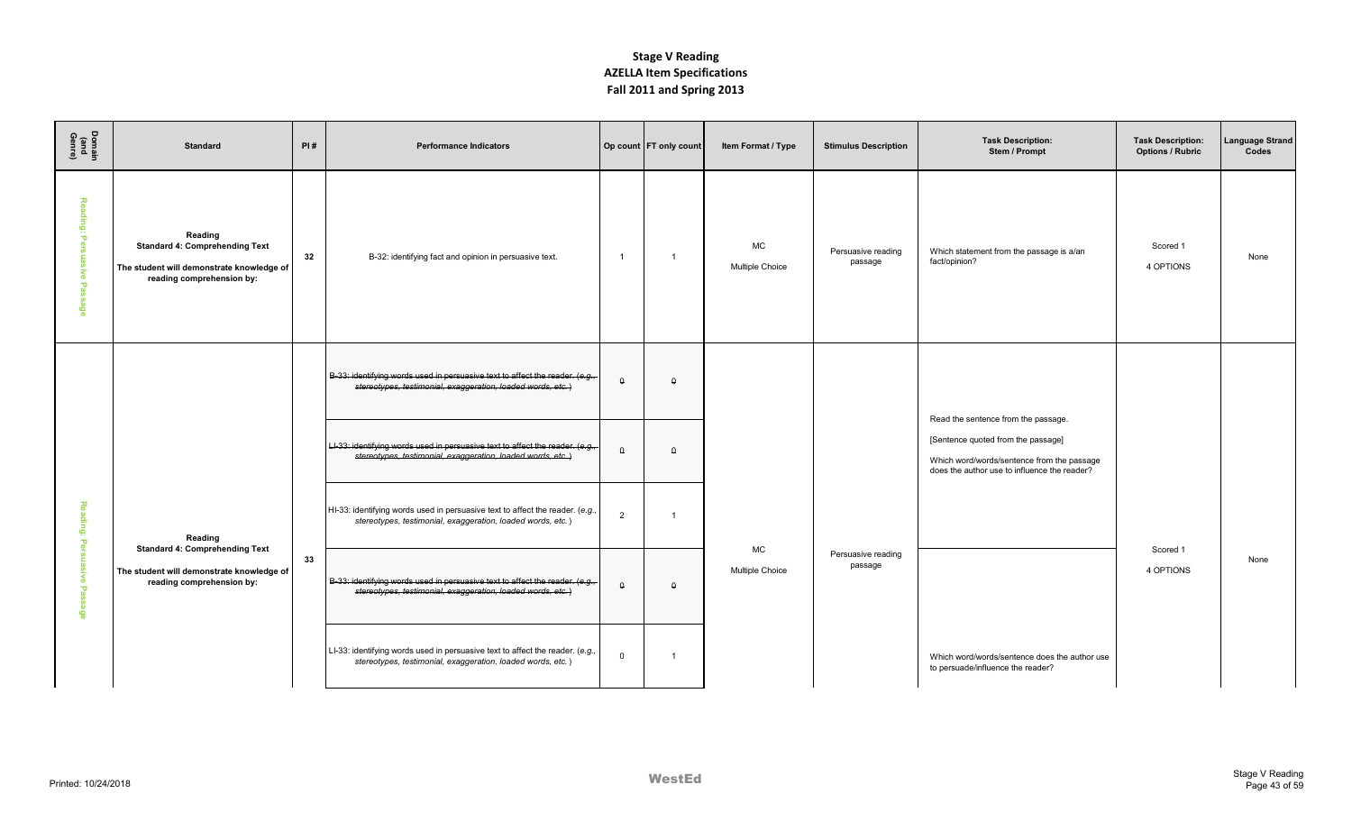| Domain<br>(and<br>Genre)                                   | <b>Standard</b>                                                                                                            | PI# | <b>Performance Indicators</b>                                                                                                                |                | Op count FT only count | Item Format / Type                  | <b>Stimulus Description</b>   | <b>Task Description:</b><br>Stem / Prompt                                                                                        | <b>Task Description:</b><br><b>Options / Rubric</b> | Language Strand<br>Codes |
|------------------------------------------------------------|----------------------------------------------------------------------------------------------------------------------------|-----|----------------------------------------------------------------------------------------------------------------------------------------------|----------------|------------------------|-------------------------------------|-------------------------------|----------------------------------------------------------------------------------------------------------------------------------|-----------------------------------------------------|--------------------------|
| $\overline{\mathbf{z}}$<br>ē<br>ю<br>asive<br>$\mathbf{u}$ | Reading<br><b>Standard 4: Comprehending Text</b><br>The student will demonstrate knowledge of<br>reading comprehension by: | 32  | B-32: identifying fact and opinion in persuasive text.                                                                                       | $\overline{1}$ | $\overline{1}$         | <b>MC</b><br><b>Multiple Choice</b> | Persuasive reading<br>passage | Which statement from the passage is a/an<br>fact/opinion?                                                                        | Scored 1<br>4 OPTIONS                               | None                     |
|                                                            |                                                                                                                            |     | B-33: identifying words used in persuasive text to affect the reader. (e.g.,<br>stereotypes, testimonial, exaggeration, loaded words, etc.)  | $\theta$       | $\theta$               |                                     |                               | Read the sentence from the passage.                                                                                              |                                                     |                          |
|                                                            |                                                                                                                            |     | LI-33: identifying words used in persuasive text to affect the reader. (e.g.,<br>stereotypes, testimonial, exaggeration, loaded words, etc.) | $\theta$       | $\theta$               |                                     |                               | [Sentence quoted from the passage]<br>Which word/words/sentence from the passage<br>does the author use to influence the reader? |                                                     |                          |
| ᅔ<br>eling:<br>ъ                                           | Reading<br><b>Standard 4: Comprehending Text</b>                                                                           |     | HI-33: identifying words used in persuasive text to affect the reader. (e.g.,<br>stereotypes, testimonial, exaggeration, loaded words, etc.) | $\overline{2}$ |                        |                                     |                               |                                                                                                                                  |                                                     |                          |
| $\mathbf{\overline{v}}$                                    | The student will demonstrate knowledge of<br>reading comprehension by:                                                     | 33  | B-33: identifying words used in persuasive text to affect the reader. (e.g.,<br>stereotypes, testimonial, exaggeration, loaded words, etc.)  | $\theta$       | $\theta$               | MC<br>Multiple Choice               | Persuasive reading<br>passage |                                                                                                                                  | Scored 1<br>4 OPTIONS                               | None                     |
|                                                            |                                                                                                                            |     | LI-33: identifying words used in persuasive text to affect the reader. (e.g.,<br>stereotypes, testimonial, exaggeration, loaded words, etc.) | $\Omega$       |                        |                                     |                               | Which word/words/sentence does the author use<br>to persuade/influence the reader?                                               |                                                     |                          |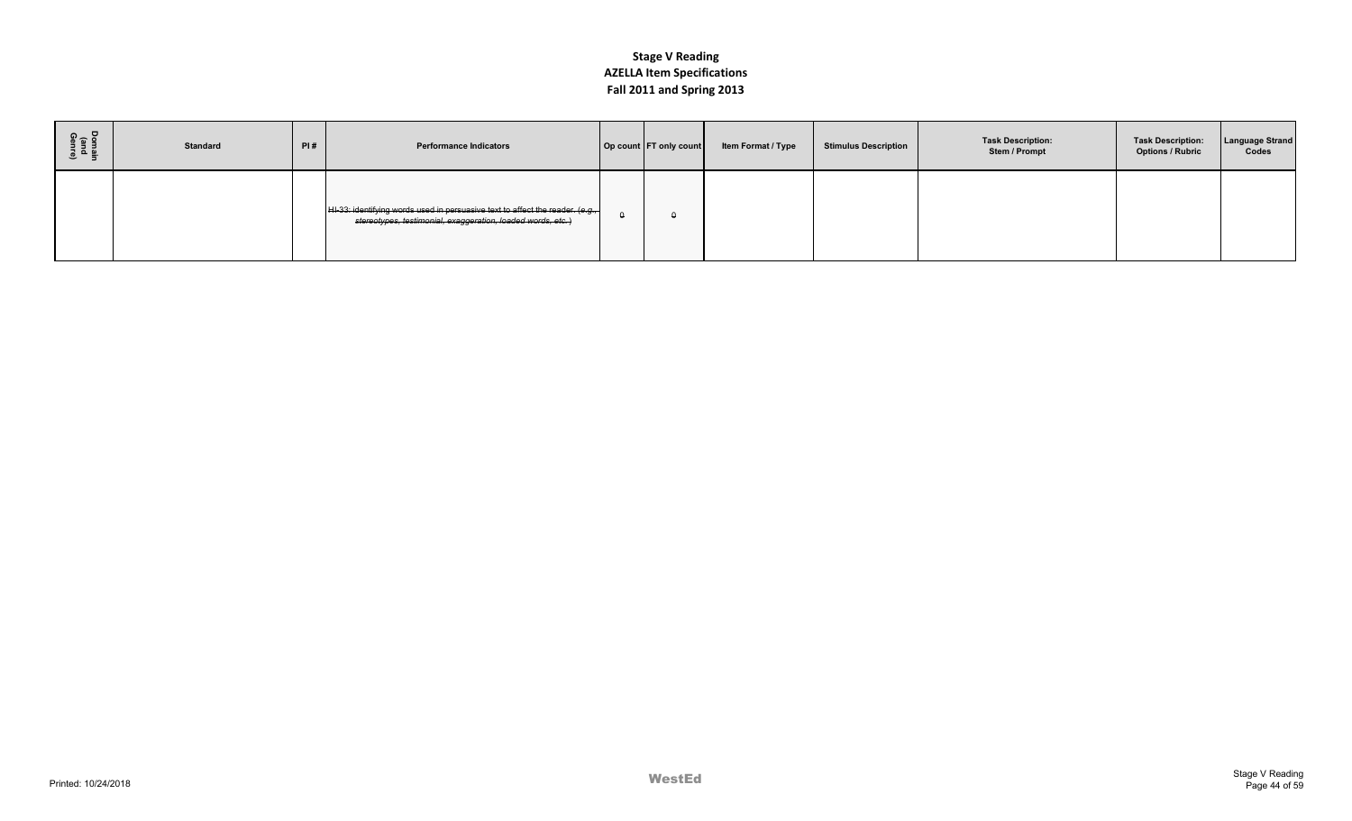| ទូ÷ ខ<br>로 플<br>이 프랑 | <b>Standard</b> | PI# | <b>Performance Indicators</b>                                                                                                                        | Op count FT only count | Item Format / Type | <b>Stimulus Description</b> | <b>Task Description:</b><br>Stem / Prompt | <b>Task Description:</b><br><b>Options / Rubric</b> | <b>Language Strand</b><br>Codes |
|----------------------|-----------------|-----|------------------------------------------------------------------------------------------------------------------------------------------------------|------------------------|--------------------|-----------------------------|-------------------------------------------|-----------------------------------------------------|---------------------------------|
|                      |                 |     | $ $ HI-33: identifying words used in persuasive text to affect the reader. (e.g., $ $<br>stereotypes, testimonial, exaggeration, loaded words, etc.) |                        |                    |                             |                                           |                                                     |                                 |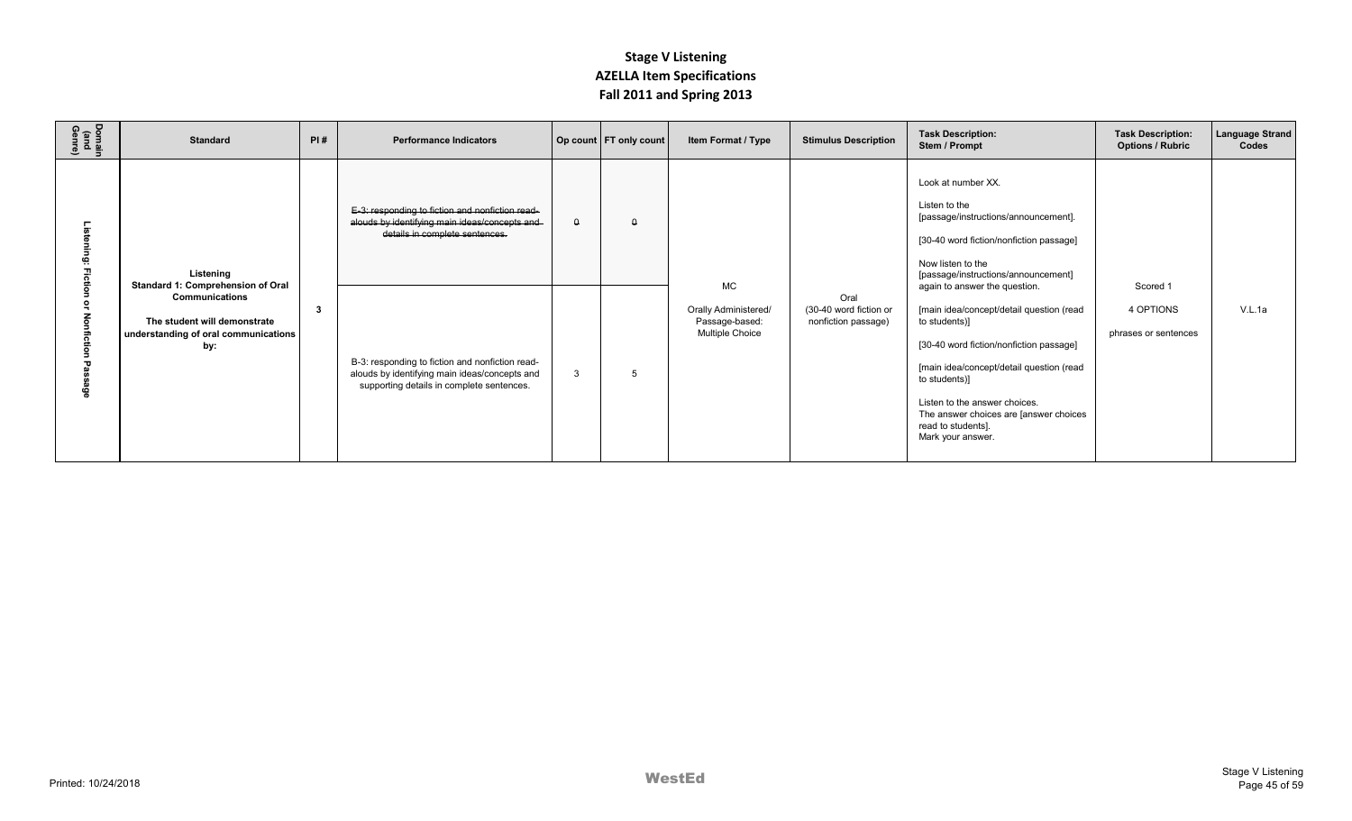| Domain<br>(and<br>Genre) | <b>Standard</b>                                                                                                                                        | PI# | <b>Performance Indicators</b>                                                                                                                                                         |          | Op count   FT only count | Item Format / Type                                                            | <b>Stimulus Description</b>                           | <b>Task Description:</b><br>Stem / Prompt                                                                                                                                                                                                                                                                                   | <b>Task Description:</b><br><b>Options / Rubric</b> | Language Strand<br>Codes |
|--------------------------|--------------------------------------------------------------------------------------------------------------------------------------------------------|-----|---------------------------------------------------------------------------------------------------------------------------------------------------------------------------------------|----------|--------------------------|-------------------------------------------------------------------------------|-------------------------------------------------------|-----------------------------------------------------------------------------------------------------------------------------------------------------------------------------------------------------------------------------------------------------------------------------------------------------------------------------|-----------------------------------------------------|--------------------------|
|                          | Listening<br>Standard 1: Comprehension of Oral<br><b>Communications</b><br>The student will demonstrate<br>understanding of oral communications<br>by: | -3  | E-3: responding to fiction and nonfiction read-<br>alouds by identifying main ideas/concepts and<br>details in complete sentences.<br>B-3: responding to fiction and nonfiction read- | $\theta$ | $\theta$                 | <b>MC</b><br>Orally Administered/<br>Passage-based:<br><b>Multiple Choice</b> | Oral<br>(30-40 word fiction or<br>nonfiction passage) | Look at number XX.<br>Listen to the<br>[passage/instructions/announcement].<br>[30-40 word fiction/nonfiction passage]<br>Now listen to the<br>[passage/instructions/announcement]<br>again to answer the question.<br>[main idea/concept/detail question (read<br>to students)]<br>[30-40 word fiction/nonfiction passage] | Scored 1<br>4 OPTIONS<br>phrases or sentences       | V.L.1a                   |
|                          |                                                                                                                                                        |     | alouds by identifying main ideas/concepts and<br>supporting details in complete sentences.                                                                                            | 3        | 5                        |                                                                               |                                                       | [main idea/concept/detail question (read<br>to students)]<br>Listen to the answer choices.<br>The answer choices are [answer choices<br>read to students].<br>Mark your answer.                                                                                                                                             |                                                     |                          |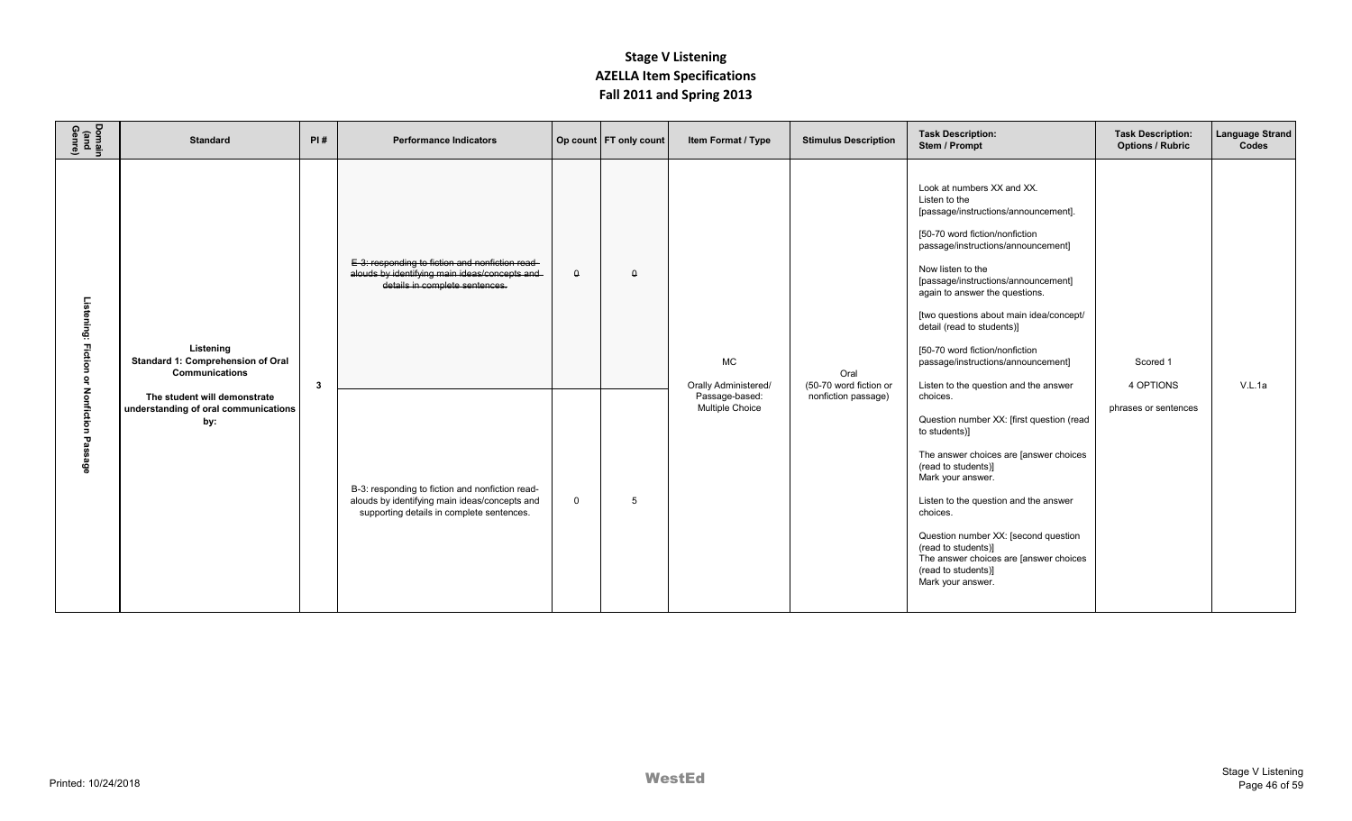| Domain<br>(and<br>Genre)        | <b>Standard</b>                                                                                                                                        | PI#          | <b>Performance Indicators</b>                                                                                                                 |             | Op count   FT only count | Item Format / Type                                                                   | <b>Stimulus Description</b>                           | <b>Task Description:</b><br>Stem / Prompt                                                                                                                                                                                                                                                                                                                                                                                                                                                                                                                               | <b>Task Description:</b><br><b>Options / Rubric</b> | <b>Language Strand</b><br>Codes |
|---------------------------------|--------------------------------------------------------------------------------------------------------------------------------------------------------|--------------|-----------------------------------------------------------------------------------------------------------------------------------------------|-------------|--------------------------|--------------------------------------------------------------------------------------|-------------------------------------------------------|-------------------------------------------------------------------------------------------------------------------------------------------------------------------------------------------------------------------------------------------------------------------------------------------------------------------------------------------------------------------------------------------------------------------------------------------------------------------------------------------------------------------------------------------------------------------------|-----------------------------------------------------|---------------------------------|
| Listening: Fiction<br>Nonfictic | Listening<br>Standard 1: Comprehension of Oral<br><b>Communications</b><br>The student will demonstrate<br>understanding of oral communications<br>by: | $\mathbf{3}$ | E-3: responding to fiction and nonfiction read-<br>alouds by identifying main ideas/concepts and<br>details in complete sentences.            | $\theta$    | $\theta$                 | <b>MC</b><br><b>Orally Administered/</b><br>Passage-based:<br><b>Multiple Choice</b> | Oral<br>(50-70 word fiction or<br>nonfiction passage) | Look at numbers XX and XX.<br>Listen to the<br>[passage/instructions/announcement].<br>[50-70 word fiction/nonfiction<br>passage/instructions/announcement]<br>Now listen to the<br>[passage/instructions/announcement]<br>again to answer the questions.<br>[two questions about main idea/concept/<br>detail (read to students)]<br>[50-70 word fiction/nonfiction<br>passage/instructions/announcement]<br>Listen to the question and the answer<br>choices.<br>Question number XX: [first question (read<br>to students)]<br>The answer choices are [answer choices | Scored 1<br>4 OPTIONS<br>phrases or sentences       | V.L.1a                          |
| ទំនិ                            |                                                                                                                                                        |              | B-3: responding to fiction and nonfiction read-<br>alouds by identifying main ideas/concepts and<br>supporting details in complete sentences. | $\mathbf 0$ | 5                        |                                                                                      |                                                       | (read to students)]<br>Mark your answer.<br>Listen to the question and the answer<br>choices.<br>Question number XX: [second question<br>(read to students)]<br>The answer choices are [answer choices<br>(read to students)]<br>Mark your answer.                                                                                                                                                                                                                                                                                                                      |                                                     |                                 |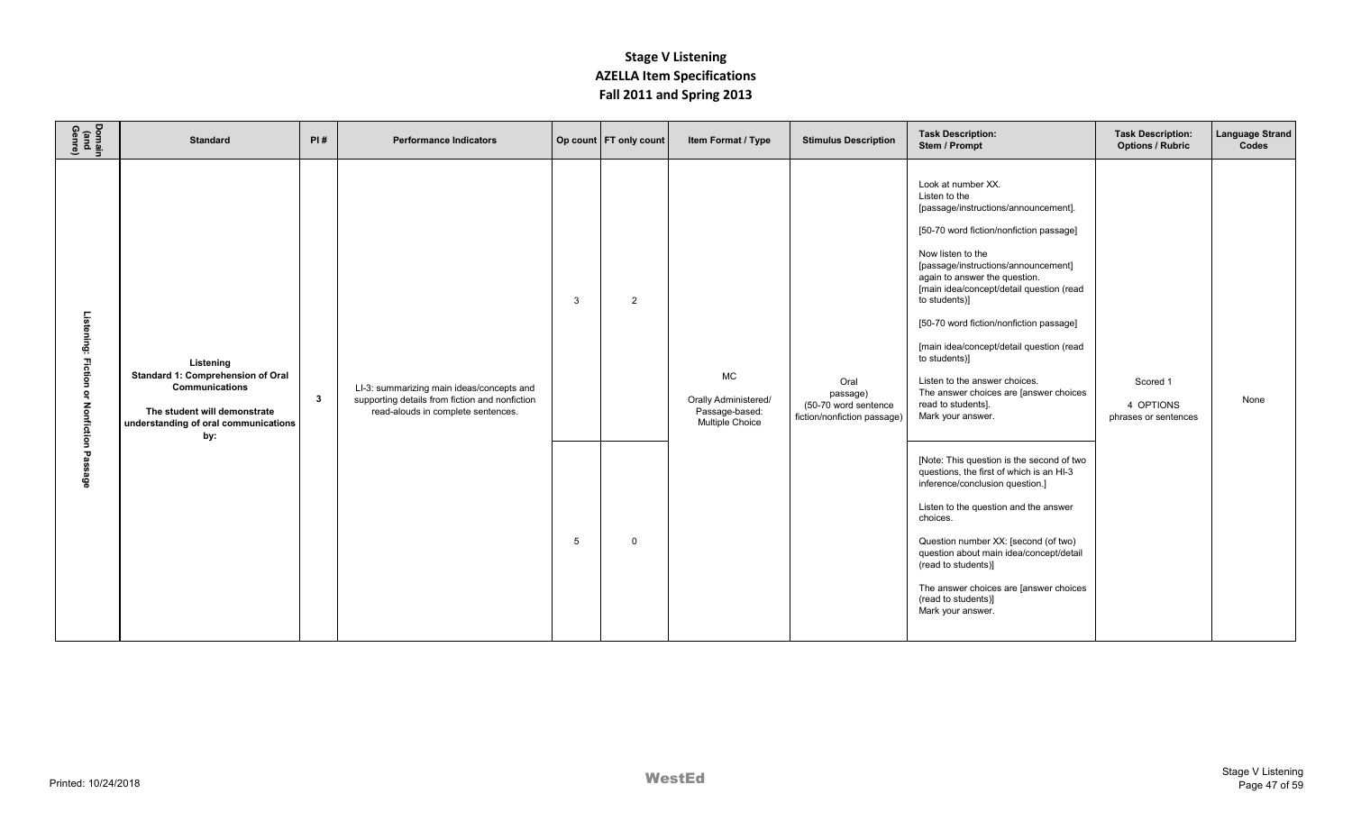| Domain<br>(and<br>Genre)                                                              | <b>Standard</b>                                                                                                                                 | PI#          | <b>Performance Indicators</b>                                                                                                     |                   | Op count   FT only count      | Item Format / Type                                                            | <b>Stimulus Description</b>                                             | <b>Task Description:</b><br>Stem / Prompt                                                                                                                                                                                                                                                                                                                                                                                                                                                                                                                                                                                                                                                                                                                                                                                                                                                       | <b>Task Description:</b><br><b>Options / Rubric</b> | <b>Language Strand</b><br>Codes |
|---------------------------------------------------------------------------------------|-------------------------------------------------------------------------------------------------------------------------------------------------|--------------|-----------------------------------------------------------------------------------------------------------------------------------|-------------------|-------------------------------|-------------------------------------------------------------------------------|-------------------------------------------------------------------------|-------------------------------------------------------------------------------------------------------------------------------------------------------------------------------------------------------------------------------------------------------------------------------------------------------------------------------------------------------------------------------------------------------------------------------------------------------------------------------------------------------------------------------------------------------------------------------------------------------------------------------------------------------------------------------------------------------------------------------------------------------------------------------------------------------------------------------------------------------------------------------------------------|-----------------------------------------------------|---------------------------------|
| Listening: Fiction<br>$\tilde{\mathbf{z}}$<br><b>Nonfiction</b><br>Pas<br><b>Sage</b> | Listening<br>Standard 1: Comprehension of Oral<br>Communications<br>The student will demonstrate<br>understanding of oral communications<br>by: | $\mathbf{3}$ | LI-3: summarizing main ideas/concepts and<br>supporting details from fiction and nonfiction<br>read-alouds in complete sentences. | $\mathbf{3}$<br>5 | $\overline{2}$<br>$\mathbf 0$ | <b>MC</b><br>Orally Administered/<br>Passage-based:<br><b>Multiple Choice</b> | Oral<br>passage)<br>(50-70 word sentence<br>fiction/nonfiction passage) | Look at number XX.<br>Listen to the<br>[passage/instructions/announcement].<br>[50-70 word fiction/nonfiction passage]<br>Now listen to the<br>[passage/instructions/announcement]<br>again to answer the question.<br>[main idea/concept/detail question (read<br>to students)]<br>[50-70 word fiction/nonfiction passage]<br>[main idea/concept/detail question (read<br>to students)]<br>Listen to the answer choices.<br>The answer choices are [answer choices<br>read to students].<br>Mark your answer.<br>[Note: This question is the second of two<br>questions, the first of which is an HI-3<br>inference/conclusion question.]<br>Listen to the question and the answer<br>choices.<br>Question number XX: [second (of two)<br>question about main idea/concept/detail<br>(read to students)]<br>The answer choices are [answer choices<br>(read to students)]<br>Mark your answer. | Scored 1<br>4 OPTIONS<br>phrases or sentences       | None                            |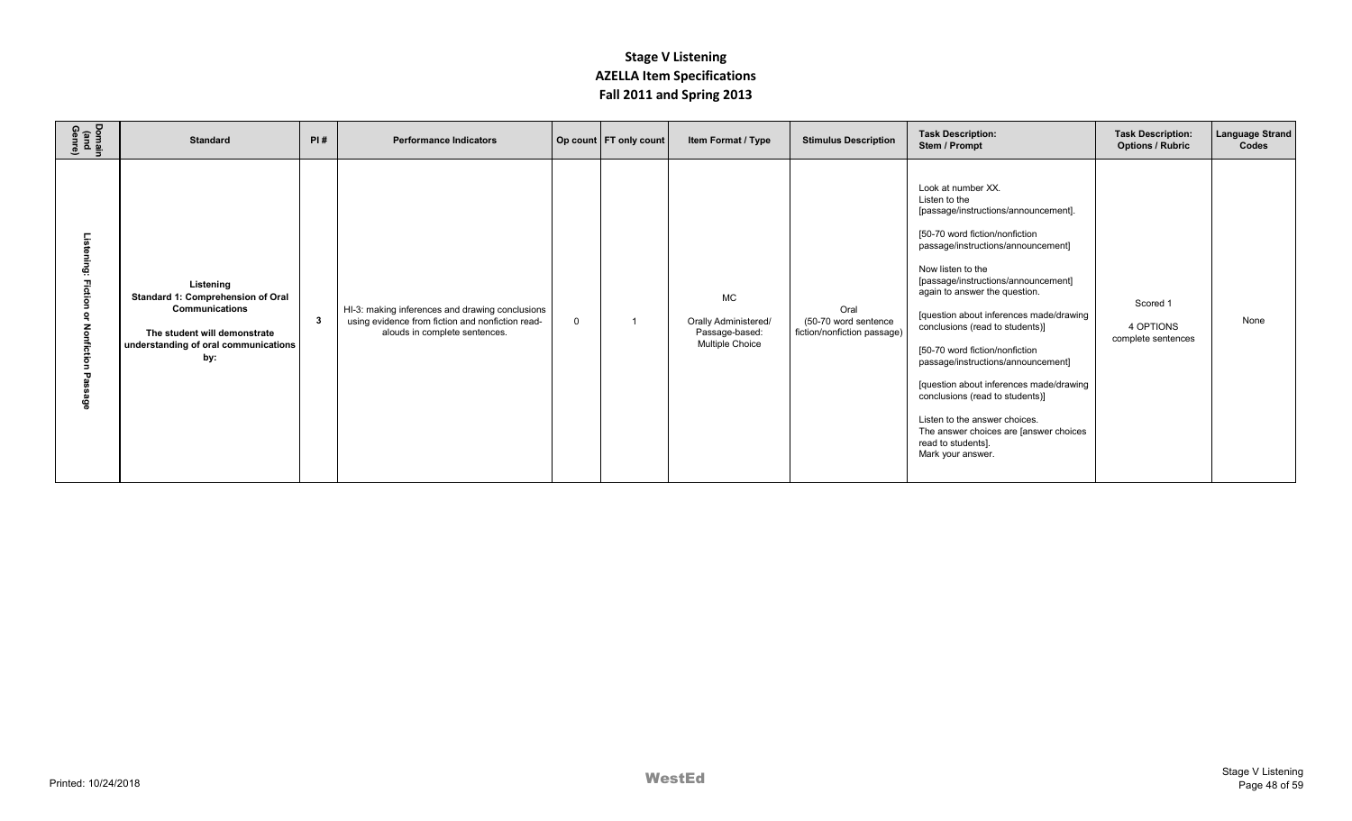| Domain<br>(and<br>Genre) | <b>Standard</b>                                                                                                                                        | PI# | <b>Performance Indicators</b>                                                                                                        |          | Op count   FT only count | Item Format / Type                                                            | <b>Stimulus Description</b>                                 | <b>Task Description:</b><br>Stem / Prompt                                                                                                                                                                                                                                                                                                                                                                                                                                                                                                                                                                  | <b>Task Description:</b><br><b>Options / Rubric</b> | <b>Language Strand</b><br>Codes |
|--------------------------|--------------------------------------------------------------------------------------------------------------------------------------------------------|-----|--------------------------------------------------------------------------------------------------------------------------------------|----------|--------------------------|-------------------------------------------------------------------------------|-------------------------------------------------------------|------------------------------------------------------------------------------------------------------------------------------------------------------------------------------------------------------------------------------------------------------------------------------------------------------------------------------------------------------------------------------------------------------------------------------------------------------------------------------------------------------------------------------------------------------------------------------------------------------------|-----------------------------------------------------|---------------------------------|
|                          | Listening<br>Standard 1: Comprehension of Oral<br><b>Communications</b><br>The student will demonstrate<br>understanding of oral communications<br>by: | -3  | HI-3: making inferences and drawing conclusions<br>using evidence from fiction and nonfiction read-<br>alouds in complete sentences. | $\Omega$ |                          | <b>MC</b><br>Orally Administered/<br>Passage-based:<br><b>Multiple Choice</b> | Oral<br>(50-70 word sentence<br>fiction/nonfiction passage) | Look at number XX.<br>Listen to the<br>[passage/instructions/announcement].<br>[50-70 word fiction/nonfiction<br>passage/instructions/announcement]<br>Now listen to the<br>[passage/instructions/announcement]<br>again to answer the question.<br>[question about inferences made/drawing<br>conclusions (read to students)]<br>[50-70 word fiction/nonfiction<br>passage/instructions/announcement]<br>[question about inferences made/drawing<br>conclusions (read to students)]<br>Listen to the answer choices.<br>The answer choices are [answer choices<br>read to students].<br>Mark your answer. | Scored 1<br>4 OPTIONS<br>complete sentences         | None                            |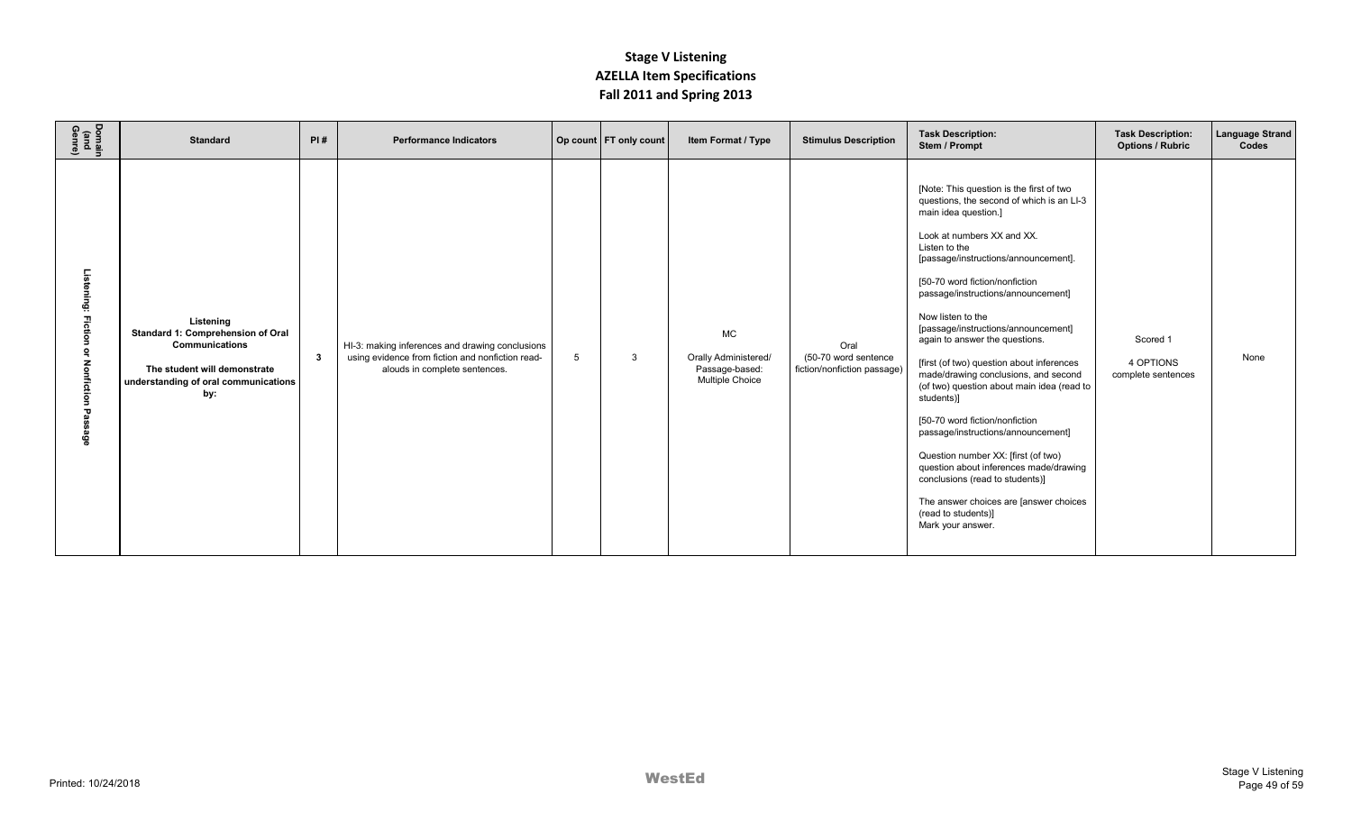| Domain<br>(and<br>Genre)                            | <b>Standard</b>                                                                                                                                 | PI#          | <b>Performance Indicators</b>                                                                                                        |   | Op count   FT only count | Item Format / Type                                                     | <b>Stimulus Description</b>                                 | <b>Task Description:</b><br>Stem / Prompt                                                                                                                                                                                                                                                                                                                                                                                                                                                                                                                                                                                                                                                                                                                                                                     | <b>Task Description:</b><br><b>Options / Rubric</b> | <b>Language Strand</b><br>Codes |
|-----------------------------------------------------|-------------------------------------------------------------------------------------------------------------------------------------------------|--------------|--------------------------------------------------------------------------------------------------------------------------------------|---|--------------------------|------------------------------------------------------------------------|-------------------------------------------------------------|---------------------------------------------------------------------------------------------------------------------------------------------------------------------------------------------------------------------------------------------------------------------------------------------------------------------------------------------------------------------------------------------------------------------------------------------------------------------------------------------------------------------------------------------------------------------------------------------------------------------------------------------------------------------------------------------------------------------------------------------------------------------------------------------------------------|-----------------------------------------------------|---------------------------------|
| Listening: Fiction<br>্<br><b>Nonfiction</b><br>ëge | Listening<br>Standard 1: Comprehension of Oral<br>Communications<br>The student will demonstrate<br>understanding of oral communications<br>by: | $\mathbf{3}$ | HI-3: making inferences and drawing conclusions<br>using evidence from fiction and nonfiction read-<br>alouds in complete sentences. | 5 | 3                        | MC<br>Orally Administered/<br>Passage-based:<br><b>Multiple Choice</b> | Oral<br>(50-70 word sentence<br>fiction/nonfiction passage) | [Note: This question is the first of two<br>questions, the second of which is an LI-3<br>main idea question.]<br>Look at numbers XX and XX.<br>Listen to the<br>[passage/instructions/announcement].<br>[50-70 word fiction/nonfiction<br>passage/instructions/announcement]<br>Now listen to the<br>[passage/instructions/announcement]<br>again to answer the questions.<br>[first (of two) question about inferences<br>made/drawing conclusions, and second<br>(of two) question about main idea (read to<br>students)]<br>[50-70 word fiction/nonfiction<br>passage/instructions/announcement]<br>Question number XX: [first (of two)<br>question about inferences made/drawing<br>conclusions (read to students)]<br>The answer choices are [answer choices<br>(read to students)]<br>Mark your answer. | Scored 1<br>4 OPTIONS<br>complete sentences         | None                            |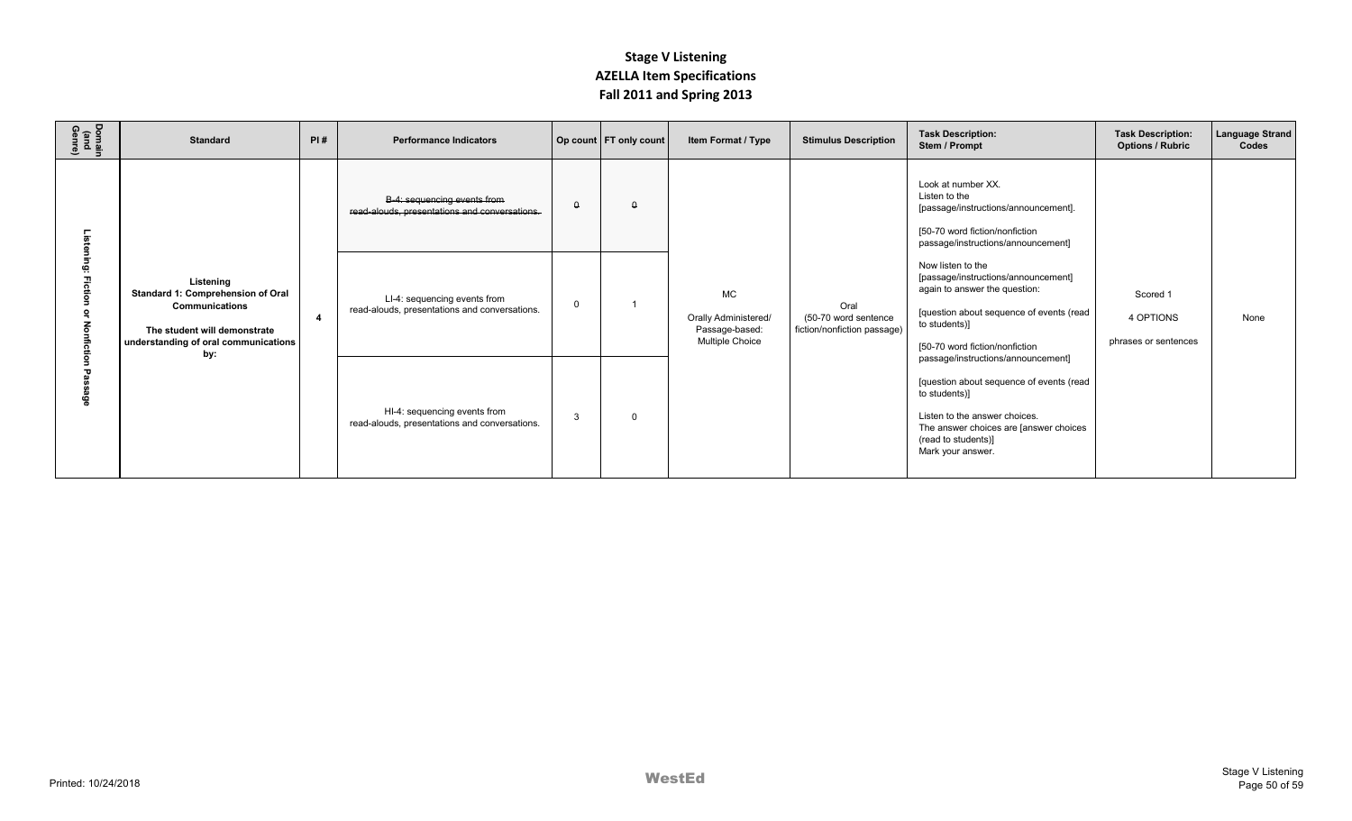| Domain<br>(and<br>Genre) | <b>Standard</b>                                                                                                                                        | PI# | <b>Performance Indicators</b>                                                 |          | Op count   FT only count | Item Format / Type                                                            | <b>Stimulus Description</b>                                 | <b>Task Description:</b><br>Stem / Prompt                                                                                                                                                                              | <b>Task Description:</b><br><b>Options / Rubric</b> | <b>Language Strand</b><br>Codes |
|--------------------------|--------------------------------------------------------------------------------------------------------------------------------------------------------|-----|-------------------------------------------------------------------------------|----------|--------------------------|-------------------------------------------------------------------------------|-------------------------------------------------------------|------------------------------------------------------------------------------------------------------------------------------------------------------------------------------------------------------------------------|-----------------------------------------------------|---------------------------------|
|                          | Listening<br>Standard 1: Comprehension of Oral<br><b>Communications</b><br>The student will demonstrate<br>understanding of oral communications<br>by: |     | B-4: sequencing events from<br>read-alouds, presentations and conversations.  | $\theta$ | $\Omega$                 | <b>MC</b><br>Orally Administered/<br>Passage-based:<br><b>Multiple Choice</b> | Oral<br>(50-70 word sentence<br>fiction/nonfiction passage) | Look at number XX.<br>Listen to the<br>[passage/instructions/announcement].<br>[50-70 word fiction/nonfiction<br>passage/instructions/announcement]                                                                    | Scored 1<br>4 OPTIONS<br>phrases or sentences       |                                 |
|                          |                                                                                                                                                        | -4  | LI-4: sequencing events from<br>read-alouds, presentations and conversations. |          |                          |                                                                               |                                                             | Now listen to the<br>[passage/instructions/announcement]<br>again to answer the question:<br>[question about sequence of events (read<br>to students)]<br>[50-70 word fiction/nonfiction                               |                                                     | None                            |
|                          |                                                                                                                                                        |     | HI-4: sequencing events from<br>read-alouds, presentations and conversations. | 3        | $\Omega$                 |                                                                               |                                                             | passage/instructions/announcement]<br>[question about sequence of events (read<br>to students)]<br>Listen to the answer choices.<br>The answer choices are [answer choices<br>(read to students)]<br>Mark your answer. |                                                     |                                 |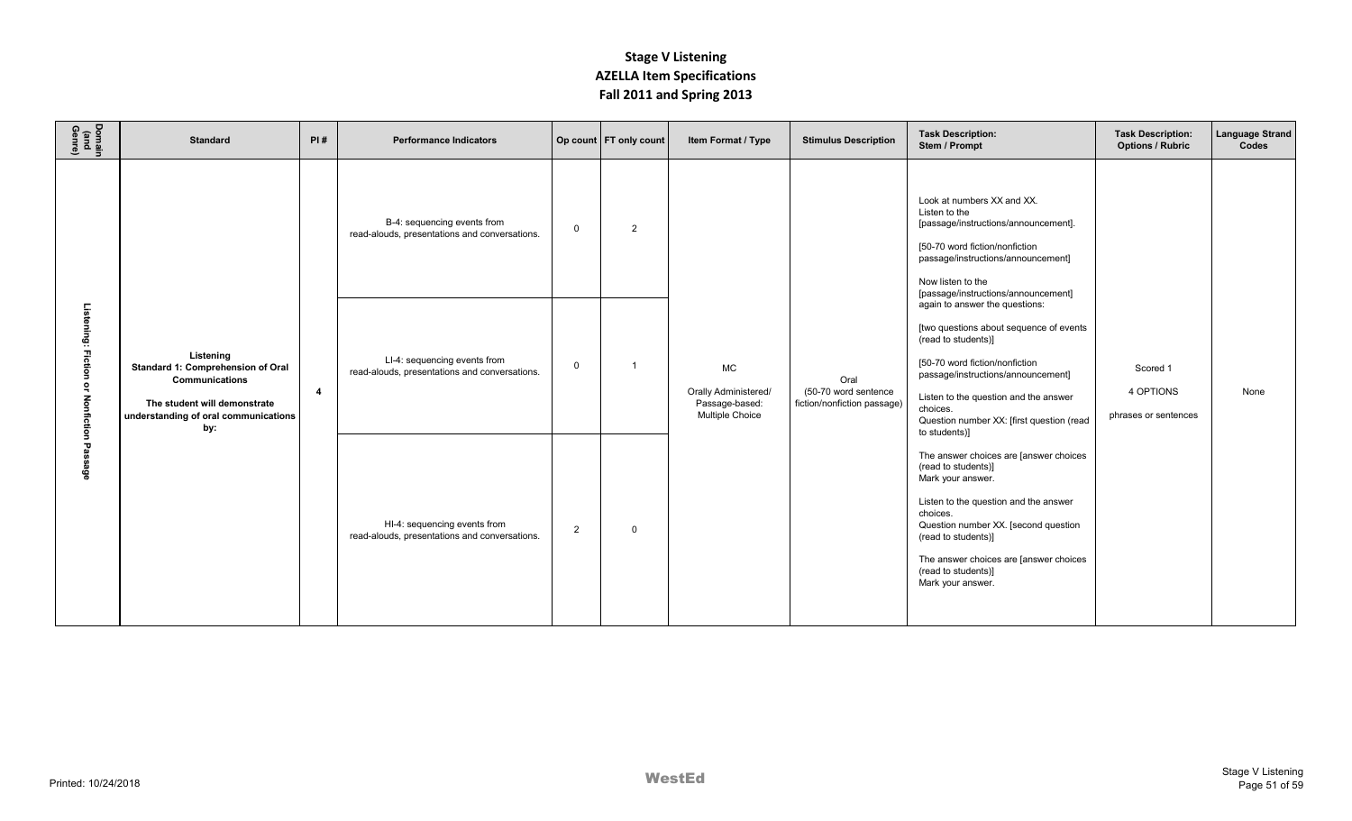| Domain<br>(and<br>Genre)                 | <b>Standard</b>                                                                                                                                 | PI#            | <b>Performance Indicators</b>                                                 |                | Op count   FT only count | Item Format / Type                                                     | <b>Stimulus Description</b>                                 | <b>Task Description:</b><br>Stem / Prompt                                                                                                                                                                                                                                                    | <b>Task Description:</b><br><b>Options / Rubric</b> | Language Strand<br>Codes |
|------------------------------------------|-------------------------------------------------------------------------------------------------------------------------------------------------|----------------|-------------------------------------------------------------------------------|----------------|--------------------------|------------------------------------------------------------------------|-------------------------------------------------------------|----------------------------------------------------------------------------------------------------------------------------------------------------------------------------------------------------------------------------------------------------------------------------------------------|-----------------------------------------------------|--------------------------|
|                                          |                                                                                                                                                 |                | B-4: sequencing events from<br>read-alouds, presentations and conversations.  | $\mathbf 0$    | $\overline{2}$           |                                                                        |                                                             | Look at numbers XX and XX.<br>Listen to the<br>[passage/instructions/announcement].<br>[50-70 word fiction/nonfiction<br>passage/instructions/announcement]<br>Now listen to the<br>[passage/instructions/announcement]<br>again to answer the questions:                                    |                                                     |                          |
| Listening: Fiction or Nonfiction Passage | Listening<br>Standard 1: Comprehension of Oral<br>Communications<br>The student will demonstrate<br>understanding of oral communications<br>by: | $\overline{4}$ | LI-4: sequencing events from<br>read-alouds, presentations and conversations. | $\mathbf 0$    |                          | MC<br><b>Orally Administered/</b><br>Passage-based:<br>Multiple Choice | Oral<br>(50-70 word sentence<br>fiction/nonfiction passage) | [two questions about sequence of events<br>(read to students)]<br>[50-70 word fiction/nonfiction<br>passage/instructions/announcement]<br>Listen to the question and the answer<br>choices.<br>Question number XX: [first question (read<br>to students)]                                    | Scored 1<br>4 OPTIONS<br>phrases or sentences       | None                     |
|                                          |                                                                                                                                                 |                | HI-4: sequencing events from<br>read-alouds, presentations and conversations. | $\overline{2}$ | $\Omega$                 |                                                                        |                                                             | The answer choices are [answer choices<br>(read to students)]<br>Mark your answer.<br>Listen to the question and the answer<br>choices.<br>Question number XX. [second question<br>(read to students)]<br>The answer choices are [answer choices<br>(read to students)]<br>Mark your answer. |                                                     |                          |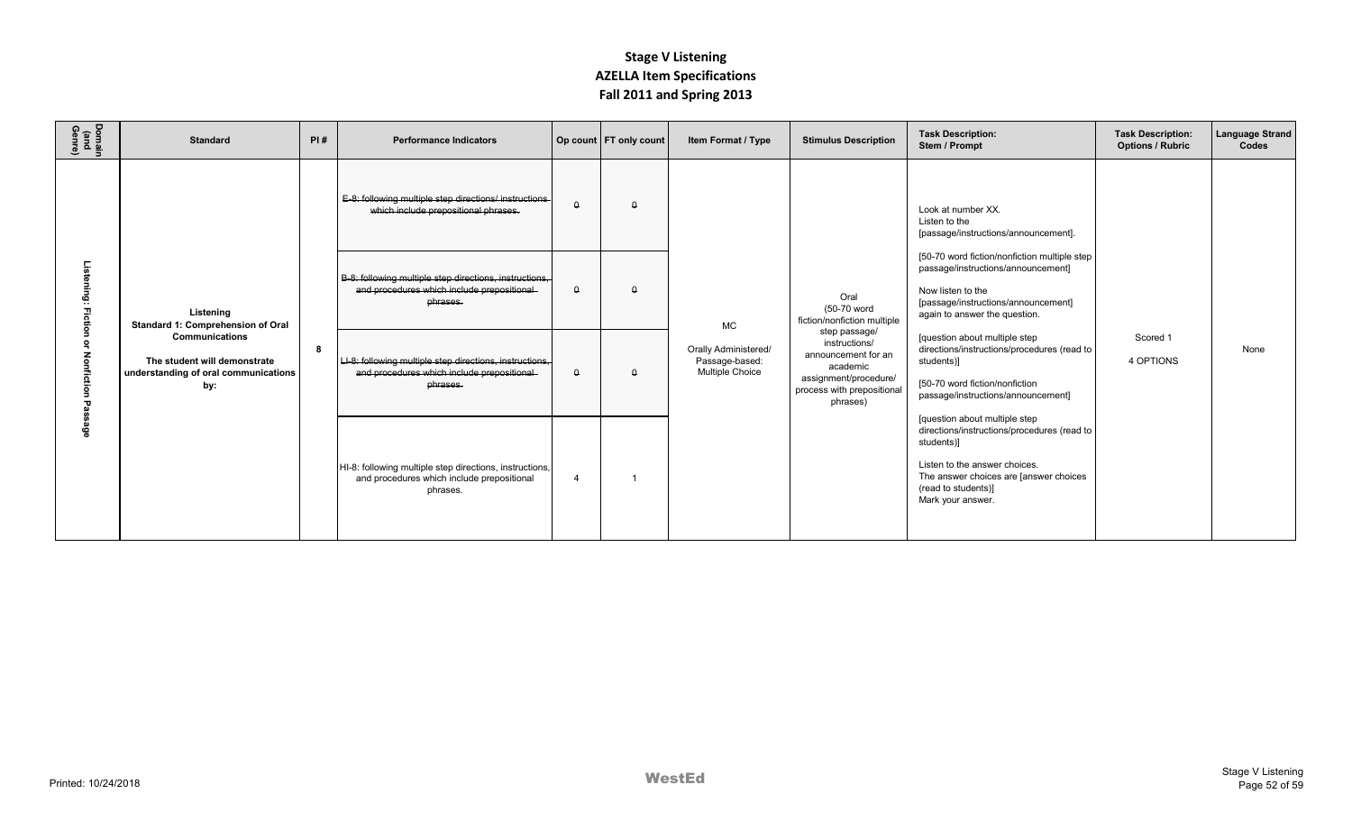| Domain<br>(and<br>Genre) | <b>Standard</b>                                                                                                                                        | PI# | <b>Performance Indicators</b>                                                                                     |                | Op count   FT only count                                                                                                                                                                                                                          | Item Format / Type                                                     | <b>Stimulus Description</b>                                                                                                          | <b>Task Description:</b><br>Stem / Prompt                                                                                                                                                                         | <b>Task Description:</b><br><b>Options / Rubric</b> | <b>Language Strand</b><br>Codes |
|--------------------------|--------------------------------------------------------------------------------------------------------------------------------------------------------|-----|-------------------------------------------------------------------------------------------------------------------|----------------|---------------------------------------------------------------------------------------------------------------------------------------------------------------------------------------------------------------------------------------------------|------------------------------------------------------------------------|--------------------------------------------------------------------------------------------------------------------------------------|-------------------------------------------------------------------------------------------------------------------------------------------------------------------------------------------------------------------|-----------------------------------------------------|---------------------------------|
| Listening:               | Listening<br>Standard 1: Comprehension of Oral<br><b>Communications</b><br>The student will demonstrate<br>understanding of oral communications<br>by: |     | E-8: following multiple step directions/ instructions-<br>which include prepositional phrases.                    | $\Omega$       | $\Omega$                                                                                                                                                                                                                                          | <b>MC</b><br>Orally Administered/<br>Passage-based:<br>Multiple Choice |                                                                                                                                      | Look at number XX.<br>Listen to the<br>[passage/instructions/announcement].                                                                                                                                       |                                                     |                                 |
|                          |                                                                                                                                                        |     | B-8: following multiple step directions, instructions,<br>and procedures which include prepositional<br>phrases.  | $\theta$       | [50-70 word fiction/nonfiction multiple step<br>passage/instructions/announcement]<br>$\Omega$<br>Now listen to the<br>Oral<br>[passage/instructions/announcement]<br>(50-70 word<br>again to answer the question.<br>fiction/nonfiction multiple |                                                                        | step passage/<br>instructions/<br>announcement for an<br>academic<br>assignment/procedure/<br>process with prepositional<br>phrases) |                                                                                                                                                                                                                   |                                                     |                                 |
|                          |                                                                                                                                                        | 8   | LI-8: following multiple step directions, instructions,<br>and procedures which include prepositional<br>phrases. | $\theta$       | $\theta$                                                                                                                                                                                                                                          |                                                                        |                                                                                                                                      | [question about multiple step<br>directions/instructions/procedures (read to<br>students)]<br>[50-70 word fiction/nonfiction<br>passage/instructions/announcement]                                                | Scored 1<br>4 OPTIONS                               | None                            |
| ន្តិ                     |                                                                                                                                                        |     | HI-8: following multiple step directions, instructions,<br>and procedures which include prepositional<br>phrases. | $\overline{4}$ |                                                                                                                                                                                                                                                   |                                                                        |                                                                                                                                      | [question about multiple step<br>directions/instructions/procedures (read to<br>students)]<br>Listen to the answer choices.<br>The answer choices are [answer choices<br>(read to students)]<br>Mark your answer. |                                                     |                                 |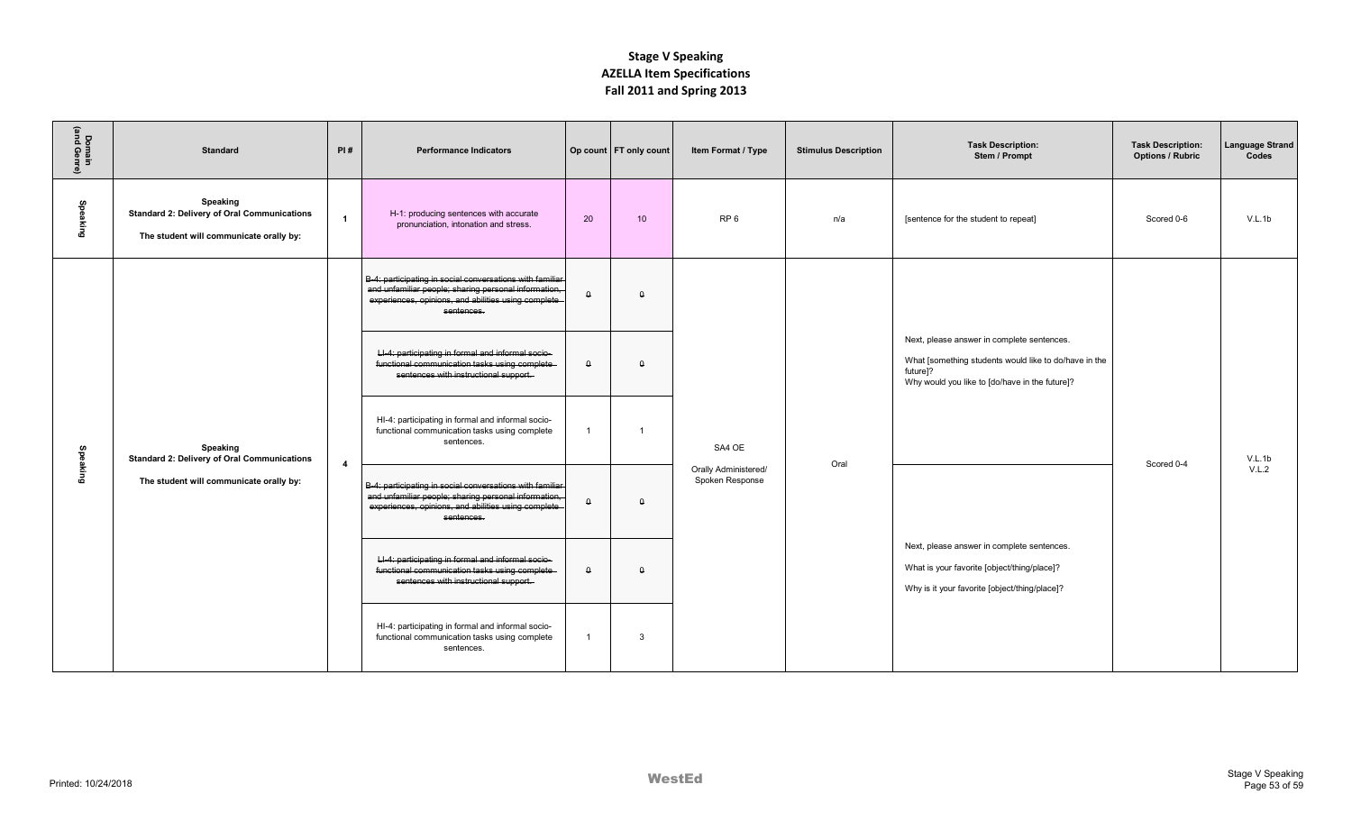| Domain<br>(and Genre) | <b>Standard</b>                                                                                           | PI#                     | <b>Performance Indicators</b>                                                                                                                                                         |                | Op count   FT only count | Item Format / Type                                | <b>Stimulus Description</b> | <b>Task Description:</b><br>Stem / Prompt                                                                                                                                     | <b>Task Description:</b><br><b>Options / Rubric</b> | <b>Language Strand</b><br>Codes |
|-----------------------|-----------------------------------------------------------------------------------------------------------|-------------------------|---------------------------------------------------------------------------------------------------------------------------------------------------------------------------------------|----------------|--------------------------|---------------------------------------------------|-----------------------------|-------------------------------------------------------------------------------------------------------------------------------------------------------------------------------|-----------------------------------------------------|---------------------------------|
| Speaking              | Speaking<br><b>Standard 2: Delivery of Oral Communications</b><br>The student will communicate orally by: | $\overline{1}$          | H-1: producing sentences with accurate<br>pronunciation, intonation and stress.                                                                                                       | 20             | 10                       | RP <sub>6</sub>                                   | n/a                         | [sentence for the student to repeat]                                                                                                                                          | Scored 0-6                                          | V.L.1b                          |
|                       |                                                                                                           |                         | B-4: participating in social conversations with familiar<br>and unfamiliar people; sharing personal information,<br>experiences, opinions, and abilities using complete<br>sentences. | $\theta$       | $\theta$                 |                                                   |                             |                                                                                                                                                                               |                                                     |                                 |
|                       |                                                                                                           |                         | LI-4: participating in formal and informal socio-<br>functional communication tasks using complete-<br>sentences with instructional support.                                          | $\theta$       | $\Omega$                 |                                                   |                             | Next, please answer in complete sentences.<br>What [something students would like to do/have in the<br>future <sub>1?</sub><br>Why would you like to [do/have in the future]? |                                                     |                                 |
| Speaking              | Speaking<br><b>Standard 2: Delivery of Oral Communications</b>                                            | $\overline{\mathbf{4}}$ | HI-4: participating in formal and informal socio-<br>functional communication tasks using complete<br>sentences.                                                                      | $\overline{1}$ | -1                       | SA4 OE<br>Orally Administered/<br>Spoken Response | Oral                        |                                                                                                                                                                               | Scored 0-4                                          | V.L.1b<br>V.L.2                 |
|                       | The student will communicate orally by:                                                                   |                         | B-4: participating in social conversations with familiar<br>and unfamiliar people; sharing personal information,<br>experiences, opinions, and abilities using complete<br>sentences. | $\theta$       | $\theta$                 |                                                   |                             |                                                                                                                                                                               |                                                     |                                 |
|                       |                                                                                                           |                         | LI-4: participating in formal and informal socio-<br>functional communication tasks using complete-<br>sentences with instructional support.                                          | $\theta$       | $\Omega$                 |                                                   |                             | Next, please answer in complete sentences.<br>What is your favorite [object/thing/place]?<br>Why is it your favorite [object/thing/place]?                                    |                                                     |                                 |
|                       |                                                                                                           |                         | HI-4: participating in formal and informal socio-<br>functional communication tasks using complete<br>sentences.                                                                      | $\overline{1}$ | 3                        |                                                   |                             |                                                                                                                                                                               |                                                     |                                 |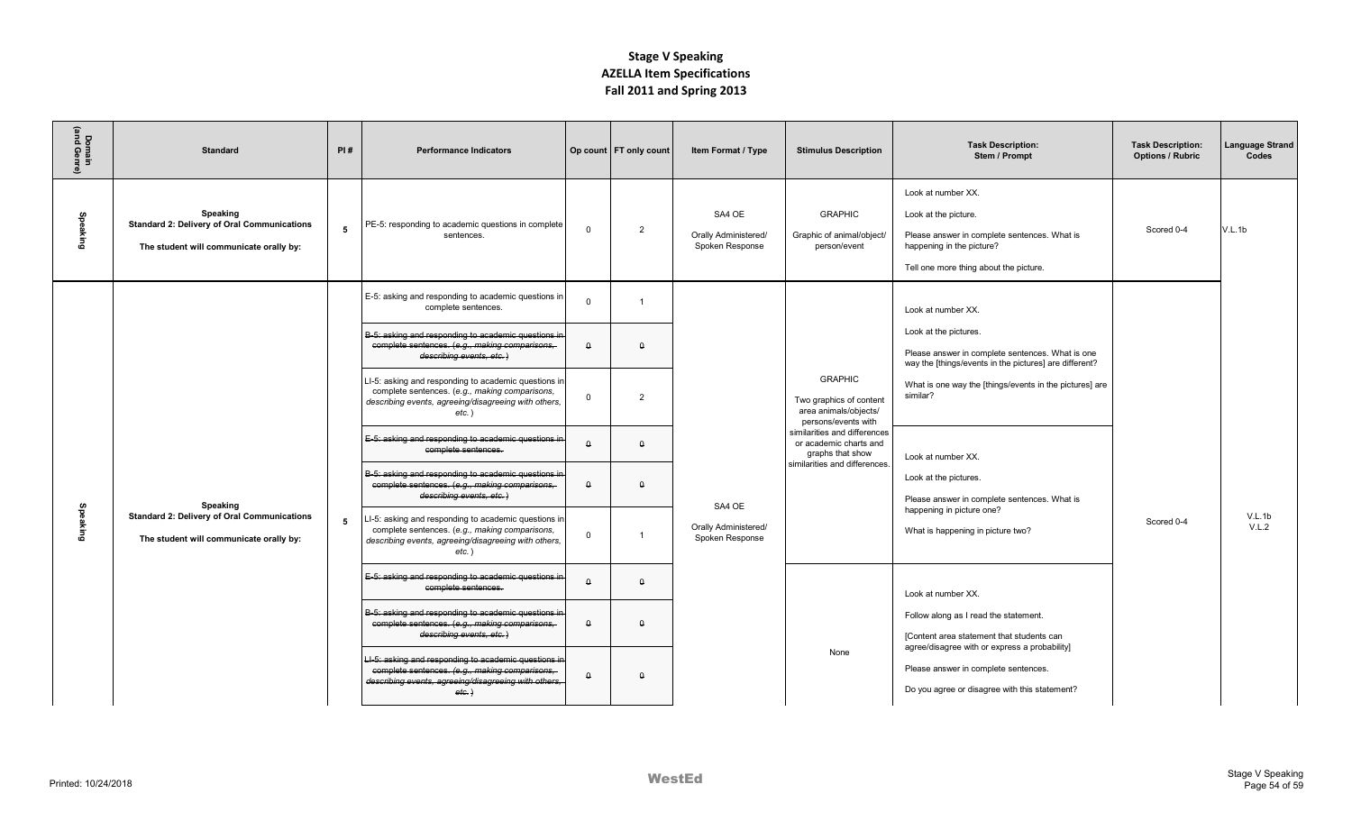| Domain<br>(and Genre) | <b>Standard</b>                                                                                           | PI# | <b>Performance Indicators</b>                                                                                                                                                                                                                                                                                                                                                                                                                                                                                                                                                                                                                                                                                                                                                                  |                                                                          | Op count   FT only count                                                   | Item Format / Type                                | <b>Stimulus Description</b>                                                                                                                                                                              | <b>Task Description:</b><br>Stem / Prompt                                                                                                                                                                                                                                                                                                                                                         | <b>Task Description:</b><br><b>Options / Rubric</b> | Language Strand<br>Codes |
|-----------------------|-----------------------------------------------------------------------------------------------------------|-----|------------------------------------------------------------------------------------------------------------------------------------------------------------------------------------------------------------------------------------------------------------------------------------------------------------------------------------------------------------------------------------------------------------------------------------------------------------------------------------------------------------------------------------------------------------------------------------------------------------------------------------------------------------------------------------------------------------------------------------------------------------------------------------------------|--------------------------------------------------------------------------|----------------------------------------------------------------------------|---------------------------------------------------|----------------------------------------------------------------------------------------------------------------------------------------------------------------------------------------------------------|---------------------------------------------------------------------------------------------------------------------------------------------------------------------------------------------------------------------------------------------------------------------------------------------------------------------------------------------------------------------------------------------------|-----------------------------------------------------|--------------------------|
| Speaking              | Speaking<br><b>Standard 2: Delivery of Oral Communications</b><br>The student will communicate orally by: | 5   | PE-5: responding to academic questions in complete<br>sentences.                                                                                                                                                                                                                                                                                                                                                                                                                                                                                                                                                                                                                                                                                                                               | $\Omega$                                                                 | $\overline{2}$                                                             | SA4 OE<br>Orally Administered/<br>Spoken Response | <b>GRAPHIC</b><br>Graphic of animal/object/<br>person/event                                                                                                                                              | Look at number XX.<br>Look at the picture.<br>Please answer in complete sentences. What is<br>happening in the picture?<br>Tell one more thing about the picture.                                                                                                                                                                                                                                 | Scored 0-4                                          | V.L.1b                   |
| Speaking              | Speaking<br><b>Standard 2: Delivery of Oral Communications</b><br>The student will communicate orally by: | 5   | E-5: asking and responding to academic questions in<br>complete sentences.<br>B-5: asking and responding to academic questions in<br>complete sentences. (e.g., making comparisons,<br>describing events, etc.)<br>LI-5: asking and responding to academic questions in<br>complete sentences. (e.g., making comparisons,<br>describing events, agreeing/disagreeing with others,<br>$etc.$ )<br>E-5: asking and responding to academic questions in<br>complete sentences.<br>B-5: asking and responding to academic questions in<br>complete sentences. (e.g., making comparisons,<br>describing events, etc.)<br>LI-5: asking and responding to academic questions in<br>complete sentences. (e.g., making comparisons,<br>describing events, agreeing/disagreeing with others,<br>$etc.$ ) | $\mathbf{0}$<br>$\theta$<br>$\Omega$<br>$\Omega$<br>$\theta$<br>$\Omega$ | $\overline{1}$<br>$\theta$<br>$\overline{2}$<br>$\Omega$<br>$\Omega$<br>-1 | SA4 OE<br>Orally Administered/<br>Spoken Response | <b>GRAPHIC</b><br>Two graphics of content<br>area animals/objects/<br>persons/events with<br>similarities and differences<br>or academic charts and<br>graphs that show<br>similarities and differences. | Look at number XX.<br>Look at the pictures.<br>Please answer in complete sentences. What is one<br>way the [things/events in the pictures] are different?<br>What is one way the [things/events in the pictures] are<br>similar?<br>Look at number XX.<br>Look at the pictures.<br>Please answer in complete sentences. What is<br>happening in picture one?<br>What is happening in picture two? | Scored 0-4                                          | V.L.1b<br>V.L.2          |
|                       |                                                                                                           |     | E-5: asking and responding to academic questions in<br>complete sentences.<br>B-5: asking and responding to academic questions in<br>complete sentences. (e.g., making comparisons,<br>describing events, etc.)                                                                                                                                                                                                                                                                                                                                                                                                                                                                                                                                                                                | $\theta$<br>$\Omega$                                                     | $\Omega$<br>$\Omega$                                                       |                                                   |                                                                                                                                                                                                          | Look at number XX.<br>Follow along as I read the statement.<br>[Content area statement that students can<br>agree/disagree with or express a probability]                                                                                                                                                                                                                                         |                                                     |                          |
|                       |                                                                                                           |     | LI-5: asking and responding to academic questions in<br>complete sentences. (e.g., making comparisons,<br>describing events, agreeing/disagreeing with others,<br>etc.                                                                                                                                                                                                                                                                                                                                                                                                                                                                                                                                                                                                                         | $\Omega$                                                                 | $\Omega$                                                                   |                                                   | None                                                                                                                                                                                                     | Please answer in complete sentences.<br>Do you agree or disagree with this statement?                                                                                                                                                                                                                                                                                                             |                                                     |                          |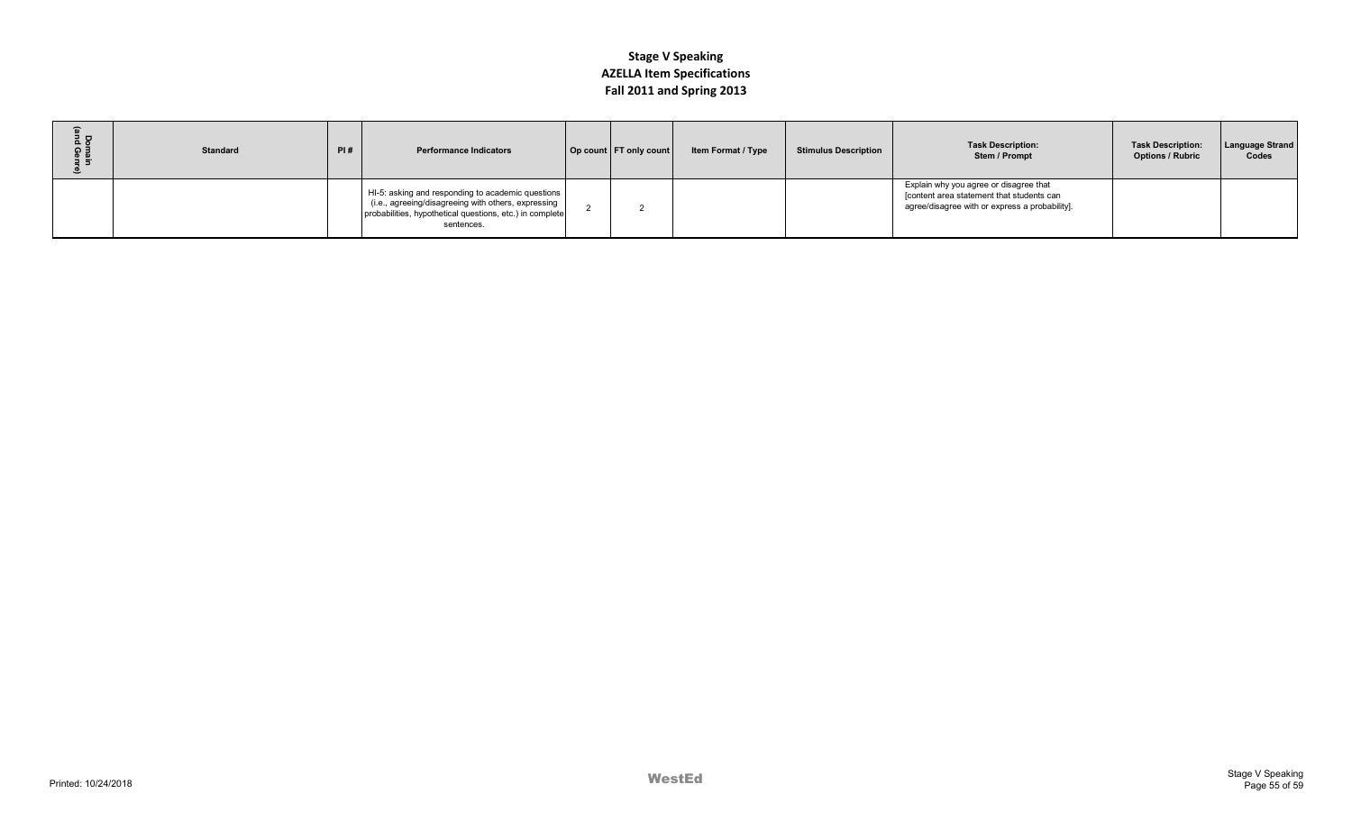| 1 P<br>ດ∃<br><u>⊕ no</u> | <b>Standard</b> | PI# | <b>Performance Indicators</b>                                                                                                                                                      | Op count   FT only count | <b>Item Format / Type</b> | <b>Stimulus Description</b> | <b>Task Description:</b><br>Stem / Prompt                                                                                             | <b>Task Description:</b><br><b>Options / Rubric</b> | <b>Language Strand</b><br>Codes |
|--------------------------|-----------------|-----|------------------------------------------------------------------------------------------------------------------------------------------------------------------------------------|--------------------------|---------------------------|-----------------------------|---------------------------------------------------------------------------------------------------------------------------------------|-----------------------------------------------------|---------------------------------|
|                          |                 |     | HI-5: asking and responding to academic questions<br>(i.e., agreeing/disagreeing with others, expressing<br>probabilities, hypothetical questions, etc.) in complete<br>sentences. |                          |                           |                             | Explain why you agree or disagree that<br>[content area statement that students can<br>agree/disagree with or express a probability]. |                                                     |                                 |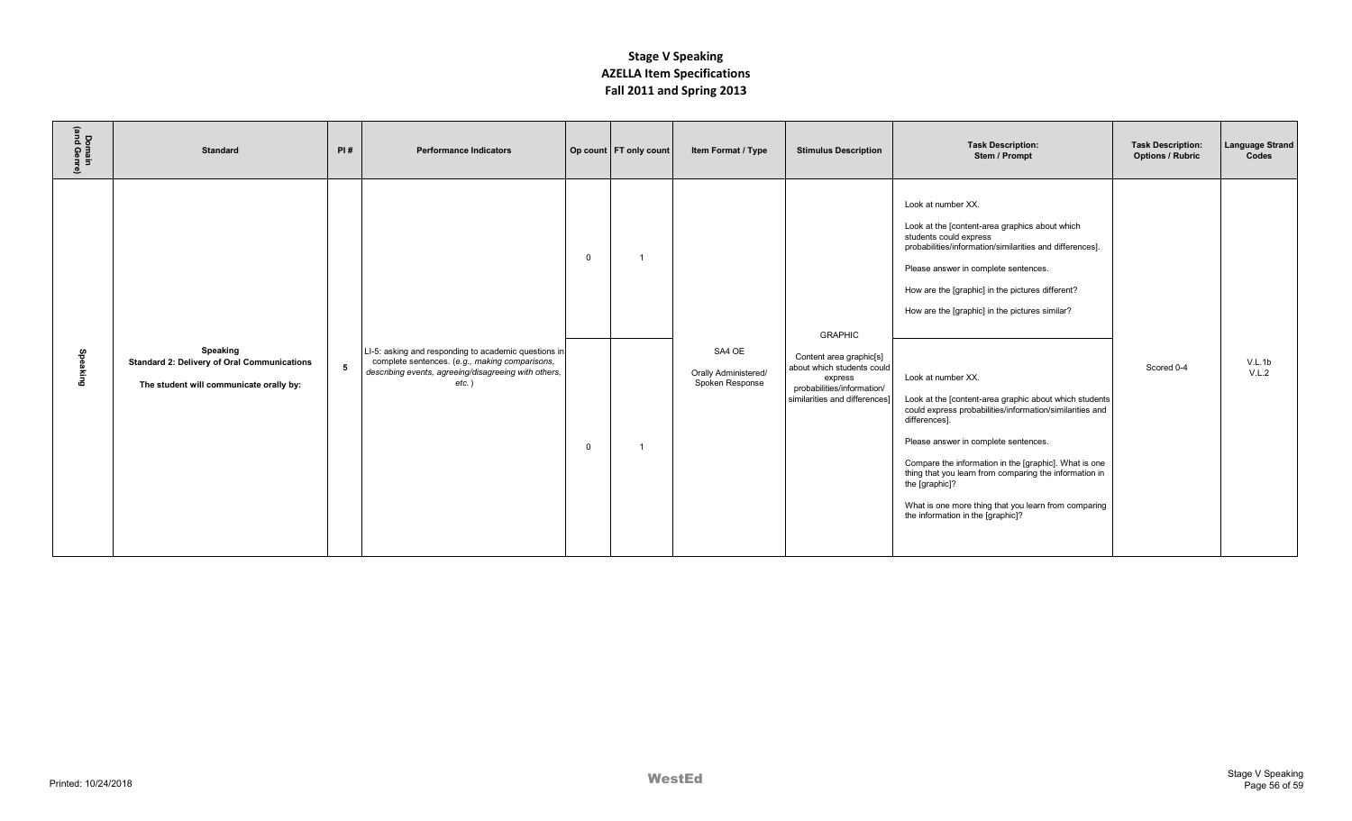| Domain<br>(and Genre) | <b>Standard</b>                                                                                           | PI# | <b>Performance Indicators</b>                                                                                                                                              |                         | Op count   FT only count | Item Format / Type                                | <b>Stimulus Description</b>                                                                                                                       | <b>Task Description:</b><br>Stem / Prompt                                                                                                                                                                                                                                                                                                                                                                                                                                                                                                                                                                                                                                                                                                       | <b>Task Description:</b><br><b>Options / Rubric</b> | Language Strand<br>Codes |
|-----------------------|-----------------------------------------------------------------------------------------------------------|-----|----------------------------------------------------------------------------------------------------------------------------------------------------------------------------|-------------------------|--------------------------|---------------------------------------------------|---------------------------------------------------------------------------------------------------------------------------------------------------|-------------------------------------------------------------------------------------------------------------------------------------------------------------------------------------------------------------------------------------------------------------------------------------------------------------------------------------------------------------------------------------------------------------------------------------------------------------------------------------------------------------------------------------------------------------------------------------------------------------------------------------------------------------------------------------------------------------------------------------------------|-----------------------------------------------------|--------------------------|
| Spea<br>king<br>G     | Speaking<br><b>Standard 2: Delivery of Oral Communications</b><br>The student will communicate orally by: | 5   | LI-5: asking and responding to academic questions in<br>complete sentences. (e.g., making comparisons,<br>describing events, agreeing/disagreeing with others,<br>$etc.$ ) | $\mathbf 0$<br>$\Omega$ |                          | SA4 OE<br>Orally Administered/<br>Spoken Response | <b>GRAPHIC</b><br>Content area graphic[s]<br>about which students could<br>express<br>probabilities/information/<br>similarities and differences] | Look at number XX.<br>Look at the [content-area graphics about which<br>students could express<br>probabilities/information/similarities and differences].<br>Please answer in complete sentences.<br>How are the [graphic] in the pictures different?<br>How are the [graphic] in the pictures similar?<br>Look at number XX.<br>Look at the [content-area graphic about which students<br>could express probabilities/information/similarities and<br>differences].<br>Please answer in complete sentences.<br>Compare the information in the [graphic]. What is one<br>thing that you learn from comparing the information in<br>the [graphic]?<br>What is one more thing that you learn from comparing<br>the information in the [graphic]? | Scored 0-4                                          | V.L.1b<br>V.L.2          |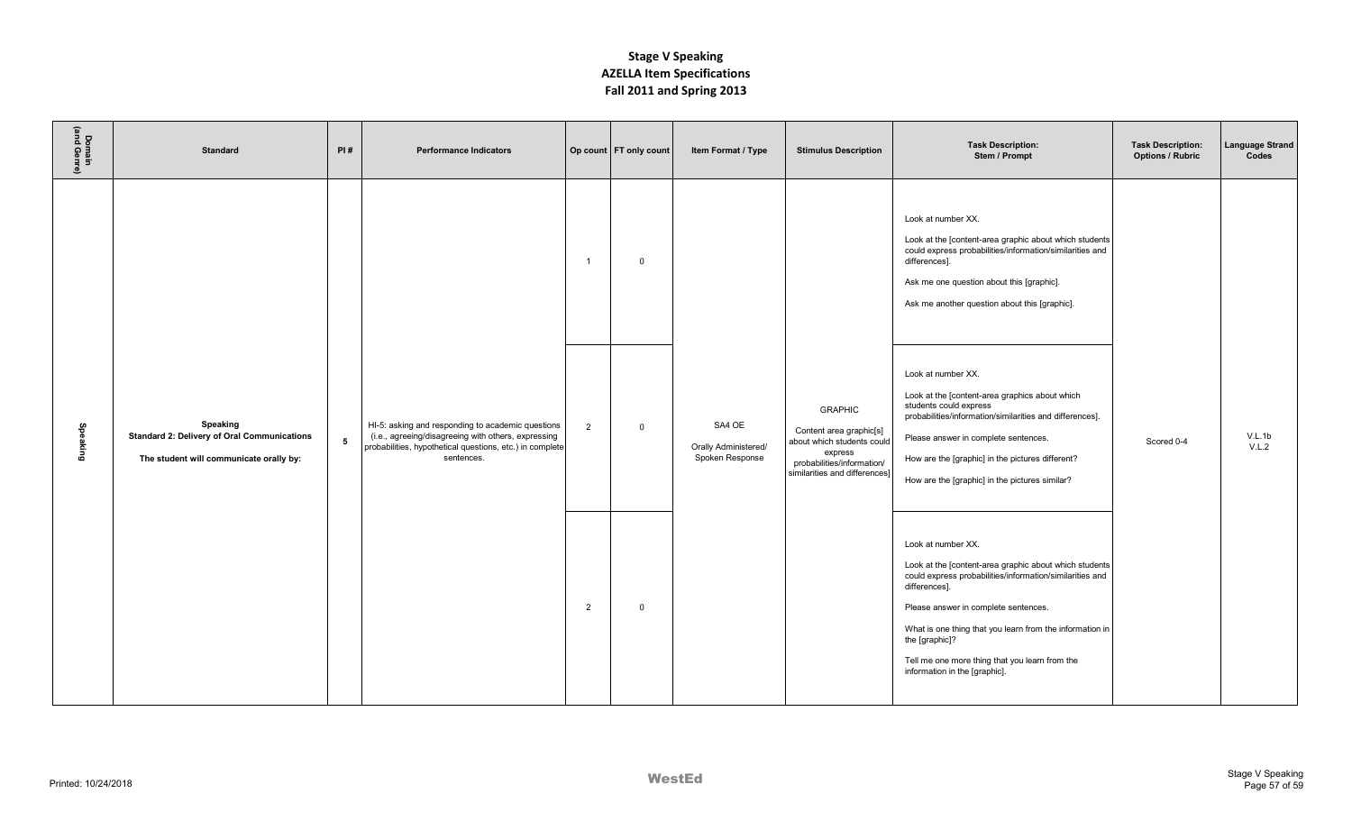| Domain<br>(and Genre) | <b>Standard</b>                                                                                           | PI# | <b>Performance Indicators</b>                                                                                                                                                      |                | Op count   FT only count | Item Format / Type                                | <b>Stimulus Description</b>                                                                                                                       | <b>Task Description:</b><br>Stem / Prompt                                                                                                                                                                                                                                                                                                                          | <b>Task Description:</b><br><b>Options / Rubric</b> | <b>Language Strand</b><br>Codes |
|-----------------------|-----------------------------------------------------------------------------------------------------------|-----|------------------------------------------------------------------------------------------------------------------------------------------------------------------------------------|----------------|--------------------------|---------------------------------------------------|---------------------------------------------------------------------------------------------------------------------------------------------------|--------------------------------------------------------------------------------------------------------------------------------------------------------------------------------------------------------------------------------------------------------------------------------------------------------------------------------------------------------------------|-----------------------------------------------------|---------------------------------|
|                       |                                                                                                           |     |                                                                                                                                                                                    | $\overline{1}$ | $\mathbf 0$              |                                                   |                                                                                                                                                   | Look at number XX.<br>Look at the [content-area graphic about which students<br>could express probabilities/information/similarities and<br>differences].<br>Ask me one question about this [graphic].<br>Ask me another question about this [graphic].                                                                                                            |                                                     |                                 |
| Speaking              | Speaking<br><b>Standard 2: Delivery of Oral Communications</b><br>The student will communicate orally by: | 5   | HI-5: asking and responding to academic questions<br>(i.e., agreeing/disagreeing with others, expressing<br>probabilities, hypothetical questions, etc.) in complete<br>sentences. | 2              | $\mathbf 0$              | SA4 OE<br>Orally Administered/<br>Spoken Response | <b>GRAPHIC</b><br>Content area graphic[s]<br>about which students could<br>express<br>probabilities/information/<br>similarities and differences] | Look at number XX.<br>Look at the [content-area graphics about which<br>students could express<br>probabilities/information/similarities and differences].<br>Please answer in complete sentences.<br>How are the [graphic] in the pictures different?<br>How are the [graphic] in the pictures similar?                                                           | Scored 0-4                                          | V.L.1b<br>V.L.2                 |
|                       |                                                                                                           |     |                                                                                                                                                                                    | $\overline{2}$ | $\mathbf 0$              |                                                   |                                                                                                                                                   | Look at number XX.<br>Look at the [content-area graphic about which students<br>could express probabilities/information/similarities and<br>differences].<br>Please answer in complete sentences.<br>What is one thing that you learn from the information in<br>the [graphic]?<br>Tell me one more thing that you learn from the<br>information in the [graphic]. |                                                     |                                 |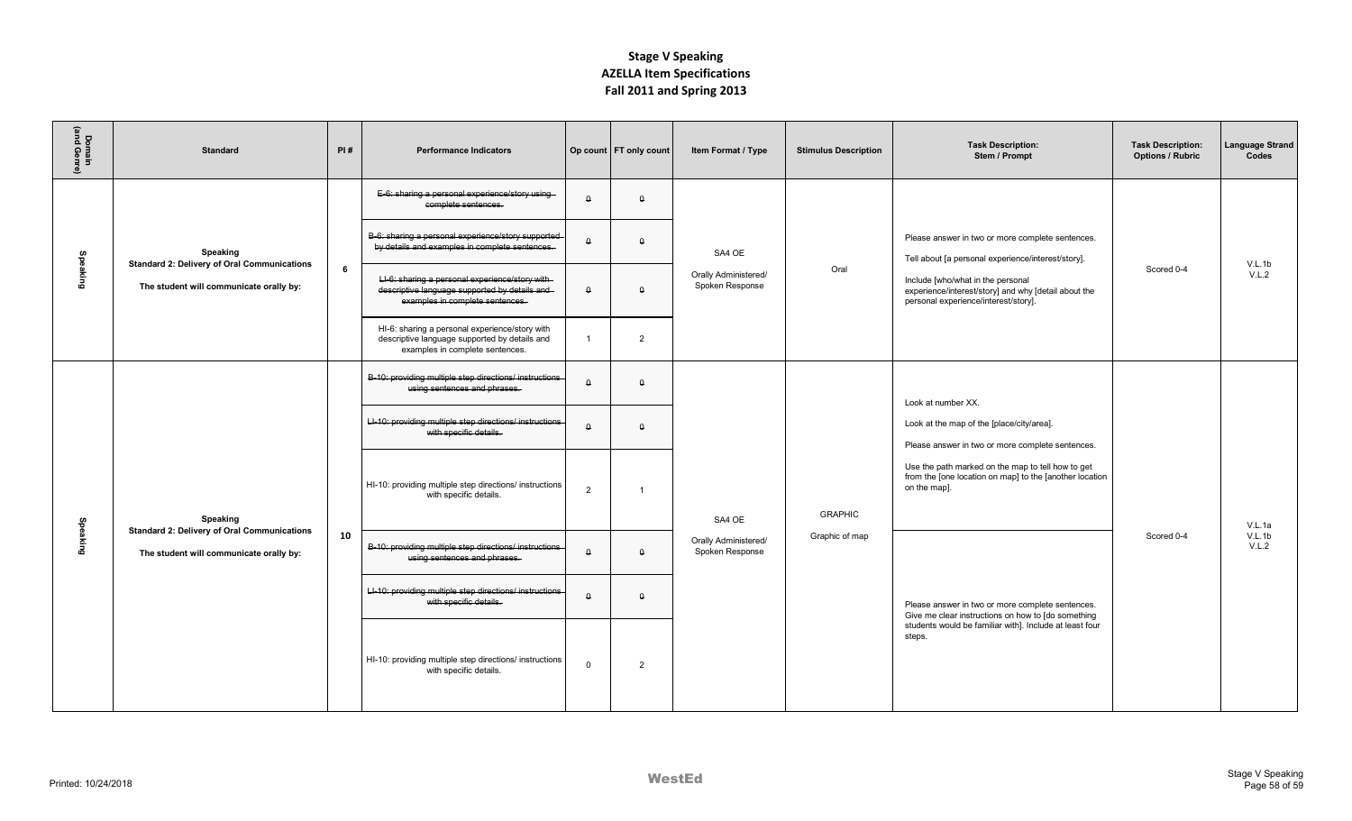| Domain<br>(and Genre) | <b>Standard</b>                                                                                           | PI# | <b>Performance Indicators</b>                                                                                                       |                         | Op count FT only count | Item Format / Type                                | <b>Stimulus Description</b> | <b>Task Description:</b><br>Stem / Prompt                                                                                                                                                                                                           | <b>Task Description:</b><br><b>Options / Rubric</b> | Language Strand<br>Codes  |
|-----------------------|-----------------------------------------------------------------------------------------------------------|-----|-------------------------------------------------------------------------------------------------------------------------------------|-------------------------|------------------------|---------------------------------------------------|-----------------------------|-----------------------------------------------------------------------------------------------------------------------------------------------------------------------------------------------------------------------------------------------------|-----------------------------------------------------|---------------------------|
|                       |                                                                                                           |     | E-6: sharing a personal experience/story using-<br>complete sentences.                                                              | $\Omega$                | $\theta$               |                                                   |                             |                                                                                                                                                                                                                                                     |                                                     |                           |
|                       | Speaking<br><b>Standard 2: Delivery of Oral Communications</b>                                            | 6   | B-6: sharing a personal experience/story supported<br>by details and examples in complete sentences.                                | $\theta$                | $\Omega$               | SA4 OE                                            | Oral                        | Please answer in two or more complete sentences.<br>Tell about [a personal experience/interest/story].<br>Include [who/what in the personal<br>experience/interest/story] and why [detail about the<br>personal experience/interest/story].         |                                                     | V.L.1b                    |
| Speaking              | The student will communicate orally by:                                                                   |     | LI-6: sharing a personal experience/story with-<br>descriptive language supported by details and<br>examples in complete sentences. | $\theta$                | $\theta$               | Orally Administered/<br>Spoken Response           |                             |                                                                                                                                                                                                                                                     | Scored 0-4                                          | V.L.2                     |
|                       |                                                                                                           |     | HI-6: sharing a personal experience/story with<br>descriptive language supported by details and<br>examples in complete sentences.  | $\overline{1}$          | 2                      |                                                   |                             |                                                                                                                                                                                                                                                     |                                                     |                           |
|                       |                                                                                                           |     | B-10: providing multiple step directions/ instructions<br>using sentences and phrases.                                              | $\theta$                | $\theta$               |                                                   |                             | Look at number XX.<br>Look at the map of the [place/city/area].<br>Please answer in two or more complete sentences.<br>Use the path marked on the map to tell how to get<br>from the [one location on map] to the [another location<br>on the map]. |                                                     |                           |
|                       |                                                                                                           |     | LI-10: providing multiple step directions/ instructions<br>with specific details.                                                   | $\theta$                | $\theta$               |                                                   | <b>GRAPHIC</b>              |                                                                                                                                                                                                                                                     |                                                     |                           |
|                       |                                                                                                           |     | HI-10: providing multiple step directions/ instructions<br>with specific details.                                                   | $\overline{2}$          |                        |                                                   |                             |                                                                                                                                                                                                                                                     | Scored 0-4                                          |                           |
| Speaking              | Speaking<br><b>Standard 2: Delivery of Oral Communications</b><br>The student will communicate orally by: | 10  | B-10: providing multiple step directions/ instructions<br>using sentences and phrases.                                              | $\theta$                | $\theta$               | SA4 OE<br>Orally Administered/<br>Spoken Response | Graphic of map              |                                                                                                                                                                                                                                                     |                                                     | V.L.1a<br>V.L.1b<br>V.L.2 |
|                       |                                                                                                           |     | LI-10: providing multiple step directions/ instructions<br>with specific details.                                                   | $\pmb{\mathsf{\Omega}}$ | $\Omega$               |                                                   |                             | Please answer in two or more complete sentences.                                                                                                                                                                                                    |                                                     |                           |
|                       |                                                                                                           |     | HI-10: providing multiple step directions/ instructions<br>with specific details.                                                   | $\mathbf 0$             | 2                      |                                                   |                             | Give me clear instructions on how to [do something<br>students would be familiar with]. Include at least four<br>steps.                                                                                                                             |                                                     |                           |